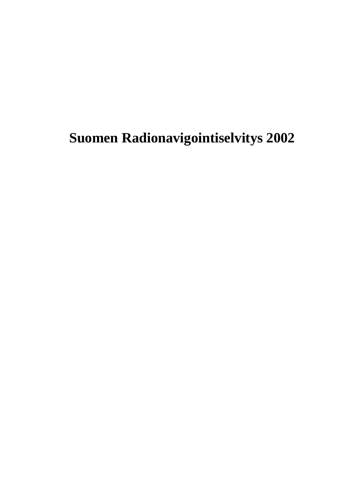# **Suomen Radionavigointiselvitys 2002**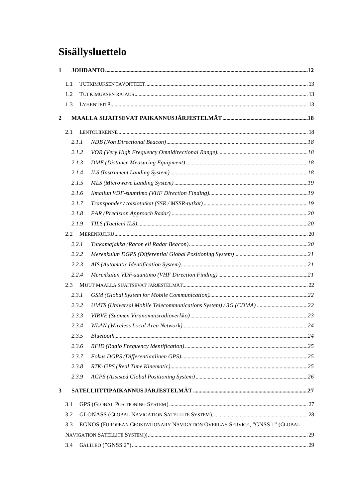# Sisällysluettelo

| $\mathbf{1}$   |     |       |                                                                            |  |
|----------------|-----|-------|----------------------------------------------------------------------------|--|
|                | 1.1 |       |                                                                            |  |
|                | 1.2 |       |                                                                            |  |
|                | 1.3 |       |                                                                            |  |
| $\overline{2}$ |     |       |                                                                            |  |
|                | 2.1 |       |                                                                            |  |
|                |     | 2.1.1 |                                                                            |  |
|                |     | 2.1.2 |                                                                            |  |
|                |     | 2.1.3 |                                                                            |  |
|                |     | 2.1.4 |                                                                            |  |
|                |     | 2.1.5 |                                                                            |  |
|                |     | 2.1.6 |                                                                            |  |
|                |     | 2.1.7 |                                                                            |  |
|                |     | 2.1.8 |                                                                            |  |
|                |     | 2.1.9 |                                                                            |  |
|                |     |       |                                                                            |  |
|                |     | 2.2.1 |                                                                            |  |
|                |     | 2.2.2 |                                                                            |  |
|                |     | 2.2.3 |                                                                            |  |
|                |     | 2.2.4 |                                                                            |  |
|                | 2.3 |       |                                                                            |  |
|                |     | 2.3.1 |                                                                            |  |
|                |     | 2.3.2 |                                                                            |  |
|                |     | 2.3.3 |                                                                            |  |
|                |     | 2.3.4 |                                                                            |  |
|                |     | 2.3.5 |                                                                            |  |
|                |     | 2.3.6 |                                                                            |  |
|                |     | 2.3.7 |                                                                            |  |
|                |     | 2.3.8 |                                                                            |  |
|                |     | 2.3.9 |                                                                            |  |
| 3              |     |       |                                                                            |  |
|                | 3.1 |       |                                                                            |  |
|                | 3.2 |       |                                                                            |  |
|                | 3.3 |       | EGNOS (EUROPEAN GEOSTATIONARY NAVIGATION OVERLAY SERVICE, "GNSS 1" (GLOBAL |  |
|                |     |       |                                                                            |  |
|                | 3.4 |       |                                                                            |  |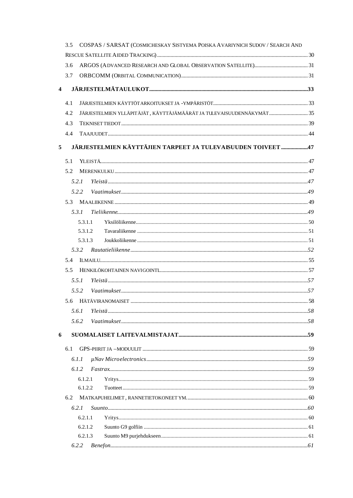|                         | 3.5 |         | COSPAS / SARSAT (COSMICHESKAY SISTYEMA POISKA AVARIYNICH SUDOV / SEARCH AND |  |
|-------------------------|-----|---------|-----------------------------------------------------------------------------|--|
|                         |     |         |                                                                             |  |
|                         | 3.6 |         |                                                                             |  |
|                         | 3.7 |         |                                                                             |  |
| $\overline{\mathbf{4}}$ |     |         |                                                                             |  |
|                         | 4.1 |         |                                                                             |  |
|                         | 4.2 |         | JÄRJESTELMIEN YLLÄPITÄJÄT, KÄYTTÄJÄMÄÄRÄT JA TULEVAISUUDENNÄKYMÄT  35       |  |
|                         | 4.3 |         |                                                                             |  |
|                         | 4.4 |         |                                                                             |  |
| 5                       |     |         | JÄRJESTELMIEN KÄYTTÄJIEN TARPEET JA TULEVAISUUDEN TOIVEET 47                |  |
|                         | 5.1 |         |                                                                             |  |
|                         | 5.2 |         |                                                                             |  |
|                         |     | 5.2.1   |                                                                             |  |
|                         |     | 5.2.2   |                                                                             |  |
|                         |     |         |                                                                             |  |
|                         |     | 5.3.1   |                                                                             |  |
|                         |     | 5.3.1.1 |                                                                             |  |
|                         |     | 5.3.1.2 |                                                                             |  |
|                         |     | 5.3.1.3 |                                                                             |  |
|                         |     |         |                                                                             |  |
|                         | 5.4 |         |                                                                             |  |
|                         | 5.5 |         |                                                                             |  |
|                         |     | 5.5.1   |                                                                             |  |
|                         |     | 5.5.2   |                                                                             |  |
|                         |     |         |                                                                             |  |
|                         |     | 5.6.1   |                                                                             |  |
|                         |     | 5.6.2   |                                                                             |  |
| 6                       |     |         |                                                                             |  |
|                         | 6.1 |         |                                                                             |  |
|                         |     | 6.1.1   |                                                                             |  |
|                         |     | 6.1.2   |                                                                             |  |
|                         |     | 6.1.2.1 |                                                                             |  |
|                         |     | 6.1.2.2 |                                                                             |  |
|                         | 6.2 |         |                                                                             |  |
|                         |     | 6.2.1   |                                                                             |  |
|                         |     | 6.2.1.1 |                                                                             |  |
|                         |     | 6.2.1.2 |                                                                             |  |
|                         |     | 6.2.1.3 |                                                                             |  |
|                         |     | 6.2.2   |                                                                             |  |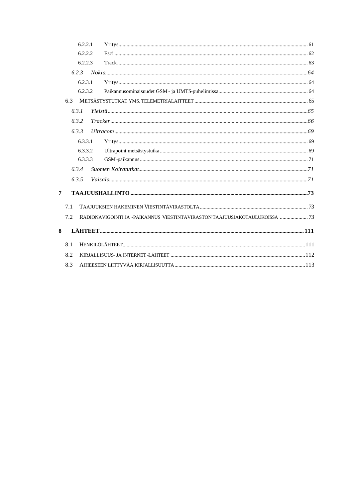|   |       | 6.2.2.1 |                                                                            |  |
|---|-------|---------|----------------------------------------------------------------------------|--|
|   |       | 6.2.2.2 |                                                                            |  |
|   |       | 6.2.2.3 |                                                                            |  |
|   | 6.2.3 |         |                                                                            |  |
|   |       | 6.2.3.1 |                                                                            |  |
|   |       | 6.2.3.2 |                                                                            |  |
|   | 6.3   |         |                                                                            |  |
|   | 6.3.1 |         |                                                                            |  |
|   | 6.3.2 |         |                                                                            |  |
|   | 6.3.3 |         |                                                                            |  |
|   |       | 6.3.3.1 |                                                                            |  |
|   |       | 6.3.3.2 |                                                                            |  |
|   |       | 6.3.3.3 |                                                                            |  |
|   | 6.3.4 |         |                                                                            |  |
|   | 6.3.5 |         |                                                                            |  |
| 7 |       |         |                                                                            |  |
|   | 7.1   |         |                                                                            |  |
|   | 7.2   |         | RADIONAVIGOINTI JA -PAIKANNUS VIESTINTÄVIRASTON TAAJUUSJAKOTAULUKOISSA  73 |  |
| 8 |       |         |                                                                            |  |
|   | 8.1   |         |                                                                            |  |
|   | 8.2   |         |                                                                            |  |
|   | 8.3   |         |                                                                            |  |
|   |       |         |                                                                            |  |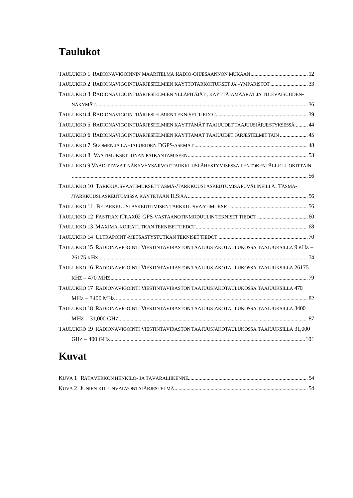# **Taulukot**

| TAULUKKO 2 RADIONAVIGOINTIJÄRJESTELMIEN KÄYTTÖTARKOITUKSET JA -YMPÄRISTÖT 33             |  |
|------------------------------------------------------------------------------------------|--|
| TAULUKKO 3 RADIONAVIGOINTIJÄRJESTELMIEN YLLÄPITÄJÄT, KÄYTTÄJÄMÄÄRÄT JA TULEVAISUUDEN-    |  |
|                                                                                          |  |
|                                                                                          |  |
| TAULUKKO 5 RADIONAVIGOINTIJÄRJESTELMIEN KÄYTTÄMÄT TAAJUUDET TAAJUUSJÄRJESTYKSESSÄ  44    |  |
| TAULUKKO 6 RADIONAVIGOINTIJÄRJESTELMIEN KÄYTTÄMÄT TAAJUUDET JÄRJESTELMITTÄIN  45         |  |
|                                                                                          |  |
|                                                                                          |  |
| TAULUKKO 9 VAADITTAVAT NÄKYVYYSARVOT TARKKUUSLÄHESTYMISESSÄ LENTOKENTÄLLE LUOKITTAIN     |  |
|                                                                                          |  |
| TAULUKKO 10 TARKKUUSVAATIMUKSET TÄSMÄ-/TARKKUUSLASKEUTUMISAPUVÄLINEILLÄ. TÄSMÄ-          |  |
|                                                                                          |  |
|                                                                                          |  |
|                                                                                          |  |
|                                                                                          |  |
|                                                                                          |  |
| TAULUKKO 15 RADIONAVIGOINTI VIESTINTÄVIRASTON TAAJUUSJAKOTAULUKOSSA TAAJUUKSILLA 9 KHZ - |  |
|                                                                                          |  |
| TAULUKKO 16 RADIONAVIGOINTI VIESTINTÄVIRASTON TAAJUUSJAKOTAULUKOSSA TAAJUUKSILLA 26175   |  |
|                                                                                          |  |
| TAULUKKO 17 RADIONAVIGOINTI VIESTINTÄVIRASTON TAAJUUSJAKOTAULUKOSSA TAAJUUKSILLA 470     |  |
|                                                                                          |  |
| TAULUKKO 18 RADIONAVIGOINTI VIESTINTÄVIRASTON TAAJUUSJAKOTAULUKOSSA TAAJUUKSILLA 3400    |  |
|                                                                                          |  |
| TAULUKKO 19 RADIONAVIGOINTI VIESTINTÄVIRASTON TAAJUUSJAKOTAULUKOSSA TAAJUUKSILLA 31,000  |  |
|                                                                                          |  |

# **Kuvat**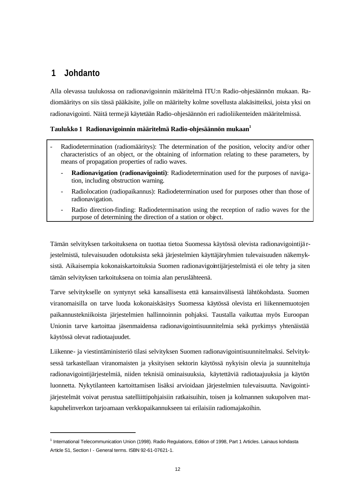# **1 Johdanto**

l

Alla olevassa taulukossa on radionavigoinnin määritelmä ITU:n Radio-ohjesäännön mukaan. Radiomääritys on siis tässä pääkäsite, jolle on määritelty kolme sovellusta alakäsitteiksi, joista yksi on radionavigointi. Näitä termejä käytetään Radio-ohjesäännön eri radioliikenteiden määritelmissä.

#### **Taulukko 1 Radionavigoinnin määritelmä Radio-ohjesäännön mukaan<sup>1</sup>**

- Radiodetermination (radiomääritys): The determination of the position, velocity and/or other characteristics of an object, or the obtaining of information relating to these parameters, by means of propagation properties of radio waves.
	- **Radionavigation (radionavigointi)**: Radiodetermination used for the purposes of navigation, including obstruction warning.
	- Radiolocation (radiopaikannus): Radiodetermination used for purposes other than those of radionavigation.
	- Radio direction-finding: Radiodetermination using the reception of radio waves for the purpose of determining the direction of a station or object.

Tämän selvityksen tarkoituksena on tuottaa tietoa Suomessa käytössä olevista radionavigointijä rjestelmistä, tulevaisuuden odotuksista sekä järjestelmien käyttäjäryhmien tulevaisuuden näkemyksistä. Aikaisempia kokonaiskartoituksia Suomen radionavigointijärjestelmistä ei ole tehty ja siten tämän selvityksen tarkoituksena on toimia alan peruslähteenä.

Tarve selvitykselle on syntynyt sekä kansallisesta että kansainvälisestä lähtökohdasta. Suomen viranomaisilla on tarve luoda kokonaiskäsitys Suomessa käytössä olevista eri liikennemuotojen paikannustekniikoista järjestelmien hallinnoinnin pohjaksi. Taustalla vaikuttaa myös Euroopan Unionin tarve kartoittaa jäsenmaidensa radionavigointisuunnitelmia sekä pyrkimys yhtenäistää käytössä olevat radiotaajuudet.

Liikenne- ja viestintäministeriö tilasi selvityksen Suomen radionavigointisuunnitelmaksi. Selvityksessä tarkastellaan viranomaisten ja yksityisen sektorin käytössä nykyisin olevia ja suunniteltuja radionavigointijärjestelmiä, niiden teknisiä ominaisuuksia, käytettäviä radiotaajuuksia ja käytön luonnetta. Nykytilanteen kartoittamisen lisäksi arvioidaan järjestelmien tulevaisuutta. Navigointijärjestelmät voivat perustua satelliittipohjaisiin ratkaisuihin, toisen ja kolmannen sukupolven matkapuhelinverkon tarjoamaan verkkopaikannukseen tai erilaisiin radiomajakoihin.

<sup>&</sup>lt;sup>1</sup> International Telecommunication Union (1998). Radio Regulations, Edition of 1998, Part 1 Articles. Lainaus kohdasta Article S1, Section I - General terms. ISBN 92-61-07621-1.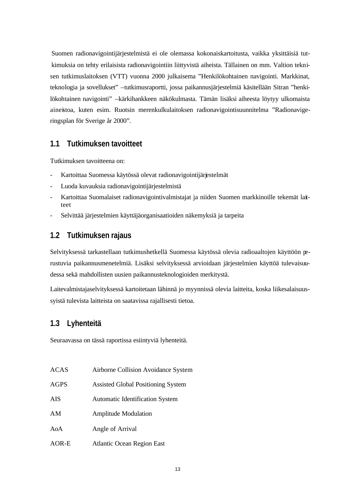Suomen radionavigointijärjestelmistä ei ole olemassa kokonaiskartoitusta, vaikka yksittäisiä tutkimuksia on tehty erilaisista radionavigointiin liittyvistä aiheista. Tällainen on mm. Valtion teknisen tutkimuslaitoksen (VTT) vuonna 2000 julkaisema "Henkilökohtainen navigointi. Markkinat, teknologia ja sovellukset" –tutkimusraportti, jossa paikannusjärjestelmiä käsitellään Sitran "henkilökohtainen navigointi" –kärkihankkeen näkökulmasta. Tämän lisäksi aiheesta löytyy ulkomaista aineistoa, kuten esim. Ruotsin merenkulkulaitoksen radionavigointisuunnitelma "Radionavigeringsplan för Sverige år 2000".

#### **1.1 Tutkimuksen tavoitteet**

Tutkimuksen tavoitteena on:

- Kartoittaa Suomessa käytössä olevat radionavigointijärjestelmät
- Luoda kuvauksia radionavigointijärjestelmistä
- Kartoittaa Suomalaiset radionavigointivalmistajat ja niiden Suomen markkinoille tekemät laitteet
- Selvittää järjestelmien käyttäjäorganisaatioiden näkemyksiä ja tarpeita

### **1.2 Tutkimuksen rajaus**

Selvityksessä tarkastellaan tutkimushetkellä Suomessa käytössä olevia radioaaltojen käyttöön perustuvia paikannusmenetelmiä. Lisäksi selvityksessä arvioidaan järjestelmien käyttöä tulevaisuudessa sekä mahdollisten uusien paikannusteknologioiden merkitystä.

Laitevalmistajaselvityksessä kartoitetaan lähinnä jo myynnissä olevia laitteita, koska liikesalaisuussyistä tulevista laitteista on saatavissa rajallisesti tietoa.

### **1.3 Lyhenteitä**

Seuraavassa on tässä raportissa esiintyviä lyhenteitä.

| ACAS<br>Airborne Collision Avoidance System |  |  |  |  |  |
|---------------------------------------------|--|--|--|--|--|
|---------------------------------------------|--|--|--|--|--|

- AGPS Assisted Global Positioning System
- AIS Automatic Identification System
- AM Amplitude Modulation
- AoA Angle of Arrival
- AOR-E Atlantic Ocean Region East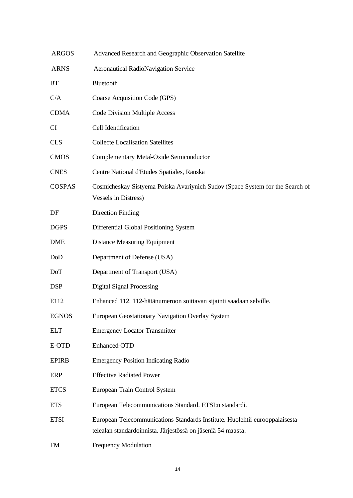| <b>ARGOS</b>  | Advanced Research and Geographic Observation Satellite                                                                                      |
|---------------|---------------------------------------------------------------------------------------------------------------------------------------------|
| <b>ARNS</b>   | <b>Aeronautical RadioNavigation Service</b>                                                                                                 |
| BT            | Bluetooth                                                                                                                                   |
| C/A           | Coarse Acquisition Code (GPS)                                                                                                               |
| <b>CDMA</b>   | Code Division Multiple Access                                                                                                               |
| <b>CI</b>     | Cell Identification                                                                                                                         |
| <b>CLS</b>    | <b>Collecte Localisation Satellites</b>                                                                                                     |
| <b>CMOS</b>   | Complementary Metal-Oxide Semiconductor                                                                                                     |
| <b>CNES</b>   | Centre National d'Etudes Spatiales, Ranska                                                                                                  |
| <b>COSPAS</b> | Cosmicheskay Sistyema Poiska Avariynich Sudov (Space System for the Search of<br><b>Vessels in Distress)</b>                                |
| DF            | <b>Direction Finding</b>                                                                                                                    |
| <b>DGPS</b>   | Differential Global Positioning System                                                                                                      |
| <b>DME</b>    | <b>Distance Measuring Equipment</b>                                                                                                         |
| DoD           | Department of Defense (USA)                                                                                                                 |
| DoT           | Department of Transport (USA)                                                                                                               |
| <b>DSP</b>    | <b>Digital Signal Processing</b>                                                                                                            |
| E112          | Enhanced 112. 112-hätänumeroon soittavan sijainti saadaan selville.                                                                         |
| <b>EGNOS</b>  | European Geostationary Navigation Overlay System                                                                                            |
| <b>ELT</b>    | <b>Emergency Locator Transmitter</b>                                                                                                        |
| E-OTD         | Enhanced-OTD                                                                                                                                |
| <b>EPIRB</b>  | <b>Emergency Position Indicating Radio</b>                                                                                                  |
| ERP           | <b>Effective Radiated Power</b>                                                                                                             |
| <b>ETCS</b>   | European Train Control System                                                                                                               |
| <b>ETS</b>    | European Telecommunications Standard. ETSI:n standardi.                                                                                     |
| <b>ETSI</b>   | European Telecommunications Standards Institute. Huolehtii eurooppalaisesta<br>telealan standardoinnista. Järjestössä on jäseniä 54 maasta. |
| <b>FM</b>     | <b>Frequency Modulation</b>                                                                                                                 |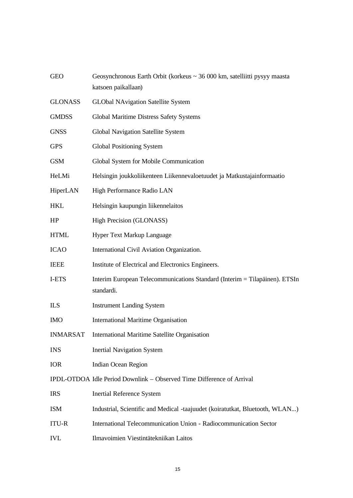| <b>GEO</b>      | Geosynchronous Earth Orbit (korkeus $\sim$ 36 000 km, satelliitti pysyy maasta<br>katsoen paikallaan) |
|-----------------|-------------------------------------------------------------------------------------------------------|
| <b>GLONASS</b>  | <b>GLObal NAvigation Satellite System</b>                                                             |
| <b>GMDSS</b>    | Global Maritime Distress Safety Systems                                                               |
| <b>GNSS</b>     | Global Navigation Satellite System                                                                    |
| <b>GPS</b>      | <b>Global Positioning System</b>                                                                      |
| GSM             | Global System for Mobile Communication                                                                |
| HeLMi           | Helsingin joukkoliikenteen Liikennevaloetuudet ja Matkustajainformaatio                               |
| HiperLAN        | High Performance Radio LAN                                                                            |
| HKL             | Helsingin kaupungin liikennelaitos                                                                    |
| HP              | High Precision (GLONASS)                                                                              |
| <b>HTML</b>     | Hyper Text Markup Language                                                                            |
| <b>ICAO</b>     | International Civil Aviation Organization.                                                            |
| <b>IEEE</b>     | Institute of Electrical and Electronics Engineers.                                                    |
| I-ETS           | Interim European Telecommunications Standard (Interim = Tilapäinen). ETSIn<br>standardi.              |
| <b>ILS</b>      | <b>Instrument Landing System</b>                                                                      |
| <b>IMO</b>      | <b>International Maritime Organisation</b>                                                            |
| <b>INMARSAT</b> | <b>International Maritime Satellite Organisation</b>                                                  |
| <b>INS</b>      | <b>Inertial Navigation System</b>                                                                     |
| IOR             | Indian Ocean Region                                                                                   |
|                 | IPDL-OTDOA Idle Period Downlink – Observed Time Difference of Arrival                                 |
| <b>IRS</b>      | <b>Inertial Reference System</b>                                                                      |
| ISM             | Industrial, Scientific and Medical -taajuudet (koiratutkat, Bluetooth, WLAN)                          |
| <b>ITU-R</b>    | International Telecommunication Union - Radiocommunication Sector                                     |
| IVL             | Ilmavoimien Viestintätekniikan Laitos                                                                 |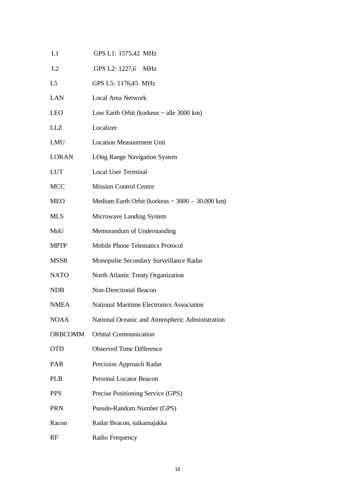| L1             | GPS L1: 1575,42 MHz                               |
|----------------|---------------------------------------------------|
| L2             | GPS L2: 1227,6 MHz                                |
| L5             | GPS L5: 1176,45 MHz                               |
| LAN            | <b>Local Area Network</b>                         |
| LEO            | Low Earth Orbit (korkeus $\sim$ alle 3000 km)     |
| LLZ            | Localizer                                         |
| LMU            | <b>Location Measurement Unit</b>                  |
| LORAN          | <b>LOng Range Navigation System</b>               |
| LUT            | <b>Local User Terminal</b>                        |
| MCC            | <b>Mission Control Centre</b>                     |
| MEO            | Medium Earth Orbit (korkeus ~ $3000 - 30.000$ km) |
| MLS            | Microwave Landing System                          |
| MoU            | Memorandum of Understanding                       |
| MPTP           | <b>Mobile Phone Telematics Protocol</b>           |
| MSSR           | Monopulse Secondary Surveillance Radar            |
| NATO           | North Atlantic Treaty Organization                |
| NDB            | Non-Directional Beacon                            |
| <b>NMEA</b>    | National Maritime Electronics Association         |
| NOAA           | National Oceanic and Atmospheric Administration   |
| <b>ORBCOMM</b> | <b>Orbital Communication</b>                      |
| OTD            | <b>Observed Time Difference</b>                   |
| PAR            | Precision Approach Radar                          |
| <b>PLB</b>     | <b>Personal Locator Beacon</b>                    |
| PPS            | Precise Positioning Service (GPS)                 |
| PRN            | Pseudo-Random Number (GPS)                        |
| Racon          | Radar Beacon, tutkamajakka                        |
| RF             | Radio Frequency                                   |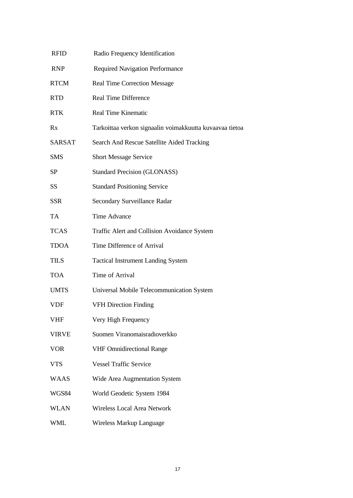| <b>RFID</b>   | Radio Frequency Identification                           |
|---------------|----------------------------------------------------------|
| <b>RNP</b>    | <b>Required Navigation Performance</b>                   |
| <b>RTCM</b>   | <b>Real Time Correction Message</b>                      |
| <b>RTD</b>    | <b>Real Time Difference</b>                              |
| <b>RTK</b>    | <b>Real Time Kinematic</b>                               |
| Rx            | Tarkoittaa verkon signaalin voimakkuutta kuvaavaa tietoa |
| <b>SARSAT</b> | Search And Rescue Satellite Aided Tracking               |
| <b>SMS</b>    | <b>Short Message Service</b>                             |
| SP            | <b>Standard Precision (GLONASS)</b>                      |
| <b>SS</b>     | <b>Standard Positioning Service</b>                      |
| <b>SSR</b>    | Secondary Surveillance Radar                             |
| TA            | <b>Time Advance</b>                                      |
| <b>TCAS</b>   | Traffic Alert and Collision Avoidance System             |
| <b>TDOA</b>   | Time Difference of Arrival                               |
| <b>TILS</b>   | <b>Tactical Instrument Landing System</b>                |
| <b>TOA</b>    | Time of Arrival                                          |
| <b>UMTS</b>   | Universal Mobile Telecommunication System                |
| <b>VDF</b>    | <b>VFH Direction Finding</b>                             |
| VHF           | Very High Frequency                                      |
| <b>VIRVE</b>  | Suomen Viranomaisradioverkko                             |
| <b>VOR</b>    | <b>VHF Omnidirectional Range</b>                         |
| <b>VTS</b>    | <b>Vessel Traffic Service</b>                            |
| <b>WAAS</b>   | Wide Area Augmentation System                            |
| WGS84         | World Geodetic System 1984                               |
| <b>WLAN</b>   | Wireless Local Area Network                              |
| <b>WML</b>    | Wireless Markup Language                                 |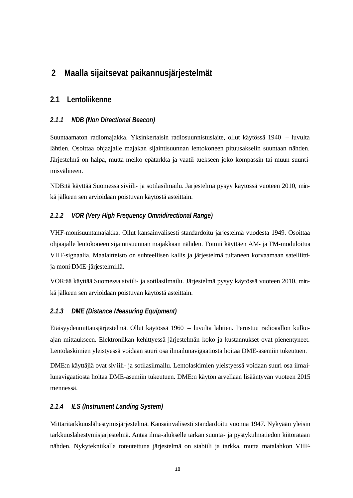# **2 Maalla sijaitsevat paikannusjärjestelmät**

### **2.1 Lentoliikenne**

#### *2.1.1 NDB (Non Directional Beacon)*

Suuntaamaton radiomajakka. Yksinkertaisin radiosuunnistuslaite, ollut käytössä 1940 – luvulta lähtien. Osoittaa ohjaajalle majakan sijaintisuunnan lentokoneen pituusakselin suuntaan nähden. Järjestelmä on halpa, mutta melko epätarkka ja vaatii tuekseen joko kompassin tai muun suuntimisvälineen.

NDB:tä käyttää Suomessa siviili- ja sotilasilmailu. Järjestelmä pysyy käytössä vuoteen 2010, minkä jälkeen sen arvioidaan poistuvan käytöstä asteittain.

#### *2.1.2 VOR (Very High Frequency Omnidirectional Range)*

VHF-monisuuntamajakka. Ollut kansainvälisesti standardoitu järjestelmä vuodesta 1949. Osoittaa ohjaajalle lentokoneen sijaintisuunnan majakkaan nähden. Toimii käyttäen AM- ja FM-moduloitua VHF-signaalia. Maalaitteisto on suhteellisen kallis ja järjestelmä tultaneen korvaamaan satelliittija moni-DME-järjestelmillä.

VOR:ää käyttää Suomessa siviili- ja sotilasilmailu. Järjestelmä pysyy käytössä vuoteen 2010, minkä jälkeen sen arvioidaan poistuvan käytöstä asteittain.

#### *2.1.3 DME (Distance Measuring Equipment)*

Etäisyydenmittausjärjestelmä. Ollut käytössä 1960 – luvulta lähtien. Perustuu radioaallon kulkuajan mittaukseen. Elektroniikan kehittyessä järjestelmän koko ja kustannukset ovat pienentyneet. Lentolaskimien yleistyessä voidaan suuri osa ilmailunavigaatiosta hoitaa DME-asemiin tukeutuen.

DME:n käyttäjiä ovat siviili- ja sotilasilmailu. Lentolaskimien yleistyessä voidaan suuri osa ilmailunavigaatiosta hoitaa DME-asemiin tukeutuen. DME:n käytön arvellaan lisääntyvän vuoteen 2015 mennessä.

#### *2.1.4 ILS (Instrument Landing System)*

Mittaritarkkuuslähestymisjärjestelmä. Kansainvälisesti standardoitu vuonna 1947. Nykyään yleisin tarkkuuslähestymisjärjestelmä. Antaa ilma-alukselle tarkan suunta- ja pystykulmatiedon kiitorataan nähden. Nykytekniikalla toteutettuna järjestelmä on stabiili ja tarkka, mutta matalahkon VHF-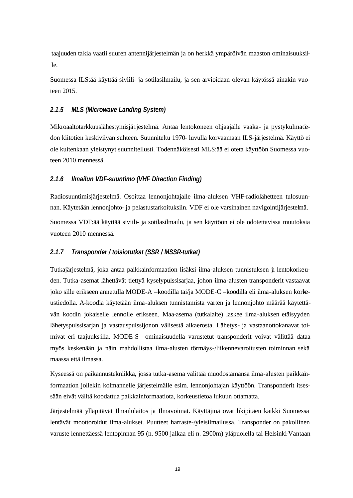taajuuden takia vaatii suuren antennijärjestelmän ja on herkkä ympäröivän maaston ominaisuuksille.

Suomessa ILS:ää käyttää siviili- ja sotilasilmailu, ja sen arvioidaan olevan käytössä ainakin vuoteen 2015.

#### *2.1.5 MLS (Microwave Landing System)*

Mikroaaltotarkkuuslähestymisjä rjestelmä. Antaa lentokoneen ohjaajalle vaaka- ja pystykulmatiedon kiitotien keskiviivan suhteen. Suunniteltu 1970- luvulla korvaamaan ILS-järjestelmä. Käyttö ei ole kuitenkaan yleistynyt suunnitellusti. Todennäköisesti MLS:ää ei oteta käyttöön Suomessa vuoteen 2010 mennessä.

#### *2.1.6 Ilmailun VDF-suuntimo (VHF Direction Finding)*

Radiosuuntimisjärjestelmä. Osoittaa lennonjohtajalle ilma-aluksen VHF-radiolähetteen tulosuunnan. Käytetään lennonjohto- ja pelastustarkoituksiin. VDF ei ole varsinainen navigointijärjestelmä. Suomessa VDF:ää käyttää siviili- ja sotilasilmailu, ja sen käyttöön ei ole odotettavissa muutoksia vuoteen 2010 mennessä.

#### *2.1.7 Transponder / toisiotutkat (SSR / MSSR-tutkat)*

Tutkajärjestelmä, joka antaa paikkainformaation lisäksi ilma-aluksen tunnistuksen ja lentokorkeuden. Tutka-asemat lähettävät tiettyä kyselypulssisarjaa, johon ilma-alusten transponderit vastaavat joko sille erikseen annetulla MODE-A –koodilla tai/ja MODE-C –koodilla eli ilma-aluksen korkeustiedolla. A-koodia käytetään ilma-aluksen tunnistamista varten ja lennonjohto määrää käytettävän koodin jokaiselle lennolle erikseen. Maa-asema (tutkalaite) laskee ilma-aluksen etäisyyden lähetyspulssisarjan ja vastauspulssijonon välisestä aikaerosta. Lähetys- ja vastaanottokanavat toimivat eri taajuuksilla. MODE-S –ominaisuudella varustetut transponderit voivat välittää dataa myös keskenään ja näin mahdollistaa ilma-alusten törmäys-/liikennevaroitusten toiminnan sekä maassa että ilmassa.

Kyseessä on paikannustekniikka, jossa tutka-asema välittää muodostamansa ilma-alusten paikkainformaation jollekin kolmannelle järjestelmälle esim. lennonjohtajan käyttöön. Transponderit itsessään eivät välitä koodattua paikkainformaatiota, korkeustietoa lukuun ottamatta.

Järjestelmää ylläpitävät Ilmailulaitos ja Ilmavoimat. Käyttäjinä ovat likipitäen kaikki Suomessa lentävät moottoroidut ilma-alukset. Puutteet harraste-/yleisilmailussa. Transponder on pakollinen varuste lennettäessä lentopinnan 95 (n. 9500 jalkaa eli n. 2900m) yläpuolella tai Helsinki-Vantaan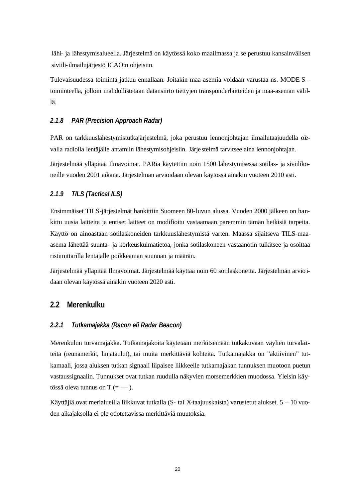lähi- ja lähestymisalueella. Järjestelmä on käytössä koko maailmassa ja se perustuu kansainvälisen siviili-ilmailujärjestö ICAO:n ohjeisiin.

Tulevaisuudessa toiminta jatkuu ennallaan. Joitakin maa-asemia voidaan varustaa ns. MODE-S – toiminteella, jolloin mahdollistetaan datansiirto tiettyjen transponderlaitteiden ja maa-aseman välillä.

#### *2.1.8 PAR (Precision Approach Radar)*

PAR on tarkkuuslähestymistutkajärjestelmä, joka perustuu lennonjohtajan ilmailutaajuudella olevalla radiolla lentäjälle antamiin lähestymisohjeisiin. Järje stelmä tarvitsee aina lennonjohtajan.

Järjestelmää ylläpitää Ilmavoimat. PARia käytettiin noin 1500 lähestymisessä sotilas- ja siviilikoneille vuoden 2001 aikana. Järjestelmän arvioidaan olevan käytössä ainakin vuoteen 2010 asti.

#### *2.1.9 TILS (Tactical ILS)*

Ensimmäiset TILS-järjestelmät hankittiin Suomeen 80-luvun alussa. Vuoden 2000 jälkeen on hankittu uusia laitteita ja entiset laitteet on modifioitu vastaamaan paremmin tämän hetkisiä tarpeita. Käyttö on ainoastaan sotilaskoneiden tarkkuuslähestymistä varten. Maassa sijaitseva TILS-maaasema lähettää suunta- ja korkeuskulmatietoa, jonka sotilaskoneen vastaanotin tulkitsee ja osoittaa ristimittarilla lentäjälle poikkeaman suunnan ja määrän.

Järjestelmää ylläpitää Ilmavoimat. Järjestelmää käyttää noin 60 sotilaskonetta. Järjestelmän arvioidaan olevan käytössä ainakin vuoteen 2020 asti.

#### **2.2 Merenkulku**

#### *2.2.1 Tutkamajakka (Racon eli Radar Beacon)*

Merenkulun turvamajakka. Tutkamajakoita käytetään merkitsemään tutkakuvaan väylien turvalaitteita (reunamerkit, linjataulut), tai muita merkittäviä kohteita. Tutkamajakka on "aktiivinen" tutkamaali, jossa aluksen tutkan signaali liipaisee liikkeelle tutkamajakan tunnuksen muotoon puetun vastaussignaalin. Tunnukset ovat tutkan ruudulla näkyvien morsemerkkien muodossa. Yleisin käytössä oleva tunnus on T  $(=-)$ .

Käyttäjiä ovat merialueilla liikkuvat tutkalla (S- tai X-taajuuskaista) varustetut alukset. 5 – 10 vuoden aikajaksolla ei ole odotettavissa merkittäviä muutoksia.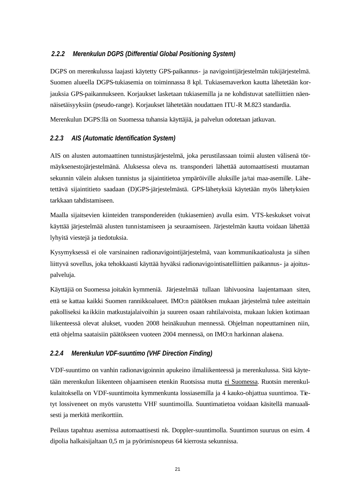#### *2.2.2 Merenkulun DGPS (Differential Global Positioning System)*

DGPS on merenkulussa laajasti käytetty GPS-paikannus- ja navigointijärjestelmän tukijärjestelmä. Suomen alueella DGPS-tukiasemia on toiminnassa 8 kpl. Tukiasemaverkon kautta lähetetään korjauksia GPS-paikannukseen. Korjaukset lasketaan tukiasemilla ja ne kohdistuvat satelliittien näennäisetäisyyksiin (pseudo-range). Korjaukset lähetetään noudattaen ITU-R M.823 standardia.

Merenkulun DGPS:llä on Suomessa tuhansia käyttäjiä, ja palvelun odotetaan jatkuvan.

#### *2.2.3 AIS (Automatic Identification System)*

AIS on alusten automaattinen tunnistusjärjestelmä, joka perustilassaan toimii alusten välisenä törmäyksenestojärjestelmänä. Aluksessa oleva ns. transponderi lähettää automaattisesti muutaman sekunnin välein aluksen tunnistus ja sijaintitietoa ympäröiville aluksille ja/tai maa-asemille. Lähetettävä sijaintitieto saadaan (D)GPS-järjestelmästä. GPS-lähetyksiä käytetään myös lähetyksien tarkkaan tahdistamiseen.

Maalla sijaitsevien kiinteiden transpondereiden (tukiasemien) avulla esim. VTS-keskukset voivat käyttää järjestelmää alusten tunnistamiseen ja seuraamiseen. Järjestelmän kautta voidaan lähettää lyhyitä viestejä ja tiedotuksia.

Kysymyksessä ei ole varsinainen radionavigointijärjestelmä, vaan kommunikaatioalusta ja siihen liittyvä sovellus, joka tehokkaasti käyttää hyväksi radionavigointisatelliittien paikannus- ja ajoituspalveluja.

Käyttäjiä on Suomessa joitakin kymmeniä. Järjestelmää tullaan lähivuosina laajentamaan siten, että se kattaa kaikki Suomen rannikkoalueet. IMO:n päätöksen mukaan järjestelmä tulee asteittain pakolliseksi ka ikkiin matkustajalaivoihin ja suureen osaan rahtilaivoista, mukaan lukien kotimaan liikenteessä olevat alukset, vuoden 2008 heinäkuuhun mennessä. Ohjelman nopeuttaminen niin, että ohjelma saataisiin päätökseen vuoteen 2004 mennessä, on IMO:n harkinnan alaisena.

#### *2.2.4 Merenkulun VDF-suuntimo (VHF Direction Finding)*

VDF-suuntimo on vanhin radionavigoinnin apukeino ilmaliikenteessä ja merenkulussa. Sitä käytetään merenkulun liikenteen ohjaamiseen etenkin Ruotsissa mutta ei Suomessa. Ruotsin merenkulkulaitoksella on VDF-suuntimoita kymmenkunta lossiasemilla ja 4 kauko-ohjattua suuntimoa. Tietyt lossiveneet on myös varustettu VHF suuntimoilla. Suuntimatietoa voidaan käsitellä manuaalisesti ja merkitä merikorttiin.

Peilaus tapahtuu asemissa automaattisesti nk. Doppler-suuntimolla. Suuntimon suuruus on esim. 4 dipolia halkaisijaltaan 0,5 m ja pyörimisnopeus 64 kierrosta sekunnissa.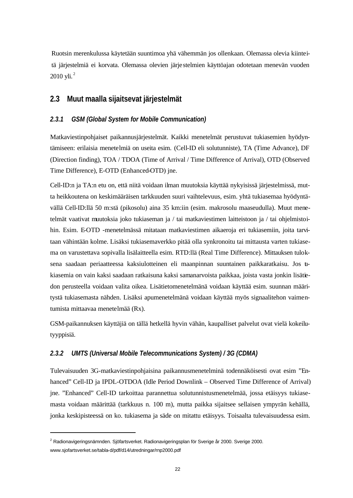Ruotsin merenkulussa käytetään suuntimoa yhä vähemmän jos ollenkaan. Olemassa olevia kiinteitä järjestelmiä ei korvata. Olemassa olevien järje stelmien käyttöajan odotetaan menevän vuoden  $2010$  vli.<sup>2</sup>

#### **2.3 Muut maalla sijaitsevat järjestelmät**

#### *2.3.1 GSM (Global System for Mobile Communication)*

Matkaviestinpohjaiset paikannusjärjestelmät. Kaikki menetelmät perustuvat tukiasemien hyödyntämiseen: erilaisia menetelmiä on useita esim. (Cell-ID eli solutunniste), TA (Time Advance), DF (Direction finding), TOA / TDOA (Time of Arrival / Time Difference of Arrival), OTD (Observed Time Difference), E-OTD (Enhanced-OTD) jne.

Cell-ID:n ja TA:n etu on, että niitä voidaan ilman muutoksia käyttää nykyisissä järjestelmissä, mutta heikkoutena on keskimääräisen tarkkuuden suuri vaihtelevuus, esim. yhtä tukiasemaa hyödyntävällä Cell-ID:llä 50 m:stä (pikosolu) aina 35 km:iin (esim. makrosolu maaseudulla). Muut menetelmät vaativat muutoksia joko tukiaseman ja / tai matkaviestimen laitteistoon ja / tai ohjelmistoihin. Esim. E-OTD -menetelmässä mitataan matkaviestimen aikaeroja eri tukiasemiin, joita tarvitaan vähintään kolme. Lisäksi tukiasemaverkko pitää olla synkronoitu tai mittausta varten tukiasema on varustettava sopivalla lisälaitteella esim. RTD:llä (Real Time Difference). Mittauksen tuloksena saadaan periaatteessa kaksiulotteinen eli maanpinnan suuntainen paikkaratkaisu. Jos tukiasemia on vain kaksi saadaan ratkaisuna kaksi samanarvoista paikkaa, joista vasta jonkin lisätiedon perusteella voidaan valita oikea. Lisätietomenetelmänä voidaan käyttää esim. suunnan määritystä tukiasemasta nähden. Lisäksi apumenetelmänä voidaan käyttää myös signaalitehon vaimentumista mittaavaa menetelmää (Rx).

GSM-paikannuksen käyttäjiä on tällä hetkellä hyvin vähän, kaupalliset palvelut ovat vielä kokeilutyyppisiä.

#### *2.3.2 UMTS (Universal Mobile Telecommunications System) / 3G (CDMA)*

Tulevaisuuden 3G-matkaviestinpohjaisina paikannusmenetelminä todennäköisesti ovat esim "Enhanced" Cell-ID ja IPDL-OTDOA (Idle Period Downlink – Observed Time Difference of Arrival) jne. "Enhanced" Cell-ID tarkoittaa parannettua solutunnistusmenetelmää, jossa etäisyys tukiasemasta voidaan määrittää (tarkkuus n. 100 m), mutta paikka sijaitsee sellaisen ympyrän kehällä, jonka keskipisteessä on ko. tukiasema ja säde on mitattu etäisyys. Toisaalta tulevaisuudessa esim.

<sup>&</sup>lt;sup>2</sup> Radionavigeringsnämnden. Sjöfartsverket. Radionavigeringsplan för Sverige år 2000. Sverige 2000. www.sjofartsverket.se/tabla-d/pdf/d14/utredningar/rnp2000.pdf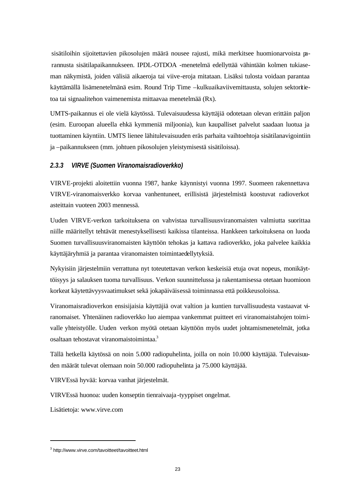sisätiloihin sijoitettavien pikosolujen määrä nousee rajusti, mikä merkitsee huomionarvoista parannusta sisätilapaikannukseen. IPDL-OTDOA -menetelmä edellyttää vähintään kolmen tukiaseman näkymistä, joiden välisiä aikaeroja tai viive-eroja mitataan. Lisäksi tulosta voidaan parantaa käyttämällä lisämenetelmänä esim. Round Trip Time –kulkuaikaviivemittausta, solujen sektoritietoa tai signaalitehon vaimenemista mittaavaa menetelmää (Rx).

UMTS-paikannus ei ole vielä käytössä. Tulevaisuudessa käyttäjiä odotetaan olevan erittäin paljon (esim. Euroopan alueella ehkä kymmeniä miljoonia), kun kaupalliset palvelut saadaan luotua ja tuottaminen käyntiin. UMTS lienee lähitulevaisuuden eräs parhaita vaihtoehtoja sisätilanavigointiin ja –paikannukseen (mm. johtuen pikosolujen yleistymisestä sisätiloissa).

#### *2.3.3 VIRVE (Suomen Viranomaisradioverkko)*

VIRVE-projekti aloitettiin vuonna 1987, hanke käynnistyi vuonna 1997. Suomeen rakennettava VIRVE-viranomaisverkko korvaa vanhentuneet, erillisistä järjestelmistä koostuvat radioverkot asteittain vuoteen 2003 mennessä.

Uuden VIRVE-verkon tarkoituksena on vahvistaa turvallisuusviranomaisten valmiutta suorittaa niille määritellyt tehtävät menestyksellisesti kaikissa tilanteissa. Hankkeen tarkoituksena on luoda Suomen turvallisuusviranomaisten käyttöön tehokas ja kattava radioverkko, joka palvelee kaikkia käyttäjäryhmiä ja parantaa viranomaisten toimintaedellytyksiä.

Nykyisiin järjestelmiin verrattuna nyt toteutettavan verkon keskeisiä etuja ovat nopeus, monikäyttöisyys ja salauksen tuoma turvallisuus. Verkon suunnittelussa ja rakentamisessa otetaan huomioon korkeat käytettävyysvaatimukset sekä jokapäiväisessä toiminnassa että poikkeusoloissa.

Viranomaisradioverkon ensisijaisia käyttäjiä ovat valtion ja kuntien turvallisuudesta vastaavat viranomaiset. Yhtenäinen radioverkko luo aiempaa vankemmat puitteet eri viranomaistahojen toimivalle yhteistyölle. Uuden verkon myötä otetaan käyttöön myös uudet johtamismenetelmät, jotka osaltaan tehostavat viranomaistoimintaa.<sup>3</sup>

Tällä hetkellä käytössä on noin 5.000 radiopuhelinta, joilla on noin 10.000 käyttäjää. Tulevaisuuden määrät tulevat olemaan noin 50.000 radiopuhelinta ja 75.000 käyttäjää.

VIRVEssä hyvää: korvaa vanhat järjestelmät.

VIRVEssä huonoa: uuden konseptin tienraivaaja -tyyppiset ongelmat.

Lisätietoja: www.virve.com

<sup>&</sup>lt;sup>3</sup> http://www.virve.com/tavoitteet/tavoitteet.html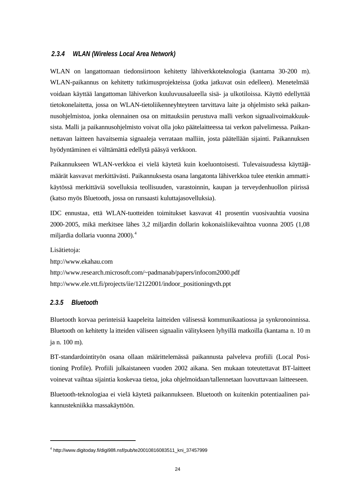#### *2.3.4 WLAN (Wireless Local Area Network)*

WLAN on langattomaan tiedonsiirtoon kehitetty lähiverkkoteknologia (kantama 30-200 m). WLAN-paikannus on kehitetty tutkimusprojekteissa (jotka jatkuvat osin edelleen). Menetelmää voidaan käyttää langattoman lähiverkon kuuluvuusalueella sisä- ja ulkotiloissa. Käyttö edellyttää tietokonelaitetta, jossa on WLAN-tietoliikenneyhteyteen tarvittava laite ja ohjelmisto sekä paikannusohjelmistoa, jonka olennainen osa on mittauksiin perustuva malli verkon signaalivoimakkuuksista. Malli ja paikannusohjelmisto voivat olla joko päätelaitteessa tai verkon palvelimessa. Paikannettavan laitteen havaitsemia signaaleja verrataan malliin, josta päätellään sijainti. Paikannuksen hyödyntäminen ei välttämättä edellytä pääsyä verkkoon.

Paikannukseen WLAN-verkkoa ei vielä käytetä kuin koeluontoisesti. Tulevaisuudessa käyttäjämäärät kasvavat merkittävästi. Paikannuksesta osana langatonta lähiverkkoa tulee etenkin ammattikäytössä merkittäviä sovelluksia teollisuuden, varastoinnin, kaupan ja terveydenhuollon piirissä (katso myös Bluetooth, jossa on runsaasti kuluttajasovelluksia).

IDC ennustaa, että WLAN-tuotteiden toimitukset kasvavat 41 prosentin vuosivauhtia vuosina 2000-2005, mikä merkitsee lähes 3,2 miljardin dollarin kokonaisliikevaihtoa vuonna 2005 (1,08 miljardia dollaria vuonna 2000).<sup>4</sup>

Lisätietoja: http://www.ekahau.com http://www.research.microsoft.com/~padmanab/papers/infocom2000.pdf http://www.ele.vtt.fi/projects/iie/12122001/indoor\_positioningvth.ppt

#### *2.3.5 Bluetooth*

l

Bluetooth korvaa perinteisiä kaapeleita laitteiden välisessä kommunikaatiossa ja synkronoinnissa. Bluetooth on kehitetty la itteiden väliseen signaalin välitykseen lyhyillä matkoilla (kantama n. 10 m ja n. 100 m).

BT-standardointityön osana ollaan määrittelemässä paikannusta palveleva profiili (Local Positioning Profile). Profiili julkaistaneen vuoden 2002 aikana. Sen mukaan toteutettavat BT-laitteet voinevat vaihtaa sijaintia koskevaa tietoa, joka ohjelmoidaan/tallennetaan luovuttavaan laitteeseen.

Bluetooth-teknologiaa ei vielä käytetä paikannukseen. Bluetooth on kuitenkin potentiaalinen paikannustekniikka massakäyttöön.

<sup>4</sup> http://www.digitoday.fi/digi98fi.nsf/pub/te20010816083511\_kni\_37457999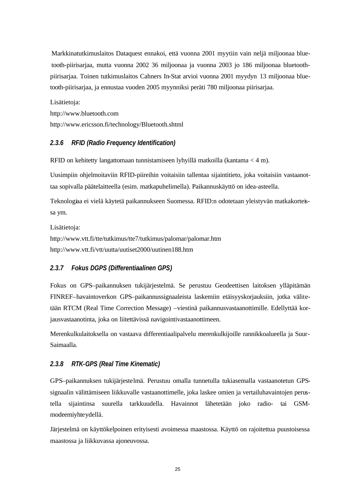Markkinatutkimuslaitos Dataquest ennakoi, että vuonna 2001 myytiin vain neljä miljoonaa bluetooth-piirisarjaa, mutta vuonna 2002 36 miljoonaa ja vuonna 2003 jo 186 miljoonaa bluetoothpiirisarjaa. Toinen tutkimuslaitos Cahners In-Stat arvioi vuonna 2001 myydyn 13 miljoonaa bluetooth-piirisarjaa, ja ennustaa vuoden 2005 myynniksi peräti 780 miljoonaa piirisarjaa.

Lisätietoja: http://www.bluetooth.com http://www.ericsson.fi/technology/Bluetooth.shtml

#### *2.3.6 RFID (Radio Frequency Identification)*

RFID on kehitetty langattomaan tunnistamiseen lyhyillä matkoilla (kantama < 4 m).

Uusimpiin ohjelmoitaviin RFID-piireihin voitaisiin tallentaa sijaintitieto, joka voitaisiin vastaanottaa sopivalla päätelaitteella (esim. matkapuhelimella). Paikannuskäyttö on idea-asteella.

Teknologiaa ei vielä käytetä paikannukseen Suomessa. RFID:n odotetaan yleistyvän matkakorteissa ym.

Lisätietoja: http://www.vtt.fi/tte/tutkimus/tte7/tutkimus/palomar/palomar.htm http://www.vtt.fi/vtt/uutta/uutiset2000/uutinen188.htm

### *2.3.7 Fokus DGPS (Differentiaalinen GPS)*

Fokus on GPS–paikannuksen tukijärjestelmä. Se perustuu Geodeettisen laitoksen ylläpitämän FINREF–havaintoverkon GPS–paikannussignaaleista laskemiin etäisyyskorjauksiin, jotka välitetään RTCM (Real Time Correction Message) –viestinä paikannusvastaanottimille. Edellyttää korjausvastaanotinta, joka on liitettävissä navigointivastaanottimeen.

Merenkulkulaitoksella on vastaava differentiaalipalvelu merenkulkijoille rannikkoalueella ja Suur-Saimaalla.

#### *2.3.8 RTK-GPS (Real Time Kinematic)*

GPS–paikannuksen tukijärjestelmä. Perustuu omalla tunnetulla tukiasemalla vastaanotetun GPSsignaalin välittämiseen liikkuvalle vastaanottimelle, joka laskee omien ja vertailuhavaintojen perustella sijaintinsa suurella tarkkuudella. Havainnot lähetetään joko radio- tai GSMmodeemiyhteydellä.

Järjestelmä on käyttökelpoinen erityisesti avoimessa maastossa. Käyttö on rajoitettua puustoisessa maastossa ja liikkuvassa ajoneuvossa.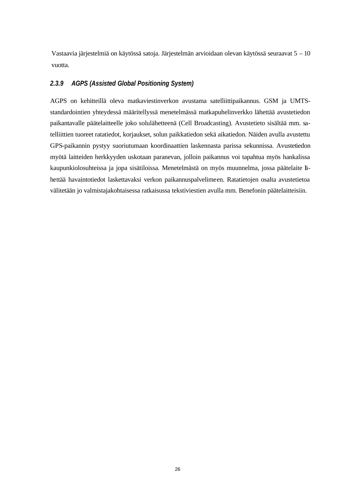Vastaavia järjestelmiä on käytössä satoja. Järjestelmän arvioidaan olevan käytössä seuraavat 5 – 10 vuotta.

#### *2.3.9 AGPS (Assisted Global Positioning System)*

AGPS on kehitteillä oleva matkaviestinverkon avustama satelliittipaikannus. GSM ja UMTSstandardointien yhteydessä määritellyssä menetelmässä matkapuhelinverkko lähettää avustetiedon paikantavalle päätelaitteelle joko solulähetteenä (Cell Broadcasting). Avustetieto sisältää mm. satelliittien tuoreet ratatiedot, korjaukset, solun paikkatiedon sekä aikatiedon. Näiden avulla avustettu GPS-paikannin pystyy suoriutumaan koordinaattien laskennasta parissa sekunnissa. Avustetiedon myötä laitteiden herkkyyden uskotaan paranevan, jolloin paikannus voi tapahtua myös hankalissa kaupunkiolosuhteissa ja jopa sisätiloissa. Menetelmästä on myös muunnelma, jossa päätelaite lähettää havaintotiedot laskettavaksi verkon paikannuspalvelimeen. Ratatietojen osalta avustetietoa välitetään jo valmistajakohtaisessa ratkaisussa tekstiviestien avulla mm. Benefonin päätelaitteisiin.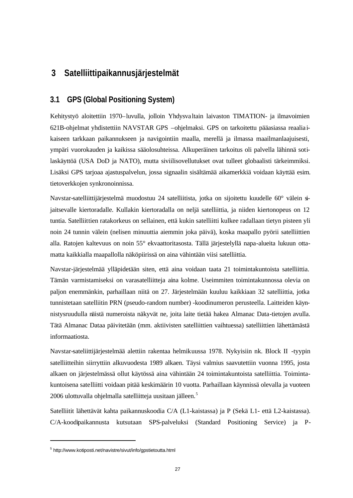## **3 Satelliittipaikannusjärjestelmät**

### **3.1 GPS (Global Positioning System)**

Kehitystyö aloitettiin 1970–luvulla, jolloin Yhdysva ltain laivaston TIMATION- ja ilmavoimien 621B-ohjelmat yhdistettiin NAVSTAR GPS –ohjelmaksi. GPS on tarkoitettu pääasiassa reaalia ikaiseen tarkkaan paikannukseen ja navigointiin maalla, merellä ja ilmassa maailmanlaajuisesti, ympäri vuorokauden ja kaikissa sääolosuhteissa. Alkuperäinen tarkoitus oli palvella lähinnä sotilaskäyttöä (USA DoD ja NATO), mutta siviilisovellutukset ovat tulleet globaalisti tärkeimmiksi. Lisäksi GPS tarjoaa ajastuspalvelun, jossa signaalin sisältämää aikamerkkiä voidaan käyttää esim. tietoverkkojen synkronoinnissa.

Navstar-satelliittijärjestelmä muodostuu 24 satelliitista, jotka on sijoitettu kuudelle 60° välein sijaitsevalle kiertoradalle. Kullakin kiertoradalla on neljä satelliittia, ja niiden kiertonopeus on 12 tuntia. Satelliittien ratakorkeus on sellainen, että kukin satelliitti kulkee radallaan tietyn pisteen yli noin 24 tunnin välein (nelisen minuuttia aiemmin joka päivä), koska maapallo pyörii satelliittien alla. Ratojen kaltevuus on noin 55° ekvaattoritasosta. Tällä järjestelyllä napa-alueita lukuun ottamatta kaikkialla maapallolla näköpiirissä on aina vähintään viisi satelliittia.

Navstar-järjestelmää ylläpidetään siten, että aina voidaan taata 21 toimintakuntoista satelliittia. Tämän varmistamiseksi on varasatelliitteja aina kolme. Useimmiten toimintakunnossa olevia on paljon enemmänkin, parhaillaan niitä on 27. Järjestelmään kuuluu kaikkiaan 32 satelliittia, jotka tunnistetaan satelliitin PRN (pseudo-random number) -koodinumeron perusteella. Laitteiden käynnistysruudulla näistä numeroista näkyvät ne, joita laite tietää hakea Almanac Data-tietojen avulla. Tätä Almanac Dataa päivitetään (mm. aktiivisten satelliittien vaihtuessa) satelliittien lähettämästä informaatiosta.

Navstar-sateliittijärjestelmää alettiin rakentaa helmikuussa 1978. Nykyisiin nk. Block II -tyypin satelliitteihin siirryttiin alkuvuodesta 1989 alkaen. Täysi valmius saavutettiin vuonna 1995, josta alkaen on järjestelmässä ollut käytössä aina vähintään 24 toimintakuntoista satelliittia. Toimintakuntoisena satelliitti voidaan pitää keskimäärin 10 vuotta. Parhaillaan käynnissä olevalla ja vuoteen 2006 ulottuvalla ohjelmalla satelliitteja uusitaan jälleen.<sup>5</sup>

Satelliitit lähettävät kahta paikannuskoodia C/A (L1-kaistassa) ja P (Sekä L1- että L2-kaistassa). C/A-koodipaikannusta kutsutaan SPS-palveluksi (Standard Positioning Service) ja P-

<sup>5</sup> http://www.kotiposti.net/navistre/sivut/info/gpstietoutta.html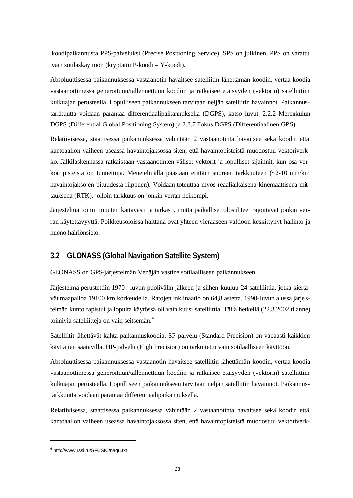koodipaikannusta PPS-palveluksi (Precise Positioning Service). SPS on julkinen, PPS on varattu vain sotilaskäyttöön (kryptattu P-koodi = Y-koodi).

Absoluuttisessa paikannuksessa vastaanotin havaitsee satelliitin lähettämän koodin, vertaa koodia vastaanottimessa generoituun/tallennettuun koodiin ja ratkaisee etäisyyden (vektorin) satelliittiin kulkuajan perusteella. Lopulliseen paikannukseen tarvitaan neljän satelliitin havainnot. Paikannustarkkuutta voidaan parantaa differentiaalipaikannuksella (DGPS), katso luvut 2.2.2 Merenkulun DGPS (Differential Global Positioning System) ja 2.3.7 Fokus DGPS (Differentiaalinen GPS).

Relatiivisessa, staattisessa paikannuksessa vähintään 2 vastaanotinta havaitsee sekä koodin että kantoaallon vaiheen useassa havaintojaksossa siten, että havaintopisteistä muodostuu vektoriverkko. Jälkilaskennassa ratkaistaan vastaanotinten väliset vektorit ja lopulliset sijainnit, kun osa verkon pisteistä on tunnettuja. Menetelmällä päästään erittäin suureen tarkkuuteen (~2-10 mm/km havaintojaksojen pituudesta riippuen). Voidaan toteuttaa myös reaaliaikaisena kinemaattisena mittauksena (RTK), jolloin tarkkuus on jonkin verran heikompi.

Järjestelmä toimii muuten kattavasti ja tarkasti, mutta paikalliset olosuhteet rajoittavat jonkin verran käytettävyyttä. Poikkeusoloissa haittana ovat yhteen vieraaseen valtioon keskittynyt hallinto ja huono häiriönsieto.

### **3.2 GLONASS (Global Navigation Satellite System)**

GLONASS on GPS-järjestelmän Venäjän vastine sotilaalliseen paikannukseen.

Järjestelmä perustettiin 1970 -luvun puolivälin jälkeen ja siihen kuuluu 24 satelliittia, jotka kiertävät maapalloa 19100 km korkeudella. Ratojen inklinaatio on 64,8 astetta. 1990-luvun alussa järje stelmän kunto rapistui ja lopulta käytössä oli vain kuusi satelliittia. Tällä hetkellä (22.3.2002 tilanne) toimivia satelliitteja on vain seitsemän.<sup>6</sup>

Satelliitit lähettävät kahta paikannuskoodia. SP-palvelu (Standard Precision) on vapaasti kaikkien käyttäjien saatavilla. HP-palvelu (High Precision) on tarkoitettu vain sotilaalliseen käyttöön.

Absoluuttisessa paikannuksessa vastaanotin havaitsee satelliitin lähettämän koodin, vertaa koodia vastaanottimessa generoituun/tallennettuun koodiin ja ratkaisee etäisyyden (vektorin) satelliittiin kulkuajan perusteella. Lopulliseen paikannukseen tarvitaan neljän satelliitin havainnot. Paikannustarkkuutta voidaan parantaa differentiaalipaikannuksella.

Relatiivisessa, staattisessa paikannuksessa vähintään 2 vastaanotinta havaitsee sekä koodin että kantoaallon vaiheen useassa havaintojaksossa siten, että havaintopisteistä muodostuu vektoriverk-

<sup>6</sup> http://www.rssi.ru/SFCSIC/nagu.txt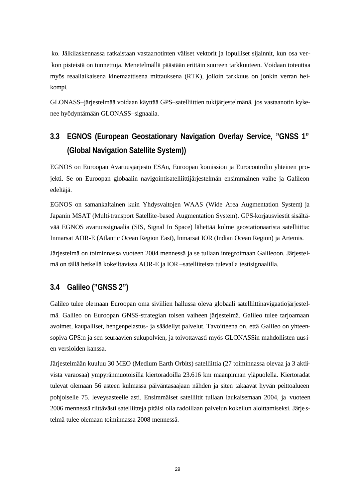ko. Jälkilaskennassa ratkaistaan vastaanotinten väliset vektorit ja lopulliset sijainnit, kun osa verkon pisteistä on tunnettuja. Menetelmällä päästään erittäin suureen tarkkuuteen. Voidaan toteuttaa myös reaaliaikaisena kinemaattisena mittauksena (RTK), jolloin tarkkuus on jonkin verran heikompi.

GLONASS–järjestelmää voidaan käyttää GPS–satelliittien tukijärjestelmänä, jos vastaanotin kykenee hyödyntämään GLONASS–signaalia.

# **3.3 EGNOS (European Geostationary Navigation Overlay Service, "GNSS 1" (Global Navigation Satellite System))**

EGNOS on Euroopan Avaruusjärjestö ESAn, Euroopan komission ja Eurocontrolin yhteinen projekti. Se on Euroopan globaalin navigointisatelliittijärjestelmän ensimmäinen vaihe ja Galileon edeltäjä.

EGNOS on samankaltainen kuin Yhdysvaltojen WAAS (Wide Area Augmentation System) ja Japanin MSAT (Multi-transport Satellite-based Augmentation System). GPS-korjausviestit sisältävää EGNOS avaruussignaalia (SIS, Signal In Space) lähettää kolme geostationaarista satelliittia: Inmarsat AOR-E (Atlantic Ocean Region East), Inmarsat IOR (Indian Ocean Region) ja Artemis.

Järjestelmä on toiminnassa vuoteen 2004 mennessä ja se tullaan integroimaan Galileoon. Järjestelmä on tällä hetkellä kokeiltavissa AOR-E ja IOR –satelliiteista tulevalla testisignaalilla.

### **3.4 Galileo ("GNSS 2")**

Galileo tulee olemaan Euroopan oma siviilien hallussa oleva globaali satelliittinavigaatiojärjestelmä. Galileo on Euroopan GNSS-strategian toisen vaiheen järjestelmä. Galileo tulee tarjoamaan avoimet, kaupalliset, hengenpelastus- ja säädellyt palvelut. Tavoitteena on, että Galileo on yhteensopiva GPS:n ja sen seuraavien sukupolvien, ja toivottavasti myös GLONASSin mahdollisten uusien versioiden kanssa.

Järjestelmään kuuluu 30 MEO (Medium Earth Orbits) satelliittia (27 toiminnassa olevaa ja 3 aktiivista varaosaa) ympyränmuotoisilla kiertoradoilla 23.616 km maanpinnan yläpuolella. Kiertoradat tulevat olemaan 56 asteen kulmassa päiväntasaajaan nähden ja siten takaavat hyvän peittoalueen pohjoiselle 75. leveysasteelle asti. Ensimmäiset satelliitit tullaan laukaisemaan 2004, ja vuoteen 2006 mennessä riittävästi satelliitteja pitäisi olla radoillaan palvelun kokeilun aloittamiseksi. Järje stelmä tulee olemaan toiminnassa 2008 mennessä.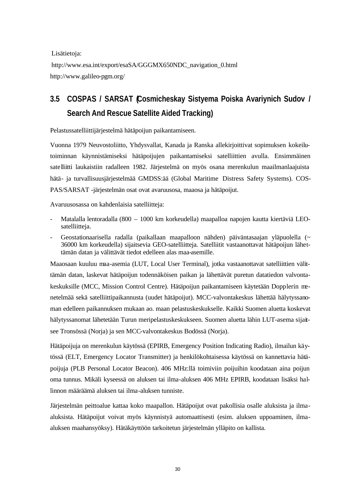Lisätietoja:

http://www.esa.int/export/esaSA/GGGMX650NDC\_navigation\_0.html http://www.galileo-pgm.org/

# **3.5 COSPAS / SARSAT (Cosmicheskay Sistyema Poiska Avariynich Sudov / Search And Rescue Satellite Aided Tracking)**

Pelastussatelliittijärjestelmä hätäpoijun paikantamiseen.

Vuonna 1979 Neuvostoliitto, Yhdysvallat, Kanada ja Ranska allekirjoittivat sopimuksen kokeilutoiminnan käynnistämiseksi hätäpoijujen paikantamiseksi satelliittien avulla. Ensimmäinen satelliitti laukaistiin radalleen 1982. Järjestelmä on myös osana merenkulun maailmanlaajuista hätä- ja turvallisuusjärjestelmää GMDSS:ää (Global Maritime Distress Safety Systems). COS-PAS/SARSAT -järjestelmän osat ovat avaruusosa, maaosa ja hätäpoijut.

Avaruusosassa on kahdenlaisia satelliitteja:

- Matalalla lentoradalla (800 1000 km korkeudella) maapalloa napojen kautta kiertäviä LEOsatelliitteja.
- Geostationaarisella radalla (paikallaan maapalloon nähden) päiväntasaajan yläpuolella (~ 36000 km korkeudella) sijaitsevia GEO-satelliitteja. Satelliitit vastaanottavat hätäpoijun lähettämän datan ja välittävät tiedot edelleen alas maa-asemille.

Maaosaan kuuluu maa-asemia (LUT, Local User Terminal), jotka vastaanottavat satelliittien välittämän datan, laskevat hätäpoijun todennäköisen paikan ja lähettävät puretun datatiedon valvontakeskuksille (MCC, Mission Control Centre). Hätäpoijun paikantamiseen käytetään Dopplerin menetelmää sekä satelliittipaikannusta (uudet hätäpoijut). MCC-valvontakeskus lähettää hälytyssanoman edelleen paikannuksen mukaan ao. maan pelastuskeskukselle. Kaikki Suomen aluetta koskevat hälytyssanomat lähetetään Turun meripelastuskeskukseen. Suomen aluetta lähin LUT-asema sijaitsee Tronsössä (Norja) ja sen MCC-valvontakeskus Bodössä (Norja).

Hätäpoijuja on merenkulun käytössä (EPIRB, Emergency Position Indicating Radio), ilmailun käytössä (ELT, Emergency Locator Transmitter) ja henkilökohtaisessa käytössä on kannettavia hätäpoijuja (PLB Personal Locator Beacon). 406 MHz:llä toimiviin poijuihin koodataan aina poijun oma tunnus. Mikäli kyseessä on aluksen tai ilma-aluksen 406 MHz EPIRB, koodataan lisäksi hallinnon määräämä aluksen tai ilma-aluksen tunniste.

Järjestelmän peittoalue kattaa koko maapallon. Hätäpoijut ovat pakollisia osalle aluksista ja ilmaaluksista. Hätäpoijut voivat myös käynnistyä automaattisesti (esim. aluksen uppoaminen, ilmaaluksen maahansyöksy). Hätäkäyttöön tarkoitetun järjestelmän ylläpito on kallista.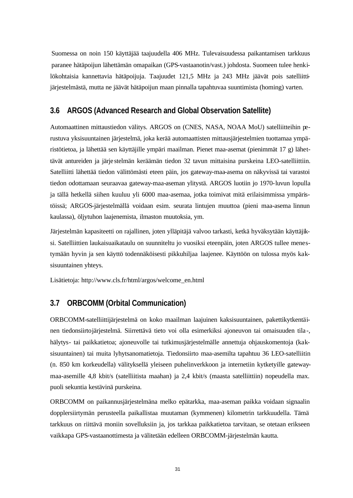Suomessa on noin 150 käyttäjää taajuudella 406 MHz. Tulevaisuudessa paikantamisen tarkkuus paranee hätäpoijun lähettämän omapaikan (GPS-vastaanotin/vast.) johdosta. Suomeen tulee henkilökohtaisia kannettavia hätäpoijuja. Taajuudet 121,5 MHz ja 243 MHz jäävät pois satelliittijärjestelmästä, mutta ne jäävät hätäpoijun maan pinnalla tapahtuvaa suuntimista (homing) varten.

#### **3.6 ARGOS (Advanced Research and Global Observation Satellite)**

Automaattinen mittaustiedon välitys. ARGOS on (CNES, NASA, NOAA MoU) satelliitteihin perustuva yksisuuntainen järjestelmä, joka kerää automaattisten mittausjärjestelmien tuottamaa ympäristötietoa, ja lähettää sen käyttäjille ympäri maailman. Pienet maa-asemat (pienimmät 17 g) lähettävät antureiden ja järje stelmän keräämän tiedon 32 tavun mittaisina purskeina LEO-satelliittiin. Satelliitti lähettää tiedon välittömästi eteen päin, jos gateway-maa-asema on näkyvissä tai varastoi tiedon odottamaan seuraavaa gateway-maa-aseman ylitystä. ARGOS luotiin jo 1970-luvun lopulla ja tällä hetkellä siihen kuuluu yli 6000 maa-asemaa, jotka toimivat mitä erilaisimmissa ympäristöissä; ARGOS-järjestelmällä voidaan esim. seurata lintujen muuttoa (pieni maa-asema linnun kaulassa), öljytuhon laajenemista, ilmaston muutoksia, ym.

Järjestelmän kapasiteetti on rajallinen, joten ylläpitäjä valvoo tarkasti, ketkä hyväksytään käyttäjiksi. Satelliittien laukaisuaikataulu on suunniteltu jo vuosiksi eteenpäin, joten ARGOS tullee menestymään hyvin ja sen käyttö todennäköisesti pikkuhiljaa laajenee. Käyttöön on tulossa myös kaksisuuntainen yhteys.

Lisätietoja: http://www.cls.fr/html/argos/welcome\_en.html

### **3.7 ORBCOMM (Orbital Communication)**

ORBCOMM-satelliittijärjestelmä on koko maailman laajuinen kaksisuuntainen, pakettikytkentäinen tiedonsiirtojärjestelmä. Siirrettävä tieto voi olla esimerkiksi ajoneuvon tai omaisuuden tila -, hälytys- tai paikkatietoa; ajoneuvolle tai tutkimusjärjestelmälle annettuja ohjauskomentoja (kaksisuuntainen) tai muita lyhytsanomatietoja. Tiedonsiirto maa-asemilta tapahtuu 36 LEO-satelliitin (n. 850 km korkeudella) välityksellä yleiseen puhelinverkkoon ja internetiin kytketyille gatewaymaa-asemille 4,8 kbit/s (satelliitista maahan) ja 2,4 kbit/s (maasta satelliittiin) nopeudella max. puoli sekuntia kestävinä purskeina.

ORBCOMM on paikannusjärjestelmäna melko epätarkka, maa-aseman paikka voidaan signaalin dopplersiirtymän perusteella paikallistaa muutaman (kymmenen) kilometrin tarkkuudella. Tämä tarkkuus on riittävä moniin sovelluksiin ja, jos tarkkaa paikkatietoa tarvitaan, se otetaan erikseen vaikkapa GPS-vastaanottimesta ja välitetään edelleen ORBCOMM-järjestelmän kautta.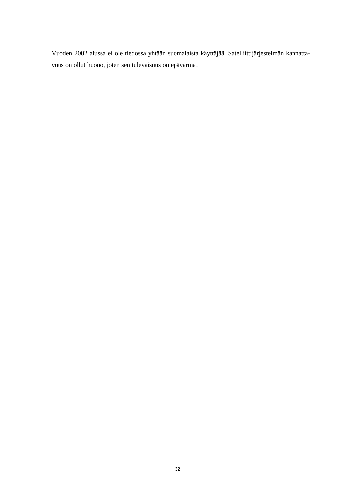Vuoden 2002 alussa ei ole tiedossa yhtään suomalaista käyttäjää. Satelliittijärjestelmän kannattavuus on ollut huono, joten sen tulevaisuus on epävarma.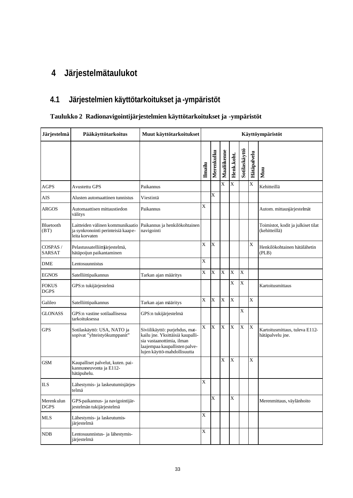# **4 Järjestelmätaulukot**

# **4.1 Järjestelmien käyttötarkoitukset ja -ympäristöt**

# **Taulukko 2 Radionavigointijärjestelmien käyttötarkoitukset ja -ympäristöt**

| <b>Järjestelmä</b>          | Pääkäyttötarkoitus                                                                       | Muut käyttötarkoitukset                                                                                                                                         | Käyttöympäristöt |             |                       |            |               |             |                                                     |
|-----------------------------|------------------------------------------------------------------------------------------|-----------------------------------------------------------------------------------------------------------------------------------------------------------------|------------------|-------------|-----------------------|------------|---------------|-------------|-----------------------------------------------------|
|                             |                                                                                          |                                                                                                                                                                 | Ilmailu          | Merenkulku  | Maaliikenne           | Henk.koht. | Sotilaskäyttö | Hätäpalvelu | Muu                                                 |
| <b>AGPS</b>                 | Avustettu GPS                                                                            | Paikannus                                                                                                                                                       |                  |             | $\overline{\text{X}}$ | X          |               | X           | Kehitteillä                                         |
| AIS                         | Alusten automaattinen tunnistus                                                          | Viestintä                                                                                                                                                       |                  | X           |                       |            |               |             |                                                     |
| ARGOS                       | Automaattisen mittaustiedon<br>välitys                                                   | Paikannus                                                                                                                                                       | X                |             |                       |            |               |             | Autom. mittausjärjestelmät                          |
| Bluetooth<br>(BT)           | Laitteiden välinen kommunikaatio<br>ja synkronointi perinteisiä kaape-<br>leita korvaten | Paikannus ja henkilökohtainen<br>navigointi                                                                                                                     |                  |             |                       |            |               |             | Toimistot, kodit ja julkiset tilat<br>(kehitteillä) |
| COSPAS /<br><b>SARSAT</b>   | Pelastussatelliittjärjestelmä,<br>hätäpoijun paikantaminen                               |                                                                                                                                                                 | X                | X           |                       |            |               | X           | Henkilökohtainen hätälähetin<br>(PLB)               |
| <b>DME</b>                  | Lentosuunnistus                                                                          |                                                                                                                                                                 | X                |             |                       |            |               |             |                                                     |
| <b>EGNOS</b>                | Satelliittipaikannus                                                                     | Tarkan ajan määritys                                                                                                                                            | X                | $\mathbf X$ | X                     | $\bar{X}$  | X             |             |                                                     |
| <b>FOKUS</b><br><b>DGPS</b> | GPS:n tukijärjestelmä                                                                    |                                                                                                                                                                 |                  |             |                       | X          | X             |             | Kartoitusmittaus                                    |
| Galileo                     | Satelliittipaikannus                                                                     | Tarkan ajan määritys                                                                                                                                            | X                | $\mathbf X$ | $\overline{X}$        | $\bf X$    |               | $\bar{X}$   |                                                     |
| <b>GLONASS</b>              | GPS:n vastine sotilaallisessa<br>tarkoituksessa                                          | GPS:n tukijärjestelmä                                                                                                                                           |                  |             |                       |            | X             |             |                                                     |
| <b>GPS</b>                  | Sotilaskäyttö: USA, NATO ja<br>sopivat "yhteistyökumppanit"                              | Siviilikäyttö: purjehdus, mat-<br>kailu jne. Yksittäisiä kaupalli-<br>sia vastaanottimia, ilman<br>laajempaa kaupallisten palve-<br>lujen käyttö-mahdollisuutta | X                | X           | $\overline{X}$        | X          | X             | $\mathbf X$ | Kartoitusmittaus, tuleva E112-<br>hätäpalvelu jne.  |
| GSM                         | Kaupalliset palvelut, kuten. pai-<br>kannusneuvonta ja E112-<br>hätäpuhelu.              |                                                                                                                                                                 |                  |             | X                     | $\bf{X}$   |               | $\mathbf X$ |                                                     |
| <b>ILS</b>                  | Lähestymis- ja laskeutumisjärjes-<br>telmä                                               |                                                                                                                                                                 | X                |             |                       |            |               |             |                                                     |
| Merenkulun<br><b>DGPS</b>   | GPS-paikannus- ja navigointijär-<br>jestelmän tukijärjestelmä                            |                                                                                                                                                                 |                  | X           |                       | $\bar{X}$  |               |             | Merenmittaus, väylänhoito                           |
| <b>MLS</b>                  | Lähestymis- ja laskeutumis-<br>järjestelmä                                               |                                                                                                                                                                 | X                |             |                       |            |               |             |                                                     |
| NDB                         | Lentosuunnistus- ja lähestymis-<br>järjestelmä                                           |                                                                                                                                                                 | $\mathbf X$      |             |                       |            |               |             |                                                     |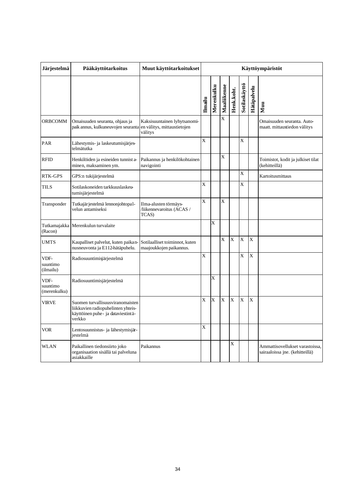| Järjestelmä                      | Pääkäyttötarkoitus                                                                                                     | Muut käyttötarkoitukset                                                | Käyttöympäristöt |            |                |            |                |             |                                                                    |
|----------------------------------|------------------------------------------------------------------------------------------------------------------------|------------------------------------------------------------------------|------------------|------------|----------------|------------|----------------|-------------|--------------------------------------------------------------------|
|                                  |                                                                                                                        |                                                                        | Ilmailu          | Merenkulku | Maaliikenne    | Henk.koht. | Sotilaskäyttö  | Hätäpalvelu | Muu                                                                |
| <b>ORBCOMM</b>                   | Omaisuuden seuranta, ohjaus ja<br>paik annus, kulkuneuvojen seuranta                                                   | Kaksisuuntainen lyhytsanomi-<br>en välitys, mittaustietojen<br>välitys |                  |            | $\overline{X}$ |            |                |             | Omaisuuden seuranta. Auto-<br>maatt. mittaustiedon välitys         |
| PAR                              | Lähestymis- ja laskeutumisjärjes-<br>telmätutka                                                                        |                                                                        | X                |            |                |            | $\overline{X}$ |             |                                                                    |
| <b>RFID</b>                      | Henkilöiden ja esineiden tunnist a-<br>minen, maksaminen ym.                                                           | Paikannus ja henkilökohtainen<br>navigointi                            |                  |            | X              |            |                |             | Toimistot, kodit ja julkiset tilat<br>(kehitteillä)                |
| <b>RTK-GPS</b>                   | GPS:n tukijärjestelmä                                                                                                  |                                                                        |                  |            |                |            | X              |             | Kartoitusmittaus                                                   |
| <b>TILS</b>                      | Sotilaskoneiden tarkkuuslaskeu-<br>tumisjärjestelmä                                                                    |                                                                        | X                |            |                |            | X              |             |                                                                    |
| Transponder                      | Tutkajärjestelmä lennonjohtopal-<br>velun antamiseksi                                                                  | Ilma-alusten törmäys-<br>/liikennevaroitus (ACAS /<br>TCAS)            | X                |            | X              |            |                |             |                                                                    |
| (Racon)                          | Tutkamajakka Merenkulun turvalaite                                                                                     |                                                                        |                  | X          |                |            |                |             |                                                                    |
| <b>UMTS</b>                      | Kaupalliset palvelut, kuten paikan-<br>nusneuvonta ja E112-hätäpuhelu.                                                 | Sotilaalliset toiminnot, kuten<br>maajoukkojen paikannus.              |                  |            | X              | X          | X              | X           |                                                                    |
| VDF-<br>suuntimo<br>(ilmailu)    | Radiosuuntimisjärjestelmä                                                                                              |                                                                        | X                |            |                |            | X              | $\mathbf X$ |                                                                    |
| VDF-<br>suuntimo<br>(merenkulku) | Radiosuuntimisjärjestelmä                                                                                              |                                                                        |                  | X          |                |            |                |             |                                                                    |
| <b>VIRVE</b>                     | Suomen turvallisuusviranomaisten<br>liikkuvien radiopuhelinten yhteis-<br>käyttöinen puhe- ja dataviestintä-<br>verkko |                                                                        | X                | X          | $\bar{X}$      | X          | $\bar{X}$      | $\bar{X}$   |                                                                    |
| <b>VOR</b>                       | Lentosuunnistus- ja lähestymisjär-<br>iestelmä                                                                         |                                                                        | X                |            |                |            |                |             |                                                                    |
| <b>WLAN</b>                      | Paikallinen tiedonsiirto joko<br>organisaation sisällä tai palveluna<br>asiakkaille                                    | Paikannus                                                              |                  |            |                | X          |                |             | Ammattisovellukset varastoissa,<br>sairaaloissa jne. (kehitteillä) |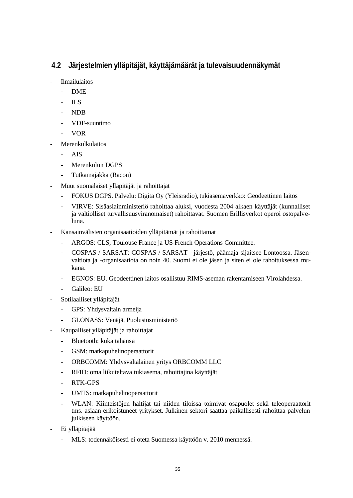# **4.2 Järjestelmien ylläpitäjät, käyttäjämäärät ja tulevaisuudennäkymät**

- **Ilmailulaitos** 
	- DME
	- ILS
	- NDB
	- VDF-suuntimo
	- VOR
- **Merenkulkulaitos** 
	- AIS
	- Merenkulun DGPS
	- Tutkamajakka (Racon)
- Muut suomalaiset ylläpitäjät ja rahoittajat
	- FOKUS DGPS. Palvelu: Digita Oy (Yleisradio), tukiasemaverkko: Geodeettinen laitos
	- VIRVE: Sisäasiainministeriö rahoittaa aluksi, vuodesta 2004 alkaen käyttäjät (kunnalliset ja valtiolliset turvallisuusviranomaiset) rahoittavat. Suomen Erillisverkot operoi ostopalveluna.
- Kansainvälisten organisaatioiden ylläpitämät ja rahoittamat
	- ARGOS: CLS, Toulouse France ja US-French Operations Committee.
	- COSPAS / SARSAT: COSPAS / SARSAT –järjestö, päämaja sijaitsee Lontoossa. Jäsenvaltiota ja -organisaatiota on noin 40. Suomi ei ole jäsen ja siten ei ole rahoituksessa mukana.
	- EGNOS: EU. Geodeettinen laitos osallistuu RIMS-aseman rakentamiseen Virolahdessa.
	- Galileo: EU
- Sotilaalliset ylläpitäjät
	- GPS: Yhdysvaltain armeija
	- GLONASS: Venäjä, Puolustusministeriö
- Kaupalliset ylläpitäjät ja rahoittajat
	- Bluetooth: kuka tahansa
	- GSM: matkapuhelinoperaattorit
	- ORBCOMM: Yhdysvaltalainen yritys ORBCOMM LLC
	- RFID: oma liikuteltava tukiasema, rahoittajina käyttäjät
	- RTK-GPS
	- UMTS: matkapuhelinoperaattorit
	- WLAN: Kiinteistöjen haltijat tai niiden tiloissa toimivat osapuolet sekä teleoperaattorit tms. asiaan erikoistuneet yritykset. Julkinen sektori saattaa paikallisesti rahoittaa palvelun julkiseen käyttöön.
- Ei ylläpitäjää
	- MLS: todennäköisesti ei oteta Suomessa käyttöön v. 2010 mennessä.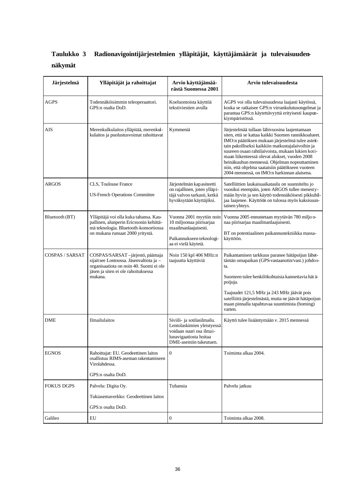# **Taulukko 3 Radionavigointijärjestelmien ylläpitäjät, käyttäjämäärät ja tulevaisuudennäkymät**

| Järjestelmä       | Ylläpitäjät ja rahoittajat                                                                                                                                              | Arvio käyttäjämää-<br>rästä Suomessa 2001                                                                                                 | Arvio tulevaisuudesta                                                                                                                                                                                                                                                                                                                                                                                                                                                  |
|-------------------|-------------------------------------------------------------------------------------------------------------------------------------------------------------------------|-------------------------------------------------------------------------------------------------------------------------------------------|------------------------------------------------------------------------------------------------------------------------------------------------------------------------------------------------------------------------------------------------------------------------------------------------------------------------------------------------------------------------------------------------------------------------------------------------------------------------|
| <b>AGPS</b>       | Todennäköisimmin teleoperaattori.<br>GPS:n osalta DoD.                                                                                                                  | Koeluontoista käyttöä<br>tekstiviestien avulla                                                                                            | AGPS voi olla tulevaisuudessa laajasti käytössä,<br>koska se ratkaisee GPS:n virrankulutusongelmat ja<br>parantaa GPS:n käytettävyyttä erityisesti kaupun-<br>kiympäristössä.                                                                                                                                                                                                                                                                                          |
| AIS               | Merenkulkulaitos ylläpitää, merenkul-<br>kulaitos ja puolustusvoimat rahoittavat                                                                                        | Kymmeniä                                                                                                                                  | Järjestelmää tullaan lähivuosina laajentamaan<br>siten, että se kattaa kaikki Suomen rannikkoalueet.<br>IMO:n päätöksen mukaan järjestelmä tulee asteit-<br>tain pakolliseksi kaikkiin matkustajalaivoihin ja<br>suureen osaan rahtilaivoista, mukaan lukien koti-<br>maan liikenteessä olevat alukset, vuoden 2008<br>heinäkuuhun mennessä. Ohjelman nopeuttaminen<br>niin, että ohjelma saataisiin päätökseen vuoteen<br>2004 mennessä, on IMO:n harkinnan alaisena. |
| <b>ARGOS</b>      | CLS, Toulouse France<br><b>US-French Operations Committee</b>                                                                                                           | Järjestelmän kapasiteetti<br>on rajallinen, joten ylläpi-<br>täjä valvoo tarkasti, ketkä<br>hyväksytään käyttäjiksi.                      | Satelliittien laukaisuaikataulu on suunniteltu jo<br>vuosiksi eteenpäin, joten ARGOS tullee menesty-<br>mään hyvin ja sen käyttö todennäköisesti pikkuhil-<br>jaa laajenee. Käyttöön on tulossa myös kaksisuun-<br>tainen yhteys.                                                                                                                                                                                                                                      |
| Bluetooth (BT)    | Ylläpitäjä voi olla kuka tahansa. Kau-<br>pallinen, alunperin Ericssonin kehittä-<br>mä teknologia. Bluetooth-konsortiossa<br>on mukana runsaat 2000 yritystä.          | Vuonna 2001 myytiin noin<br>10 miljoonaa piirisarjaa<br>maailmanlaajuisesti.<br>Paikannukseen teknologi-<br>aa ei vielä käytetä.          | Vuonna 2005 ennustetaan myytävän 780 miljo o-<br>naa piirisarjaa maailmanlaajuisesti.<br>BT on potentiaalinen paikannustekniikka massa-<br>käyttöön.                                                                                                                                                                                                                                                                                                                   |
| COSPAS / SARSAT   | COSPAS/SARSAT-järjestö, päämaja<br>sijaitsee Lontoossa. Jäsenvaltiota ja -<br>organisaatiota on noin 40. Suomi ei ole<br>jäsen ja siten ei ole rahoituksessa<br>mukana. | Noin 150 kpl 406 MHz:n<br>taajuutta käyttäviä                                                                                             | Paikantamisen tarkkuus paranee hätäpoijun lähet-<br>tämän omapaikan (GPS vastaanotin/vast.) johdos-<br>ta.<br>Suomeen tulee henkilökohtaisia kannettavia hät ä-<br>poijuja.<br>Taajuudet 121,5 MHz ja 243 MHz jäävät pois<br>satelliitti-järjestelmästä, mutta ne jäävät hätäpoijun<br>maan pinnalla tapahtuvaa suuntimista (homing)<br>varten.                                                                                                                        |
| DME               | Ilmailulaitos                                                                                                                                                           | Siviili- ja sotilasilmailu.<br>Lentolaskimien yleistyessä<br>voidaan suuri osa ilmai-<br>lunavigaatiosta hoitaa<br>DME-asemiin tukeutuen. | Käyttö tulee lisääntymään v. 2015 mennessä                                                                                                                                                                                                                                                                                                                                                                                                                             |
| <b>EGNOS</b>      | Rahoittajat: EU. Geodeettinen laitos<br>osallistuu RIMS-aseman rakentamiseen<br>Virolahdessa.<br>GPS:n osalta DoD.                                                      | $\overline{0}$                                                                                                                            | Toiminta alkaa 2004.                                                                                                                                                                                                                                                                                                                                                                                                                                                   |
| <b>FOKUS DGPS</b> | Palvelu: Digita Oy.<br>Tukiasemaverkko: Geodeettinen laitos<br>GPS:n osalta DoD.                                                                                        | Tuhansia                                                                                                                                  | Palvelu jatkuu                                                                                                                                                                                                                                                                                                                                                                                                                                                         |
| Galileo           | EU                                                                                                                                                                      | $\boldsymbol{0}$                                                                                                                          | Toiminta alkaa 2008.                                                                                                                                                                                                                                                                                                                                                                                                                                                   |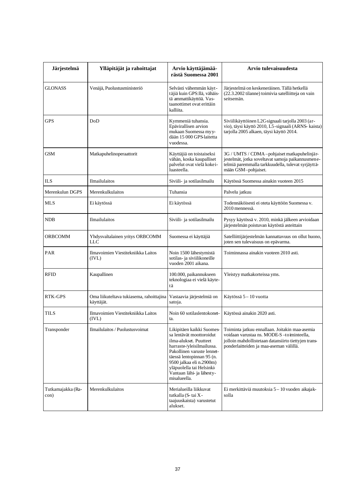| Järjestelmä               | Ylläpitäjät ja rahoittajat                             | Arvio käyttäjämää-<br>rästä Suomessa 2001                                                                                                                                                                                                                                     | Arvio tulevaisuudesta                                                                                                                                                                          |
|---------------------------|--------------------------------------------------------|-------------------------------------------------------------------------------------------------------------------------------------------------------------------------------------------------------------------------------------------------------------------------------|------------------------------------------------------------------------------------------------------------------------------------------------------------------------------------------------|
| <b>GLONASS</b>            | Venäjä, Puolustusministeriö                            | Selvästi vähemmän käyt-<br>täjiä kuin GPS:llä, vähäis-<br>tä ammattikäyttöä. Vas-<br>taanottimet ovat erittäin<br>kalliita.                                                                                                                                                   | Järjestelmä on keskeneräinen. Tällä hetkellä<br>(22.3.2002 tilanne) toimivia satelliitteja on vain<br>seitsemän.                                                                               |
| <b>GPS</b>                | DoD                                                    | Kymmeniä tuhansia.<br>Epävirallisen arvion<br>mukaan Suomessa myy-<br>dään 15 000 GPS-laitetta<br>vuodessa.                                                                                                                                                                   | Siviilikäyttöinen L2C-signaali tarjolla 2003 (ar-<br>vio), täysi käyttö 2010, L5-signaali (ARNS- kaista)<br>tarjolla 2005 alkaen, täysi käyttö 2014.                                           |
| <b>GSM</b>                | Matkapuhelinoperaattorit                               | Käyttäjiä on toistaiseksi<br>vähän, koska kaupalliset<br>palvelut ovat vielä kokei-<br>luasteella.                                                                                                                                                                            | 3G / UMTS / CDMA-pohjaiset matkapuhelinjär-<br>jestelmät, jotka soveltavat samoja paikannusmene-<br>telmiä paremmalla tarkkuudella, tulevat syrjäyttä-<br>mään GSM-pohjaiset.                  |
| <b>ILS</b>                | Ilmailulaitos                                          | Siviili- ja sotilasilmailu                                                                                                                                                                                                                                                    | Käytössä Suomessa ainakin vuoteen 2015                                                                                                                                                         |
| Merenkulun DGPS           | Merenkulkulaitos                                       | Tuhansia                                                                                                                                                                                                                                                                      | Palvelu jatkuu                                                                                                                                                                                 |
| MLS                       | Ei käytössä                                            | Ei käytössä                                                                                                                                                                                                                                                                   | Todennäköisesti ei oteta käyttöön Suomessa v.<br>2010 mennessä.                                                                                                                                |
| <b>NDB</b>                | Ilmailulaitos                                          | Siviili- ja sotilasilmailu                                                                                                                                                                                                                                                    | Pysyy käytössä v. 2010, minkä jälkeen arvioidaan<br>järjestelmän poistuvan käytöstä asteittain                                                                                                 |
| <b>ORBCOMM</b>            | Yhdysvaltalainen yritys ORBCOMM<br>LLC                 | Suomessa ei käyttäjiä                                                                                                                                                                                                                                                         | Satelliittijärjestelmän kannattavuus on ollut huono,<br>joten sen tulevaisuus on epävarma.                                                                                                     |
| PAR                       | Ilmavoimien Viestitekniikka Laitos<br>(IVL)            | Noin 1500 lähestymistä<br>sotilas- ja siviilikoneille<br>vuoden 2001 aikana.                                                                                                                                                                                                  | Toiminnassa ainakin vuoteen 2010 asti.                                                                                                                                                         |
| <b>RFID</b>               | Kaupallinen                                            | 100.000, paikannukseen<br>teknologiaa ei vielä käyte-<br>tä                                                                                                                                                                                                                   | Yleistyy matkakorteissa yms.                                                                                                                                                                   |
| RTK-GPS                   | Oma liikuteltava tukiasema, rahoittajina<br>käyttäjät. | Vastaavia järjestelmiä on<br>satoja.                                                                                                                                                                                                                                          | Käytössä 5 - 10 vuotta                                                                                                                                                                         |
| TILS                      | Ilmavoimien Viestitekniikka Laitos<br>(IVL)            | Noin 60 sotilaslentokonet-<br>ta.                                                                                                                                                                                                                                             | Käytössä ainakin 2020 asti.                                                                                                                                                                    |
| Transponder               | Ilmailulaitos / Puolustusvoimat                        | Likipitäen kaikki Suomes-<br>sa lentävät moottoroidut<br>ilma-alukset. Puutteet<br>harraste/yleisilmailussa.<br>Pakollinen varuste lennet-<br>täessä lentopinnan 95 (n.<br>9500 jalkaa eli n.2900m)<br>yläpuolella tai Helsinki-<br>Vantaan lähi- ja lähesty-<br>misalueella. | Toiminta jatkuu ennallaan. Joitakin maa-asemia<br>voidaan varustaa ns. MODE-S-toiminteella,<br>jolloin mahdollistetaan datansiirto tiettyjen trans-<br>ponderlaitteiden ja maa-aseman välillä. |
| Tutkamajakka (Ra-<br>con) | Merenkulkulaitos                                       | Merialueilla liikkuvat<br>tutkalla (S-tai X-<br>taajuuskaista) varustetut<br>alukset.                                                                                                                                                                                         | Ei merkittäviä muutoksia 5 – 10 vuoden aikajak-<br>solla                                                                                                                                       |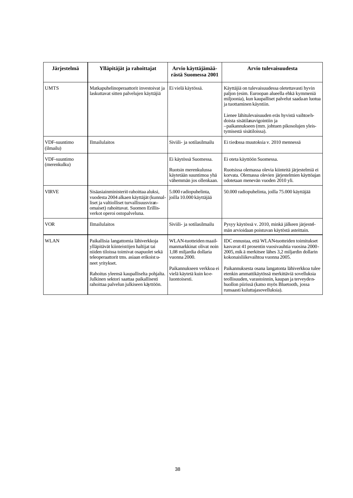| Järjestelmä                  | Ylläpitäjät ja rahoittajat                                                                                                                                                                             | Arvio käyttäjämää-<br>rästä Suomessa 2001                                                           | Arvio tulevaisuudesta                                                                                                                                                                                                                         |
|------------------------------|--------------------------------------------------------------------------------------------------------------------------------------------------------------------------------------------------------|-----------------------------------------------------------------------------------------------------|-----------------------------------------------------------------------------------------------------------------------------------------------------------------------------------------------------------------------------------------------|
| <b>UMTS</b>                  | Matkapuhelinoperaattorit investoivat ja<br>laskuttavat sitten palvelujen käyttäjiä                                                                                                                     | Ei vielä käytössä.                                                                                  | Käyttäjiä on tulevaisuudessa oletettavasti hyvin<br>paljon (esim. Euroopan alueella ehkä kymmeniä<br>miljoonia), kun kaupalliset palvelut saadaan luotua<br>ja tuottaminen käyntiin.                                                          |
|                              |                                                                                                                                                                                                        |                                                                                                     | Lienee lähitulevaisuuden eräs hyvistä vaihtoeh-<br>doista sisätilanavigointiin ja<br>-paikannukseen (mm. johtuen pikosolujen yleis-<br>tymisestä sisätiloissa).                                                                               |
| VDF-suuntimo<br>(ilmailu)    | <b>Ilmailulaitos</b>                                                                                                                                                                                   | Siviili- ja sotilasilmailu                                                                          | Ei tiedossa muutoksia v. 2010 mennessä                                                                                                                                                                                                        |
| VDF-suuntimo<br>(merenkulku) |                                                                                                                                                                                                        | Ei käytössä Suomessa.<br>Ruotsin merenkulussa<br>käytetään suuntimoa yhä<br>vähemmän jos ollenkaan. | Ei oteta käyttöön Suomessa.<br>Ruotsissa olemassa olevia kiinteitä järjestelmiä ei<br>korvata. Olemassa olevien järjestelmien käyttöajan<br>odotetaan menevän vuoden 2010 yli.                                                                |
| <b>VIRVE</b>                 | Sisäasiainministeriö rahoittaa aluksi,<br>vuodesta 2004 alkaen käyttäjät (kunnal-<br>liset ja valtiolliset turvallisuusviran-<br>omaiset) rahoittavat. Suomen Erillis-<br>verkot operoi ostopalveluna. | 5.000 radiopuhelinta,<br>ioilla 10.000 käyttäjää                                                    | 50.000 radiopuhelinta, joilla 75.000 käyttäjää                                                                                                                                                                                                |
| <b>VOR</b>                   | <b>Ilmailulaitos</b>                                                                                                                                                                                   | Siviili- ja sotilasilmailu                                                                          | Pysyy käytössä v. 2010, minkä jälkeen järjestel-<br>män arvioidaan poistuvan käytöstä asteittain.                                                                                                                                             |
| <b>WLAN</b>                  | Paikallisia langattomia lähiverkkoja<br>ylläpitävät kiinteistöjen haltijat tai<br>niiden tiloissa toimivat osapuolet sekä<br>teleoperaattorit tms. asiaan erikoist u-<br>neet yritykset.               | WLAN-tuotteiden maail-<br>manmarkkinat olivat noin<br>1,08 miljardia dollaria<br>vuonna 2000.       | IDC ennustaa, että WLAN-tuotteiden toimitukset<br>kasvavat 41 prosentin vuosivauhtia vuosina 2000-<br>2005, mik ä merkitsee lähes 3,2 miljardin dollarin<br>kokonaisliikevaihtoa vuonna 2005.                                                 |
|                              | Rahoitus yleensä kaupalliselta pohjalta.<br>Julkinen sektori saattaa paikallisesti<br>rahoittaa palvelun julkiseen käyttöön.                                                                           | Paikannukseen verkkoa ei<br>vielä käytetä kuin koe-<br>luontoisesti.                                | Paikannuksesta osana langatonta lähiverkkoa tulee<br>etenkin ammattikäytössä merkittäviä sovelluksia<br>teollisuuden, varastoinnin, kaupan ja terveyden-<br>huollon piirissä (katso myös Bluetooth, jossa<br>runsaasti kuluttajasovelluksia). |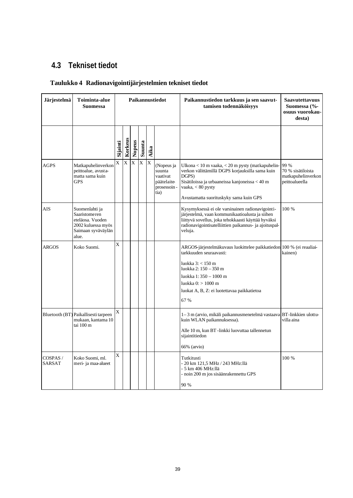# **4.3 Tekniset tiedot**

### **Taulukko 4 Radionavigointijärjestelmien tekniset tiedot**

| Järjestelmä               | Toiminta-alue<br><b>Suomessa</b>                                                                                | Paikannustiedot |                |                |        |                         |                                                                       | Paikannustiedon tarkkuus ja sen saavut-<br>tamisen todennäköisyys                                                                                                                                                                                     | <b>Saavutettavuus</b><br>Suomessa (%-<br>osuus vuorokau-<br>desta) |
|---------------------------|-----------------------------------------------------------------------------------------------------------------|-----------------|----------------|----------------|--------|-------------------------|-----------------------------------------------------------------------|-------------------------------------------------------------------------------------------------------------------------------------------------------------------------------------------------------------------------------------------------------|--------------------------------------------------------------------|
|                           |                                                                                                                 | Sijainti        | Korkeus        | Nopeus         | Suunta | Aika                    |                                                                       |                                                                                                                                                                                                                                                       |                                                                    |
| <b>AGPS</b>               | Matkapuhelinverkon<br>peittoalue, avusta-<br>matta sama kuin<br><b>GPS</b>                                      | X               | $\overline{X}$ | $\overline{X}$ | X      | $\overline{\mathrm{X}}$ | (Nopeus ja<br>suunta<br>vaativat<br>päätelaite<br>prosessoin-<br>tia) | Ulkona $< 10$ m vaaka, $< 20$ m pysty (matkapuhelin-<br>verkon välittämillä DGPS korjauksilla sama kuin<br>DGPS)<br>Sisätiloissa ja urbaaneissa kanjoneissa < 40 m<br>vaaka, $< 80$ pysty<br>Avustamatta suorituskyky sama kuin GPS                   | 99 %<br>70 % sisätiloista<br>matkapuhelinverkon<br>peittoalueella  |
| <b>AIS</b>                | Suomenlahti ja<br><b>Saaristomeren</b><br>eteläosa. Vuoden<br>2002 kuluessa myös<br>Saimaan syväväylän<br>alue. |                 |                |                |        |                         |                                                                       | Kysymyksessä ei ole varsinainen radionavigointi-<br>järjestelmä, vaan kommunikaatioalusta ja siihen<br>liittyvä sovellus, joka tehokkaasti käyttää hyväksi<br>radionavigointisatelliittien paikannus- ja ajoituspal-<br>veluja.                       | 100 %                                                              |
| <b>ARGOS</b>              | Koko Suomi.                                                                                                     | X               |                |                |        |                         |                                                                       | ARGOS-järjestelmäkuvaus luokittelee paikkatiedon 100 % (ei reaaliai-<br>tarkkuuden seuraavasti:<br>luokka $3:$ < 150 m<br>luokka 2: 150 - 350 m<br>luokka 1:350 – 1000 m<br>luokka 0: > 1000 m<br>luokat A, B, Z: ei luotettavaa paikkatietoa<br>67 % | kainen)                                                            |
|                           | Bluetooth (BT) Paikallisesti tarpeen<br>mukaan, kantama 10<br>tai 100 m                                         | X               |                |                |        |                         |                                                                       | 1–3 m (arvio, mikäli paikannusmenetelmä vastaava BT-linkkien ulottu-<br>kuin WLAN paikannuksessa).<br>Alle 10 m, kun BT -linkki luovuttaa tallennetun<br>sijaintitiedon<br>66% (arvio)                                                                | villa aina                                                         |
| COSPAS /<br><b>SARSAT</b> | Koko Suomi, ml.<br>meri- ja maa-alueet                                                                          | X               |                |                |        |                         |                                                                       | Tutkitusti<br>- 20 km 121,5 MHz / 243 MHz:llä<br>- 5 km 406 MHz:llä<br>- noin 200 m jos sisäänrakennettu GPS<br>90 %                                                                                                                                  | 100 %                                                              |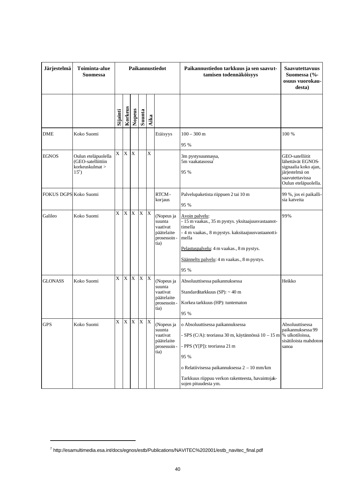| Järjestelmä           | Toiminta-alue<br><b>Suomessa</b>                                               |                |             |                         |              |                         | Paikannustiedot                                                        | Paikannustiedon tarkkuus ja sen saavut-<br>tamisen todennäköisyys                                                                                                                                                                                                           | <b>Saavutettavuus</b><br>Suomessa (%-<br>osuus vuorokau-<br>desta)                                                        |
|-----------------------|--------------------------------------------------------------------------------|----------------|-------------|-------------------------|--------------|-------------------------|------------------------------------------------------------------------|-----------------------------------------------------------------------------------------------------------------------------------------------------------------------------------------------------------------------------------------------------------------------------|---------------------------------------------------------------------------------------------------------------------------|
|                       |                                                                                | Sijainti       | Korkeus     | Nopeus                  | Suunta       | Aika                    |                                                                        |                                                                                                                                                                                                                                                                             |                                                                                                                           |
| <b>DME</b>            | Koko Suomi                                                                     |                |             |                         |              |                         | Etäisyys                                                               | $100 - 300$ m<br>95 %                                                                                                                                                                                                                                                       | 100 %                                                                                                                     |
| <b>EGNOS</b>          | Oulun eteläpuolella<br>(GEO-satelliittiin<br>korkeuskulmat ><br>$15^{\circ}$ ) | X              | $\mathbf X$ | $\overline{X}$          |              | $\overline{X}$          |                                                                        | 3m pystysuunnassa,<br>5m vaakatasossa <sup>7</sup><br>95 %                                                                                                                                                                                                                  | GEO-satelliitit<br>lähettävät EGNOS-<br>signaalia koko ajan,<br>järjestelmä on<br>saavutettavissa<br>Oulun eteläpuolella. |
| FOKUS DGPS Koko Suomi |                                                                                |                |             |                         |              |                         | RTCM-<br>korjaus                                                       | Palvelupaketista riippuen 2 tai 10 m<br>95 %                                                                                                                                                                                                                                | 99 %, jos ei paikalli-<br>sia katveita                                                                                    |
| Galileo               | Koko Suomi                                                                     | $\overline{X}$ | $\mathbf X$ | $\overline{\mathbf{X}}$ | $\mathbf X$  | $\overline{\mathbf{X}}$ | (Nopeus ja<br>suunta<br>vaativat<br>päätelaite<br>prosessoin -<br>tia) | Avoin palvelu:<br>- 15 m vaakas., 35 m pystys. yksitaajuusvastaanot-<br>timella<br>- 4 m vaakas., 8 m pystys. kaksitaajuusvastaanotti-<br>mella<br>Pelastuspalvelu: 4 m vaakas., 8 m pystys.<br>Säännelty palvelu: 4 m vaakas., 8 m pystys.<br>95 %                         | 99%                                                                                                                       |
| <b>GLONASS</b>        | Koko Suomi                                                                     | X              | $\mathbf X$ | $\mathbf X$             | $\mathbf X$  | X                       | (Nopeus ja<br>suunta<br>vaativat<br>päätelaite<br>prosessoin-<br>tia)  | Absoluuttisessa paikannuksessa<br>Standarditarkkuus (SP): ~ 40 m<br>Korkea tarkkuus (HP): tuntematon<br>95 %                                                                                                                                                                | Heikko                                                                                                                    |
| <b>GPS</b>            | Koko Suomi                                                                     | X              | $\mathbf X$ | X                       | $\mathbf{X}$ | $\mathbf{X}$            | (Nopeus ja<br>suunta<br>vaativat<br>päätelaite<br>prosessoin-<br>tia)  | o Absoluuttisessa paikannuksessa<br>- SPS (C/A): teoriassa 30 m, käytännössä 10 – 15 m % ulkotiloissa,<br>- PPS (Y[P]): teoriassa 21 m<br>95 %<br>o Relatiivisessa paikannuksessa 2 - 10 mm/km<br>Tarkkuus riippuu verkon rakenteesta, havaintojak-<br>sojen pituudesta ym. | Absoluuttisessa<br>paikannuksessa 99<br>sisätiloista mahdoton<br>sanoa                                                    |

<sup>7</sup> http://esamultimedia.esa.int/docs/egnos/estb/Publications/NAVITEC%202001/estb\_navitec\_final.pdf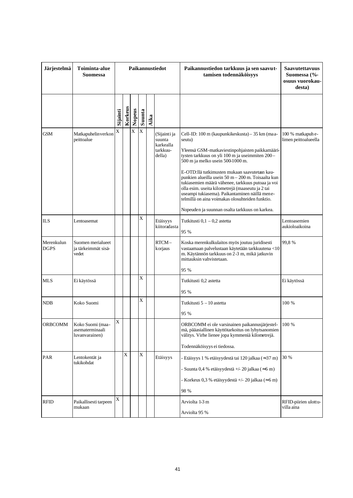| Järjestelmä               | Toiminta-alue<br>Suomessa                             |          |             |                       |                       |      | Paikannustiedot                                           | Paikannustiedon tarkkuus ja sen saavut-<br>tamisen todennäköisyys                                                                                                                                                                                                                                                                                                                                                                                                                                                                                                          | <b>Saavutettavuus</b><br>Suomessa (%-<br>osuus vuorokau-<br>desta) |
|---------------------------|-------------------------------------------------------|----------|-------------|-----------------------|-----------------------|------|-----------------------------------------------------------|----------------------------------------------------------------------------------------------------------------------------------------------------------------------------------------------------------------------------------------------------------------------------------------------------------------------------------------------------------------------------------------------------------------------------------------------------------------------------------------------------------------------------------------------------------------------------|--------------------------------------------------------------------|
|                           |                                                       | Sijainti | Korkeus     | Nopeus                | Suunta                | Aika |                                                           |                                                                                                                                                                                                                                                                                                                                                                                                                                                                                                                                                                            |                                                                    |
| <b>GSM</b>                | Matkapuhelin verkon<br>peittoalue                     | X        |             | $\overline{\text{X}}$ | $\overline{\text{X}}$ |      | (Sijainti ja<br>suunta<br>karkealla<br>tarkkuu-<br>della) | Cell-ID: 100 m (kaupunkikeskusta) - 35 km (maa-<br>seutu)<br>Yleensä GSM-matkaviestinpohjaisten paikkamääri-<br>tysten tarkkuus on yli 100 m ja useimmiten 200-<br>500 m ja melko usein 500-1000 m.<br>E-OTD:llä tutkimusten mukaan saavutetaan kau-<br>punkien alueilla usein 50 m - 200 m. Toisaalta kun<br>tukiasemien määrä vähenee, tarkkuus putoaa ja voi<br>olla esim. useita kilometrejä (maaseutu ja 2 tai<br>useampi tukiasema). Paikantaminen näillä mene-<br>telmillä on aina voimakas olosuhteiden funktio.<br>Nopeuden ja suunnan osalta tarkkuus on karkea. | 100 % matkapuh e-<br>limen peittoalueella                          |
| <b>ILS</b>                | Lentoasemat                                           |          |             |                       | X                     |      | Etäisyys<br>kiitoradasta                                  | Tutkitusti 0,1 - 0,2 astetta<br>95 %                                                                                                                                                                                                                                                                                                                                                                                                                                                                                                                                       | Lentoasemien<br>aukioloaikoina                                     |
| Merenkulun<br><b>DGPS</b> | Suomen merialueet<br>ja tärkeimmät sisä-<br>vedet     |          |             |                       |                       |      | RTCM-<br>korjaus                                          | Koska merenkulkulaitos myös joutuu juridisesti<br>vastaamaan palvelustaan käytetään tarkkuutena <10<br>m. Käytännön tarkkuus on 2-3 m, mikä jatkuvin<br>mittauksin vahvistetaan.<br>95 %                                                                                                                                                                                                                                                                                                                                                                                   | 99,8%                                                              |
| <b>MLS</b>                | Ei käytössä                                           |          |             |                       | X                     |      |                                                           | Tutkitusti 0,2 astetta<br>95 %                                                                                                                                                                                                                                                                                                                                                                                                                                                                                                                                             | Ei käytössä                                                        |
| <b>NDB</b>                | Koko Suomi                                            |          |             |                       | X                     |      |                                                           | Tutkitusti 5 – 10 astetta<br>95 %                                                                                                                                                                                                                                                                                                                                                                                                                                                                                                                                          | 100 %                                                              |
| <b>ORBCOMM</b>            | Koko Suomi (maa-<br>asematerminaali<br>luvanvarainen) | X        |             |                       |                       |      |                                                           | ORBCOMM ei ole varsinainen paikannusjärjestel-<br>mä, pääasiallinen käyttötarkoitus on lyhytsanomien<br>välitys. Virhe lienee jopa kymmeniä kilometrejä.<br>Todennäköisyys ei tiedossa.                                                                                                                                                                                                                                                                                                                                                                                    | 100 %                                                              |
| <b>PAR</b>                | Lentokentät ja<br>tukikohdat                          |          | $\mathbf X$ |                       | $\mathbf X$           |      | Etäisyys                                                  | - Etäisyys 1 % etäisyydestä tai 120 jalkaa (≈37 m)<br>Suunta 0,4 % etäisyydestä +/- 20 jalkaa ( $\approx$ 6 m)<br>- Korkeus 0,3 % etäisyydestä +/- 20 jalkaa ( $\approx$ 6 m)<br>98 %                                                                                                                                                                                                                                                                                                                                                                                      | 30 %                                                               |
| <b>RFID</b>               | Paikallisesti tarpeen<br>mukaan                       | X        |             |                       |                       |      |                                                           | Arviolta 1-3 m<br>Arviolta 95 %                                                                                                                                                                                                                                                                                                                                                                                                                                                                                                                                            | RFID-piirien ulottu-<br>villa aina                                 |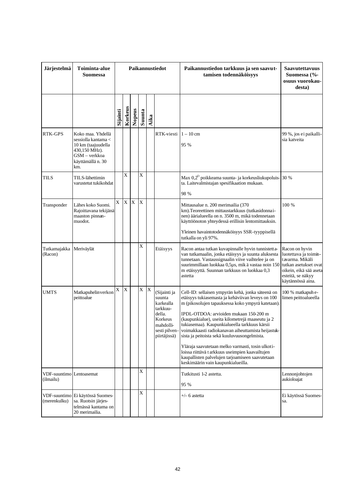| Järjestelmä                           | Toiminta-alue<br><b>Suomessa</b>                                                                                             |          |           |        |             |      | Paikannustiedot                                                                                                    | Paikannustiedon tarkkuus ja sen saavut-<br>tamisen todennäköisyys                                                                                                                                                                                                                                                                                                                                                                                                                                                                                                                                                   | <b>Saavutettavuus</b><br>Suomessa (%-<br>osuus vuorokau-<br>desta)                                                                                      |
|---------------------------------------|------------------------------------------------------------------------------------------------------------------------------|----------|-----------|--------|-------------|------|--------------------------------------------------------------------------------------------------------------------|---------------------------------------------------------------------------------------------------------------------------------------------------------------------------------------------------------------------------------------------------------------------------------------------------------------------------------------------------------------------------------------------------------------------------------------------------------------------------------------------------------------------------------------------------------------------------------------------------------------------|---------------------------------------------------------------------------------------------------------------------------------------------------------|
|                                       |                                                                                                                              | Sijainti | Korkeus   | Nopeus | Suunta      | Aika |                                                                                                                    |                                                                                                                                                                                                                                                                                                                                                                                                                                                                                                                                                                                                                     |                                                                                                                                                         |
| <b>RTK-GPS</b>                        | Koko maa. Yhdellä<br>sessiolla kantama <<br>10 km (taajuudella<br>430,150 MHz).<br>GSM – verkkoa<br>käyttämällä n. 30<br>km. |          |           |        |             |      | RTK-viesti                                                                                                         | $1-10$ cm<br>95 %                                                                                                                                                                                                                                                                                                                                                                                                                                                                                                                                                                                                   | 99 %, jos ei paikalli-<br>sia katveita                                                                                                                  |
| <b>TILS</b>                           | TILS-lähettimin<br>varustetut tukikohdat                                                                                     |          | X         |        | X           |      |                                                                                                                    | Max 0,2 <sup>0</sup> poikkeama suunta- ja korkeusliukupoluis- 30 %<br>ta. Laitevalmistajan spesifikaation mukaan.<br>98 %                                                                                                                                                                                                                                                                                                                                                                                                                                                                                           |                                                                                                                                                         |
| Transponder                           | Lähes koko Suomi.<br>Rajoittavana tekijänä<br>maaston pinnan-<br>muodot.                                                     | X        | X         | X      | $\mathbf X$ |      |                                                                                                                    | Mittausalue n. 200 merimailia (370<br>km). Teoreettinen mittaustarkkuus (tutkasidonnai-<br>nen) äärialueella on n. 3500 m, mikä todennetaan<br>käyttöönoton yhteydessä erillisin lentomittauksin.<br>Yleinen havaintotodennäköisyys SSR-tyyppisellä<br>tutkalla on yli 97%.                                                                                                                                                                                                                                                                                                                                         | 100 %                                                                                                                                                   |
| Tutkamajakka<br>(Racon)               | Meriväylät                                                                                                                   |          |           |        | X           |      | Etäisyys                                                                                                           | Racon antaa tutkan kuvapinnalle hyvin tunnistetta-<br>van tutkamaalin, jonka etäisyys ja suunta aluksesta<br>tunnetaan. Vastaussignaalin viive vaihtelee ja on<br>suurimmillaan luokkaa 0,5µs, mik ä vastaa noin 150<br>m etäisyyttä. Suunnan tarkkuus on luokkaa 0,3<br>astetta                                                                                                                                                                                                                                                                                                                                    | Racon on hyvin<br>luotettava ja toimin-<br>tavarma. Mikäli<br>tutkan asetukset ovat<br>oikein, eikä sää aseta<br>esteitä, se näkyy<br>käytännössä aina. |
| <b>UMTS</b>                           | Matkapuhelin verkon<br>peittoalue                                                                                            | X        | $\bar{X}$ |        | X           | X    | (Sijainti ja<br>suunta<br>karkealla<br>tarkkuu-<br>della.<br>Korkeus<br>mahdolli-<br>sesti pilven-<br>piirtäjissä) | Cell-ID: sellaisen ympyrän kehä, jonka säteenä on<br>etäisyys tukiasemasta ja kehäviivan leveys on 100<br>m (pikosolujen tapauksessa koko ympyrä katetaan).<br>IPDL-OTDOA: arvioiden mukaan 150-200 m<br>(kaupunkialue), useita kilometrejä maaseutu ja 2<br>tukiasemaa). Kaupunkialueella tarkkuus kärsii<br>voimakkaasti radiokanavan aiheuttamista heijastuk-<br>sista ja peitoista sekä kuuluvuusongelmista.<br>Yläraja saavutetaan melko varmasti, tosin ulkoti-<br>loissa riittävä t arkkuus useimpien kaavailtujen<br>kaupallisten palvelujen tarjoamiseen saavutetaan<br>keskimäärin vain kaupunkialueilla. | 100 % matkapuh e-<br>limen peittoalueella                                                                                                               |
| VDF-suuntimo Lentoasemat<br>(ilmailu) |                                                                                                                              |          |           |        | X           |      |                                                                                                                    | Tutkitusti 1-2 astetta.<br>95 %                                                                                                                                                                                                                                                                                                                                                                                                                                                                                                                                                                                     | Lennonjohtojen<br>aukioloajat                                                                                                                           |
| VDF-suuntimo<br>(merenkulku)          | Ei käytössä Suomes-<br>sa. Ruotsin järjes-<br>telmässä kantama on<br>20 merimailia.                                          |          |           |        | X           |      |                                                                                                                    | $+/-$ 6 astetta                                                                                                                                                                                                                                                                                                                                                                                                                                                                                                                                                                                                     | Ei käytössä Suomes-<br>sa.                                                                                                                              |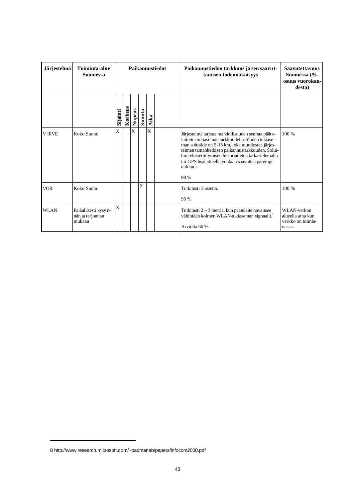| Järjestelmä   | Toiminta-alue<br><b>Suomessa</b>                    | Paikannustiedot |         |        |        | Paikannustiedon tarkkuus ja sen saavut-<br>tamisen todennäköisyys | <b>Saavutettavuus</b><br>Suomessa (%-<br>osuus vuorokau-<br>desta)                                                                                                                                                                                                                                                                              |                                                                 |
|---------------|-----------------------------------------------------|-----------------|---------|--------|--------|-------------------------------------------------------------------|-------------------------------------------------------------------------------------------------------------------------------------------------------------------------------------------------------------------------------------------------------------------------------------------------------------------------------------------------|-----------------------------------------------------------------|
|               |                                                     | Sijainti        | Korkeus | Nopeus | Suunta | Aika                                                              |                                                                                                                                                                                                                                                                                                                                                 |                                                                 |
| <b>V IRVE</b> | Koko Suomi                                          | X               |         | X      |        | X                                                                 | Järjestelmä tarjoaa mahdollisuuden seurata päät e-<br>laitteita tukiaseman tarkkuudella. Yhden tukiase-<br>man solusäde on 5-15 km, joka muodostaa järjes-<br>telmän tämänhetkisen paikannustarkkuuden. Solui-<br>hin rekisteröitymisen historiatietoa tarkastelemalla<br>tai GPS lisälaitteella voidaan saavuttaa parempi<br>tarkkuus.<br>98 % | 100 %                                                           |
| <b>VOR</b>    | Koko Suomi                                          |                 |         |        | X      |                                                                   | Tutkitusti 3 astetta.<br>95 %                                                                                                                                                                                                                                                                                                                   | 100 %                                                           |
| <b>WLAN</b>   | Paikallisesti kysy n-<br>nän ja tarjonnan<br>mukaan | X               |         |        |        |                                                                   | Tutkitusti 2 - 3 metriä, kun päätelaite havaitsee<br>vähintään kolmen WLAN-tukiaseman signaalit.8<br>Arviolta 66 %.                                                                                                                                                                                                                             | WLAN-verkon<br>alueella aina kun<br>verkko on toimin-<br>nassa. |

<sup>8</sup> http://www.research.microsoft.com/~padmanab/papers/infocom2000.pdf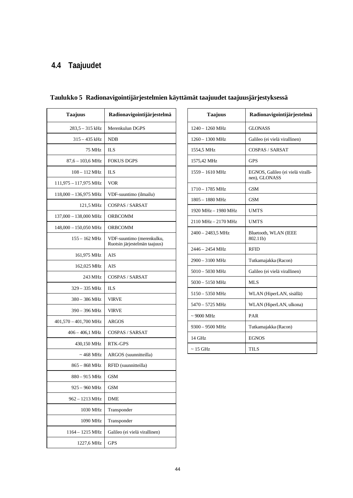# **4.4 Taajuudet**

| <b>Taajuus</b>                  | Radionavigointijärjestelmä                                 |
|---------------------------------|------------------------------------------------------------|
| $283,5 - 315$ kHz               | Merenkulun DGPS                                            |
| $315 - 435$ kHz                 | <b>NDB</b>                                                 |
| 75 MHz                          | <b>ILS</b>                                                 |
| $87,6 - 103,6 \text{ MHz}$      | <b>FOKUS DGPS</b>                                          |
| 108 - 112 MHz                   | <b>ILS</b>                                                 |
| 111,975 - 117,975 MHz           | <b>VOR</b>                                                 |
| $118,000 - 136,975 \text{ MHz}$ | VDF-suuntimo (ilmailu)                                     |
| 121,5 MHz                       | COSPAS / SARSAT                                            |
| 137,000 - 138,000 MHz           | ORBCOMM                                                    |
| $148,000 - 150,050$ MHz         | ORBCOMM                                                    |
| $155 - 162 \text{ MHz}$         | VDF-suuntimo (merenkulku,<br>Ruotsin järjestelmän taajuus) |
| 161,975 MHz                     | AIS                                                        |
| 162,025 MHz                     | AIS                                                        |
| 243 MHz                         | COSPAS / SARSAT                                            |
| 329 - 335 MHz                   | ILS                                                        |
| $380 - 386$ MHz                 | <b>VIRVE</b>                                               |
| 390 - 396 MHz                   | <b>VIRVE</b>                                               |
| $401,570 - 401,700$ MHz         | ARGOS                                                      |
| $406 - 406,1$ MHz               | <b>COSPAS / SARSAT</b>                                     |
| 430,150 MHz                     | RTK-GPS                                                    |
| ~ 468 MHz                       | ARGOS (suunnitteilla)                                      |
| 865 – 868 MHz                   | RFID (suunnitteilla)                                       |
| 880 - 915 MHz                   | <b>GSM</b>                                                 |
| 925 - 960 MHz                   | GSM                                                        |
| 962 – 1213 MHz                  | DME                                                        |
| 1030 MHz                        | Transponder                                                |
| 1090 MHz                        | Transponder                                                |
| 1164 - 1215 MHz                 | Galileo (ei vielä virallinen)                              |
| 1227,6 MHz                      | <b>GPS</b>                                                 |

# **Taulukko 5 Radionavigointijärjestelmien käyttämät taajuudet taajuusjärjestyksessä**

| <b>Taajuus</b>            | Radionavigointijärjestelmä                         |
|---------------------------|----------------------------------------------------|
| 1240 – 1260 MHz           | <b>GLONASS</b>                                     |
| $1260 - 1300$ MHz         | Galileo (ei vielä virallinen)                      |
| 1554,5 MHz                | <b>COSPAS / SARSAT</b>                             |
| 1575,42 MHz               | <b>GPS</b>                                         |
| $1559 - 1610 \text{ MHz}$ | EGNOS, Galileo (ei vielä viralli-<br>nen), GLONASS |
| 1710 - 1785 MHz           | <b>GSM</b>                                         |
| 1805 - 1880 MHz           | <b>GSM</b>                                         |
| 1920 MHz - 1980 MHz       | <b>UMTS</b>                                        |
| 2110 MHz - 2170 MHz       | <b>UMTS</b>                                        |
| 2400 - 2483,5 MHz         | Bluetooth, WLAN (IEEE<br>802.11b)                  |
| 2446 – 2454 MHz           | <b>RFID</b>                                        |
| 2900 - 3100 MHz           | Tutkamajakka (Racon)                               |
| $5010 - 5030$ MHz         | Galileo (ei vielä virallinen)                      |
| $5030 - 5150$ MHz         | MLS                                                |
| 5150 - 5350 MHz           | WLAN (HiperLAN, sisällä)                           |
| $5470 - 5725$ MHz         | WLAN (HiperLAN, ulkona)                            |
| $\sim 9000$ MHz           | PAR                                                |
| 9300 - 9500 MHz           | Tutkamajakka (Racon)                               |
| 14 GHz                    | <b>EGNOS</b>                                       |
| ~ 15 GHz                  | TILS                                               |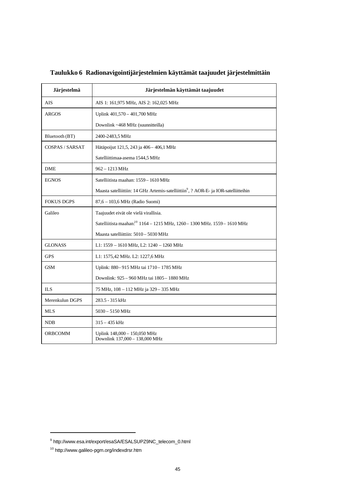| Järjestelmä            | Järjestelmän käyttämät taajuudet                                                                  |
|------------------------|---------------------------------------------------------------------------------------------------|
| AIS                    | AIS 1: 161,975 MHz, AIS 2: 162,025 MHz                                                            |
| <b>ARGOS</b>           | Uplink 401,570 - 401,700 MHz                                                                      |
|                        | Downlink ~468 MHz (suunnitteilla)                                                                 |
| Bluetooth (BT)         | 2400-2483,5 MHz                                                                                   |
| <b>COSPAS / SARSAT</b> | Hätäpoijut 121,5, 243 ja 406 - 406,1 MHz                                                          |
|                        | Satelliittimaa-asema 1544,5 MHz                                                                   |
| <b>DME</b>             | 962 - 1213 MHz                                                                                    |
| <b>EGNOS</b>           | Satelliitista maahan: 1559 - 1610 MHz                                                             |
|                        | Maasta satelliittiin: 14 GHz Artemis-satelliittiin <sup>9</sup> , ? AOR-E- ja IOR-satelliitteihin |
| <b>FOKUS DGPS</b>      | 87,6 - 103,6 MHz (Radio Suomi)                                                                    |
| Galileo                | Taajuudet eivät ole vielä virallisia.                                                             |
|                        | Satelliitista maahan. <sup>10</sup> 1164 - 1215 MHz, 1260 - 1300 MHz. 1559 - 1610 MHz             |
|                        | Maasta satelliittiin: 5010 – 5030 MHz                                                             |
| <b>GLONASS</b>         | L1: 1559 - 1610 MHz, L2: 1240 - 1260 MHz                                                          |
| <b>GPS</b>             | L1: 1575,42 MHz. L2: 1227,6 MHz                                                                   |
| <b>GSM</b>             | Uplink: 880-915 MHz tai 1710-1785 MHz                                                             |
|                        | Downlink: 925 - 960 MHz tai 1805 - 1880 MHz                                                       |
| <b>ILS</b>             | 75 MHz, 108 - 112 MHz ja 329 - 335 MHz                                                            |
| Merenkulun DGPS        | 283.5 - 315 kHz                                                                                   |
| <b>MLS</b>             | $5030 - 5150$ MHz                                                                                 |
| <b>NDB</b>             | $315 - 435$ kHz                                                                                   |
| <b>ORBCOMM</b>         | Uplink 148,000 - 150,050 MHz<br>Downlink 137,000 - 138,000 MHz                                    |

**Taulukko 6 Radionavigointijärjestelmien käyttämät taajuudet järjestelmittäin**

<sup>9</sup> http://www.esa.int/export/esaSA/ESALSUPZ9NC\_telecom\_0.html

<sup>10</sup> http://www.galileo-pgm.org/indexdrsr.htm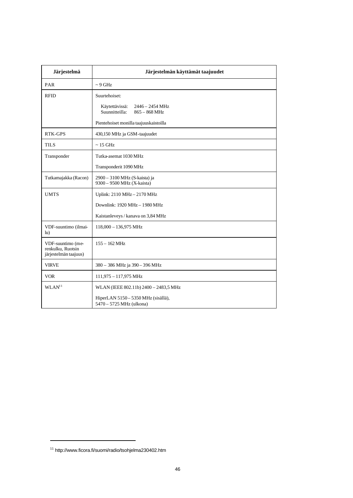| Järjestelmä                                                     | Järjestelmän käyttämät taajuudet                                                 |
|-----------------------------------------------------------------|----------------------------------------------------------------------------------|
| PAR                                                             | $\sim$ 9 GHz                                                                     |
| <b>RFID</b>                                                     | Suurtehoiset:                                                                    |
|                                                                 | Käytettävissä:<br>$2446 - 2454 \text{ MHz}$<br>Suunnitteilla:<br>$865 - 868$ MHz |
|                                                                 | Pientehoiset monilla taajuuskaistoilla                                           |
| <b>RTK-GPS</b>                                                  | 430,150 MHz ja GSM-taajuudet                                                     |
| <b>TILS</b>                                                     | $\sim$ 15 GHz                                                                    |
| Transponder                                                     | Tutka-asemat 1030 MHz                                                            |
|                                                                 | Transponderit 1090 MHz                                                           |
| Tutkamajakka (Racon)                                            | 2900 - 3100 MHz (S-kaista) ja<br>9300 - 9500 MHz (X-kaista)                      |
| <b>UMTS</b>                                                     | Uplink: 2110 MHz - 2170 MHz                                                      |
|                                                                 | Downlink: 1920 MHz - 1980 MHz                                                    |
|                                                                 | Kaistanleveys / kanava on 3,84 MHz                                               |
| VDF-suuntimo (ilmai-<br>$\ln$ )                                 | $118,000 - 136,975$ MHz                                                          |
| VDF-suuntimo (me-<br>renkulku, Ruotsin<br>järjestelmän taajuus) | $155 - 162$ MHz                                                                  |
| <b>VIRVE</b>                                                    | 380 - 386 MHz ja 390 - 396 MHz                                                   |
| <b>VOR</b>                                                      | 111,975 - 117,975 MHz                                                            |
| WLAN <sup>11</sup>                                              | WLAN (IEEE 802.11b) 2400 - 2483,5 MHz                                            |
|                                                                 | HiperLAN 5150 - 5350 MHz (sisällä),<br>5470 - 5725 MHz (ulkona)                  |

<sup>11</sup> http://www.ficora.fi/suomi/radio/tsohjelma230402.htm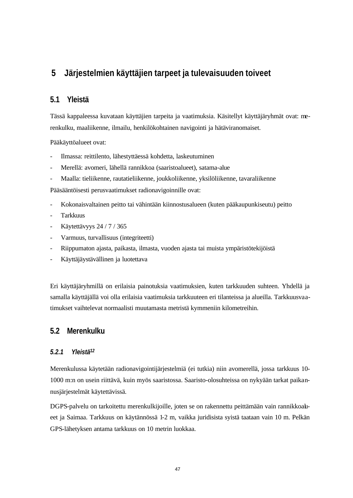# **5 Järjestelmien käyttäjien tarpeet ja tulevaisuuden toiveet**

### **5.1 Yleistä**

Tässä kappaleessa kuvataan käyttäjien tarpeita ja vaatimuksia. Käsitellyt käyttäjäryhmät ovat: merenkulku, maaliikenne, ilmailu, henkilökohtainen navigointi ja hätäviranomaiset.

Pääkäyttöalueet ovat:

- Ilmassa: reittilento, lähestyttäessä kohdetta, laskeutuminen
- Merellä: avomeri, lähellä rannikkoa (saaristoalueet), satama-alue
- Maalla: tieliikenne, rautatieliikenne, joukkoliikenne, yksilöliikenne, tavaraliikenne

Pääsääntöisesti perusvaatimukset radionavigoinnille ovat:

- Kokonaisvaltainen peitto tai vähintään kiinnostusalueen (kuten pääkaupunkiseutu) peitto
- Tarkkuus
- Käytettävyys 24 / 7 / 365
- Varmuus, turvallisuus (integriteetti)
- Riippumaton ajasta, paikasta, ilmasta, vuoden ajasta tai muista ympäristötekijöistä
- Käyttäjäystävällinen ja luotettava

Eri käyttäjäryhmillä on erilaisia painotuksia vaatimuksien, kuten tarkkuuden suhteen. Yhdellä ja samalla käyttäjällä voi olla erilaisia vaatimuksia tarkkuuteen eri tilanteissa ja alueilla. Tarkkuusvaatimukset vaihtelevat normaalisti muutamasta metristä kymmeniin kilometreihin.

### **5.2 Merenkulku**

### *5.2.1 Yleistä<sup>12</sup>*

Merenkulussa käytetään radionavigointijärjestelmiä (ei tutkia) niin avomerellä, jossa tarkkuus 10- 1000 m:n on usein riittävä, kuin myös saaristossa. Saaristo-olosuhteissa on nykyään tarkat paikannusjärjestelmät käytettävissä.

DGPS-palvelu on tarkoitettu merenkulkijoille, joten se on rakennettu peittämään vain rannikkoalueet ja Saimaa. Tarkkuus on käytännössä 1-2 m, vaikka juridisista syistä taataan vain 10 m. Pelkän GPS-lähetyksen antama tarkkuus on 10 metrin luokkaa.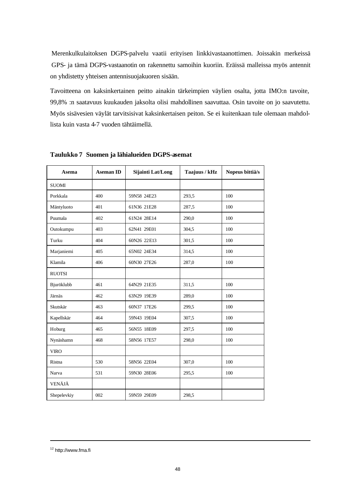Merenkulkulaitoksen DGPS-palvelu vaatii erityisen linkkivastaanottimen. Joissakin merkeissä GPS- ja tämä DGPS-vastaanotin on rakennettu samoihin kuoriin. Eräissä malleissa myös antennit on yhdistetty yhteisen antennisuojakuoren sisään.

Tavoitteena on kaksinkertainen peitto ainakin tärkeimpien väylien osalta, jotta IMO:n tavoite, 99,8% :n saatavuus kuukauden jaksolta olisi mahdollinen saavuttaa. Osin tavoite on jo saavutettu. Myös sisävesien väylät tarvitsisivat kaksinkertaisen peiton. Se ei kuitenkaan tule olemaan mahdollista kuin vasta 4-7 vuoden tähtäimellä.

| Asema         | <b>Aseman ID</b> | Sijainti Lat/Long | Taajuus / kHz | Nopeus bittiä/s |
|---------------|------------------|-------------------|---------------|-----------------|
| <b>SUOMI</b>  |                  |                   |               |                 |
| Porkkala      | 400              | 59N58 24E23       | 293,5         | 100             |
| Mäntyluoto    | 401              | 61N36 21E28       | 287.5         | 100             |
| Puumala       | 402              | 61N24 28E14       | 290,0         | 100             |
| Outokumpu     | 403              | 62N41 29E01       | 304,5         | 100             |
| Turku         | 404              | 60N26 22E13       | 301,5         | 100             |
| Marjaniemi    | 405              | 65N02 24E34       | 314,5         | 100             |
| Klamila       | 406              | 60N30 27E26       | 287,0         | 100             |
| <b>RUOTSI</b> |                  |                   |               |                 |
| Bjuröklubb    | 461              | 64N29 21E35       | 311.5         | 100             |
| Järnäs        | 462              | 63N29 19E39       | 289,0         | 100             |
| Skutskär      | 463              | 60N37 17E26       | 299,5         | 100             |
| Kapellskär    | 464              | 59N43 19E04       | 307,5         | 100             |
| Hoburg        | 465              | 56N55 18E09       | 297.5         | 100             |
| Nynäshamn     | 468              | 58N56 17E57       | 298,0         | 100             |
| <b>VIRO</b>   |                  |                   |               |                 |
| Ristna        | 530              | 58N56 22E04       | 307,0         | 100             |
| Narva         | 531              | 59N30 28E06       | 295.5         | 100             |
| VENÄJÄ        |                  |                   |               |                 |
| Shepelevkiy   | 002              | 59N59 29E09       | 298.5         |                 |

**Taulukko 7 Suomen ja lähialueiden DGPS-asemat** 

<sup>12</sup> http://www.fma.fi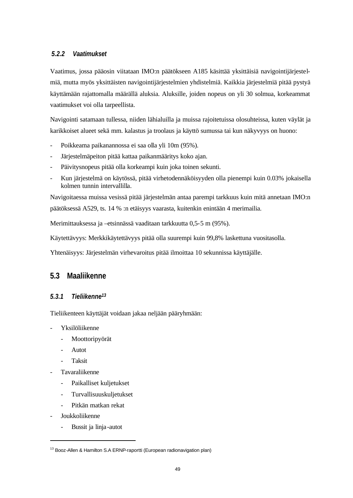### *5.2.2 Vaatimukset*

Vaatimus, jossa pääosin viitataan IMO:n päätökseen A185 käsittää yksittäisiä navigointijärjestelmiä, mutta myös yksittäisten navigointijärjestelmien yhdistelmiä. Kaikkia järjestelmiä pitää pystyä käyttämään rajattomalla määrällä aluksia. Aluksille, joiden nopeus on yli 30 solmua, korkeammat vaatimukset voi olla tarpeellista.

Navigointi satamaan tullessa, niiden lähialuilla ja muissa rajoitetuissa olosuhteissa, kuten väylät ja karikkoiset alueet sekä mm. kalastus ja troolaus ja käyttö sumussa tai kun näkyvyys on huono:

- Poikkeama paikanannossa ei saa olla yli 10m (95%).
- Järjestelmäpeiton pitää kattaa paikanmääritys koko ajan.
- Päivitysnopeus pitää olla korkeampi kuin joka toinen sekunti.
- Kun järjestelmä on käytössä, pitää virhetodennäköisyyden olla pienempi kuin 0.03% jokaisella kolmen tunnin intervallilla.

Navigoitaessa muissa vesissä pitää järjestelmän antaa parempi tarkkuus kuin mitä annetaan IMO:n päätöksessä A529, ts. 14 % :n etäisyys vaarasta, kuitenkin enintään 4 merimailia.

Merimittauksessa ja –etsinnässä vaaditaan tarkkuutta 0,5-5 m (95%).

Käytettävyys: Merkkikäytettävyys pitää olla suurempi kuin 99,8% laskettuna vuositasolla.

Yhtenäisyys: Järjestelmän virhevaroitus pitää ilmoittaa 10 sekunnissa käyttäjälle.

### **5.3 Maaliikenne**

### *5.3.1 Tieliikenne<sup>13</sup>*

Tieliikenteen käyttäjät voidaan jakaa neljään pääryhmään:

- Yksilöliikenne
	- Moottoripyörät
	- **Autot**
	- **Taksit**
- Tavaraliikenne
	- Paikalliset kuljetukset
	- Turvallisuuskuljetukset
	- Pitkän matkan rekat
- Joukkoliikenne

l

Bussit ja linja-autot

<sup>&</sup>lt;sup>13</sup> Booz-Allen & Hamilton S.A ERNP-raportti (European radionavigation plan)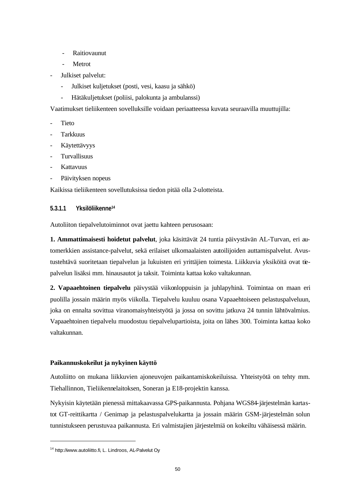- Raitiovaunut
- Metrot
- Julkiset palvelut:
	- Julkiset kuljetukset (posti, vesi, kaasu ja sähkö)
	- Hätäkuljetukset (poliisi, palokunta ja ambulanssi)

Vaatimukset tieliikenteen sovelluksille voidaan periaatteessa kuvata seuraavilla muuttujilla:

- **Tieto**
- **Tarkkuus**
- Käytettävyys
- Turvallisuus
- Kattavuus
- Päivityksen nopeus

Kaikissa tieliikenteen sovellutuksissa tiedon pitää olla 2-ulotteista.

### **5.3.1.1 Yksilöliikenne<sup>14</sup>**

Autoliiton tiepalvelutoiminnot ovat jaettu kahteen perusosaan:

**1. Ammattimaisesti hoidetut palvelut**, joka käsittävät 24 tuntia päivystävän AL-Turvan, eri automerkkien assistance-palvelut, sekä erilaiset ulkomaalaisten autoilijoiden auttamispalvelut. Avustustehtävä suoritetaan tiepalvelun ja lukuisten eri yrittäjien toimesta. Liikkuvia yksiköitä ovat tiepalvelun lisäksi mm. hinausautot ja taksit. Toiminta kattaa koko valtakunnan.

**2. Vapaaehtoinen tiepalvelu** päivystää viikonloppuisin ja juhlapyhinä. Toimintaa on maan eri puolilla jossain määrin myös viikolla. Tiepalvelu kuuluu osana Vapaaehtoiseen pelastuspalveluun, joka on ennalta sovittua viranomaisyhteistyötä ja jossa on sovittu jatkuva 24 tunnin lähtövalmius. Vapaaehtoinen tiepalvelu muodostuu tiepalvelupartioista, joita on lähes 300. Toiminta kattaa koko valtakunnan.

### **Paikannuskokeilut ja nykyinen käyttö**

Autoliitto on mukana liikkuvien ajoneuvojen paikantamiskokeiluissa. Yhteistyötä on tehty mm. Tiehallinnon, Tieliikennelaitoksen, Soneran ja E18-projektin kanssa.

Nykyisin käytetään pienessä mittakaavassa GPS-paikannusta. Pohjana WGS84-järjestelmän kartastot GT-reittikartta / Genimap ja pelastuspalvelukartta ja jossain määrin GSM-järjestelmän solun tunnistukseen perustuvaa paikannusta. Eri valmistajien järjestelmiä on kokeiltu vähäisessä määrin.

<sup>14</sup> http://www.autoliitto.fi, L. Lindroos, AL-Palvelut Oy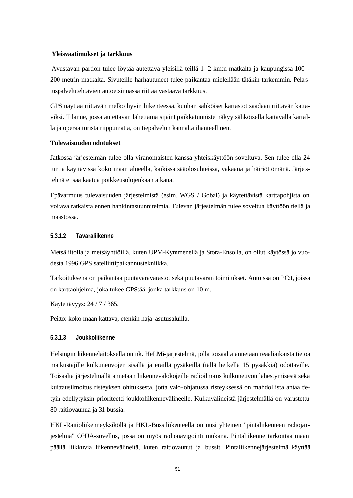#### **Yleisvaatimukset ja tarkkuus**

Avustavan partion tulee löytää autettava yleisillä teillä 1- 2 km:n matkalta ja kaupungissa 100 - 200 metrin matkalta. Sivuteille harhautuneet tulee paikantaa mielellään tätäkin tarkemmin. Pela stuspalvelutehtävien autoetsinnässä riittää vastaava tarkkuus.

GPS näyttää riittävän melko hyvin liikenteessä, kunhan sähköiset kartastot saadaan riittävän kattaviksi. Tilanne, jossa autettavan lähettämä sijaintipaikkatunniste näkyy sähköisellä kattavalla kartalla ja operaattorista riippumatta, on tiepalvelun kannalta ihanteellinen.

### **Tulevaisuuden odotukset**

Jatkossa järjestelmän tulee olla viranomaisten kanssa yhteiskäyttöön soveltuva. Sen tulee olla 24 tuntia käyttävissä koko maan alueella, kaikissa sääolosuhteissa, vakaana ja häiriöttömänä. Järje stelmä ei saa kaatua poikkeusolojenkaan aikana.

Epävarmuus tulevaisuuden järjestelmistä (esim. WGS / Gobal) ja käytettävistä karttapohjista on voitava ratkaista ennen hankintasuunnitelmia. Tulevan järjestelmän tulee soveltua käyttöön tiellä ja maastossa.

### **5.3.1.2 Tavaraliikenne**

Metsäliitolla ja metsäyhtiöillä, kuten UPM-Kymmenellä ja Stora-Ensolla, on ollut käytössä jo vuodesta 1996 GPS satelliittipaikannustekniikka.

Tarkoituksena on paikantaa puutavaravarastot sekä puutavaran toimitukset. Autoissa on PC:t, joissa on karttaohjelma, joka tukee GPS:ää, jonka tarkkuus on 10 m.

Käytettävyys: 24 / 7 / 365.

Peitto: koko maan kattava, etenkin haja -asutusaluilla.

#### **5.3.1.3 Joukkoliikenne**

Helsingin liikennelaitoksella on nk. HeLMi-järjestelmä, jolla toisaalta annetaan reaaliaikaista tietoa matkustajille kulkuneuvojen sisällä ja eräillä pysäkeillä (tällä hetkellä 15 pysäkkiä) odottaville. Toisaalta järjestelmällä annetaan liikennevalokojeille radioilmaus kulkuneuvon lähestymisestä sekä kuittausilmoitus risteyksen ohituksesta, jotta valo-ohjatussa risteyksessä on mahdollista antaa tietyin edellytyksin prioriteetti joukkoliikennevälineelle. Kulkuvälineistä järjestelmällä on varustettu 80 raitiovaunua ja 31 bussia.

HKL-Raitioliikenneyksiköllä ja HKL-Bussiliikenteellä on uusi yhteinen "pintaliikenteen radiojä rjestelmä" OHJA-sovellus, jossa on myös radionavigointi mukana. Pintaliikenne tarkoittaa maan päällä liikkuvia liikennevälineitä, kuten raitiovaunut ja bussit. Pintaliikennejärjestelmä käyttää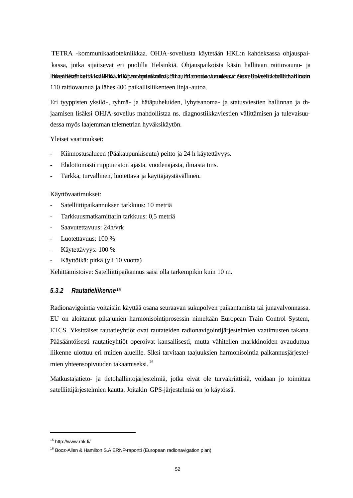TETRA -kommunikaatiotekniikkaa. OHJA-sovellusta käytetään HKL:n kahdeksassa ohjauspaikassa, jotka sijaitsevat eri puolilla Helsinkiä. Ohjauspaikoista käsin hallitaan raitiovaunu- ja libikestitiektänkettäk kaaikki Kai. HK joenooptenokotiiaak 214 autokautokonnooksaadessa. Sokselluksella taati tuoro 110 raitiovaunua ja lähes 400 paikallisliikenteen linja -autoa.

Eri tyyppisten yksilö-, ryhmä- ja hätäpuheluiden, lyhytsanoma- ja statusviestien hallinnan ja ohjaamisen lisäksi OHJA-sovellus mahdollistaa ns. diagnostiikkaviestien välittämisen ja tulevaisuudessa myös laajemman telemetrian hyväksikäytön.

Yleiset vaatimukset:

- Kiinnostusalueen (Pääkaupunkiseutu) peitto ja 24 h käytettävyys.
- Ehdottomasti riippumaton ajasta, vuodenajasta, ilmasta tms.
- Tarkka, turvallinen, luotettava ja käyttäjäystävällinen.

#### Käyttövaatimukset:

- Satelliittipaikannuksen tarkkuus: 10 metriä
- Tarkkuusmatkamittarin tarkkuus: 0,5 metriä
- Saavutettavuus: 24h/vrk
- Luotettavuus: 100 %
- Käytettävyys: 100 %
- Käyttöikä: pitkä (yli 10 vuotta)

Kehittämistoive: Satelliittipaikannus saisi olla tarkempikin kuin 10 m.

### *5.3.2 Rautatieliikenne<sup>15</sup>*

Radionavigointia voitaisiin käyttää osana seuraavan sukupolven paikantamista tai junavalvonnassa. EU on aloittanut pikajunien harmonisointiprosessin nimeltään European Train Control System, ETCS. Yksittäiset rautatieyhtiöt ovat rautateiden radionavigointijärjestelmien vaatimusten takana. Pääsääntöisesti rautatieyhtiöt operoivat kansallisesti, mutta vähitellen markkinoiden avauduttua liikenne ulottuu eri maiden alueille. Siksi tarvitaan taajuuksien harmonisointia paikannusjärjestelmien yhteensopivuuden takaamiseksi. <sup>16</sup>

Matkustajatieto- ja tietohallintojärjestelmiä, jotka eivät ole turvakriittisiä, voidaan jo toimittaa satelliittijärjestelmien kautta. Joitakin GPS-järjestelmiä on jo käytössä.

<sup>15</sup> http://www.rhk.fi/

<sup>&</sup>lt;sup>16</sup> Booz-Allen & Hamilton S.A ERNP-raportti (European radionavigation plan)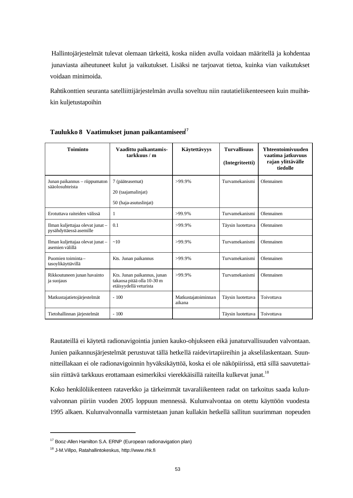Hallintojärjestelmät tulevat olemaan tärkeitä, koska niiden avulla voidaan määritellä ja kohdentaa junaviasta aiheutuneet kulut ja vaikutukset. Lisäksi ne tarjoavat tietoa, kuinka vian vaikutukset voidaan minimoida.

Rahtikonttien seuranta satelliittijärjestelmän avulla soveltuu niin rautatieliikenteeseen kuin muihinkin kuljetustapoihin

| <b>Toiminto</b>                                             | Vaadittu paikantamis-<br>tarkkuus/m                                                 | Käytettävyys                  | <b>Turvallisuus</b><br>(Integriteetti) | <b>Yhteentoimivuuden</b><br>vaatima jatkuvuus<br>rajan ylittävälle<br>tiedolle |
|-------------------------------------------------------------|-------------------------------------------------------------------------------------|-------------------------------|----------------------------------------|--------------------------------------------------------------------------------|
| Junan paikannus – riippumaton<br>sääolosuhteista            | 7 (pääteasemat)<br>20 (taajamalinjat)<br>50 (haja-asutuslinjat)                     | $>99.9\%$                     | Turvamekanismi                         | Olennainen                                                                     |
| Erotuttava raiteiden välissä                                | 1                                                                                   | $>99.9\%$                     | Turvamekanismi                         | Olennainen                                                                     |
| Ilman kuljettajaa olevat junat -<br>pysähdyttäessä asemille | 0.1                                                                                 | $>99.9\%$                     | Täysin luotettava                      | Olennainen                                                                     |
| Ilman kuljettajaa olevat junat -<br>asemien välillä         | ~10                                                                                 | >99.9%                        | Turvamekanismi                         | Olennainen                                                                     |
| Puomien toiminta-<br>tasoylikäyttävillä                     | Kts. Junan paikannus                                                                | $>99.9\%$                     | Turvamekanismi                         | Olennainen                                                                     |
| Rikkoutuneen junan havainto<br>ja suojaus                   | Kts. Junan paikannus, junan<br>takaosa pitää olla 10-30 m<br>etäisyydellä veturista | $>99.9\%$                     | Turvamekanismi                         | Olennainen                                                                     |
| Matkustajatietojärjestelmät                                 | $-100$                                                                              | Matkustajatoiminnan<br>aikana | Täysin luotettava                      | Toivottava                                                                     |
| Tietohallinnan järjestelmät                                 | $-100$                                                                              |                               | Täysin luotettava                      | Toivottava                                                                     |

**Taulukko 8 Vaatimukset junan paikantamiseen<sup>17</sup>**

Rautateillä ei käytetä radionavigointia junien kauko-ohjukseen eikä junaturvallisuuden valvontaan. Junien paikannusjärjestelmät perustuvat tällä hetkellä raidevirtapiireihin ja akselilaskentaan. Suunnitteillakaan ei ole radionavigoinnin hyväksikäyttöä, koska ei ole näköpiirissä, että sillä saavutettaisiin riittävä tarkkuus erottamaan esimerkiksi vierekkäisillä raiteilla kulkevat junat.<sup>18</sup>

Koko henkilöliikenteen rataverkko ja tärkeimmät tavaraliikenteen radat on tarkoitus saada kulunvalvonnan piiriin vuoden 2005 loppuun mennessä. Kulunvalvontaa on otettu käyttöön vuodesta 1995 alkaen. Kulunvalvonnalla varmistetaan junan kullakin hetkellä sallitun suurimman nopeuden

<sup>17</sup> Booz-Allen Hamilton S.A. ERNP (European radionavigation plan)

<sup>18</sup> J-M.Villpo, Ratahallintokeskus, http://www.rhk.fi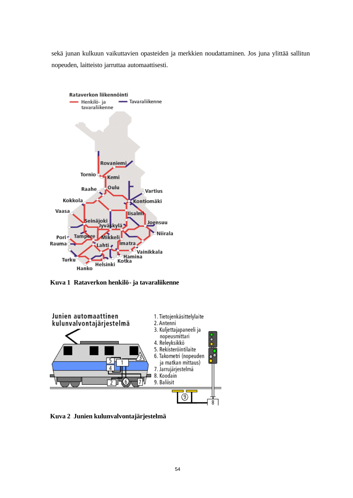sekä junan kulkuun vaikuttavien opasteiden ja merkkien noudattaminen. Jos juna ylittää sallitun nopeuden, laitteisto jarruttaa automaattisesti.



**Kuva 1 Rataverkon henkilö- ja tavaraliikenne**



**Kuva 2 Junien kulunvalvontajärjestelmä**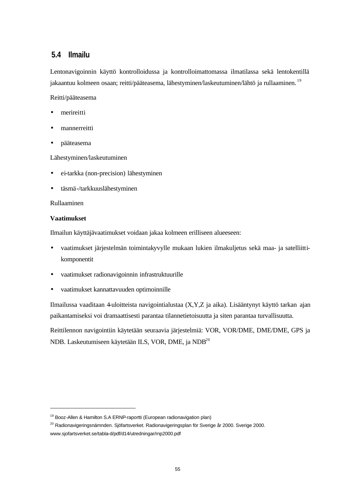### **5.4 Ilmailu**

Lentonavigoinnin käyttö kontrolloidussa ja kontrolloimattomassa ilmatilassa sekä lentokentillä jakaantuu kolmeen osaan; reitti/pääteasema, lähestyminen/laskeutuminen/lähtö ja rullaaminen. <sup>19</sup>

Reitti/pääteasema

- merireitti
- mannerreitti
- pääteasema

Lähestyminen/laskeutuminen

- ei-tarkka (non-precision) lähestyminen
- täsmä-/tarkkuuslähestyminen

### Rullaaminen

### **Vaatimukset**

l

Ilmailun käyttäjävaatimukset voidaan jakaa kolmeen erilliseen alueeseen:

- vaatimukset järjestelmän toimintakyvylle mukaan lukien ilmakuljetus sekä maa- ja satelliittikomponentit
- vaatimukset radionavigoinnin infrastruktuurille
- vaatimukset kannattavuuden optimoinnille

Ilmailussa vaaditaan 4-uloitteista navigointialustaa (X,Y,Z ja aika). Lisääntynyt käyttö tarkan ajan paikantamiseksi voi dramaattisesti parantaa tilannetietoisuutta ja siten parantaa turvallisuutta.

Reittilennon navigointiin käytetään seuraavia järjestelmiä: VOR, VOR/DME, DME/DME, GPS ja NDB. Laskeutumiseen käytetään ILS, VOR, DME, ja NDB<sup>20</sup>

<sup>&</sup>lt;sup>19</sup> Booz-Allen & Hamilton S.A ERNP-raportti (European radionavigation plan)

<sup>&</sup>lt;sup>20</sup> Radionavigeringsnämnden. Sjöfartsverket. Radionavigeringsplan för Sverige år 2000. Sverige 2000. www.sjofartsverket.se/tabla-d/pdf/d14/utredningar/rnp2000.pdf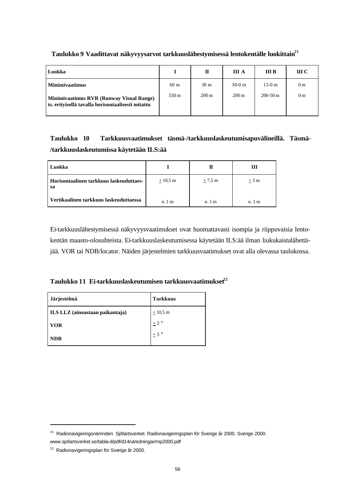| Luokka                                                                                        |                 | П               | III A              | <b>III</b> B | III C          |
|-----------------------------------------------------------------------------------------------|-----------------|-----------------|--------------------|--------------|----------------|
| <b>Minimivaatimus</b>                                                                         | 60 <sub>m</sub> | 30 <sub>m</sub> | $30-0$ m           | $15-0$ m     | 0 <sub>m</sub> |
| Minimivaatimus RVR (Runway Visual Range)<br>ts. erityisellä tavalla horisontaalisesti mitattu | 550 m           | $200 \text{ m}$ | $200 \,\mathrm{m}$ | $200 - 50$ m | 0 <sub>m</sub> |

### **Taulukko 9 Vaadittavat näkyvyysarvot tarkkuuslähestymisessä lentokentälle luokittain<sup>21</sup>**

**Taulukko 10 Tarkkuusvaatimukset täsmä-/tarkkuuslaskeutumisapuvälineillä. Täsmä- /tarkkuuslaskeutumissa käytetään ILS:ää**

| Luokka                                        |                  | П                | ш                |
|-----------------------------------------------|------------------|------------------|------------------|
| Horisontaalinen tarkkuus laskeuduttaes-<br>sa | $\pm 10.5$ m     | $\pm$ 7.5 m      | $+3m$            |
| Vertikaalinen tarkkuus laskeuduttaessa        | n.1 <sub>m</sub> | n.1 <sub>m</sub> | n.1 <sub>m</sub> |

Ei-tarkkuuslähestymisessä näkyvyysvaatimukset ovat huomattavasti isompia ja riippuvaisia lentokentän maasto-olosuhteista. Ei-tarkkuuslaskeutumisessa käytetään ILS:ää ilman liukukaistalähettäjää. VOR tai NDB/locator. Näiden järjestelmien tarkkuusvaatimukset ovat alla olevassa taulukossa.

**Taulukko 11 Ei-tarkkuuslaskeutumisen tarkkuusvaatimukset<sup>22</sup>**

| Järjestelmä                     | <b>Tarkkuus</b>    |
|---------------------------------|--------------------|
| ILS LLZ (ainoastaan paikantaja) | $\pm 10.5$ m       |
| <b>VOR</b>                      | $1+3$ °            |
| <b>NDB</b>                      | $\pm$ 3 $^{\circ}$ |

<sup>21</sup> Radionavigeringsnämnden. Sjöfartsverket. Radionavigeringsplan för Sverige år 2000. Sverige 2000. www.sjofartsverket.se/tabla-d/pdf/d14/utredningar/rnp2000.pdf

<sup>22</sup> Radionavigeringsplan för Sverige år 2000.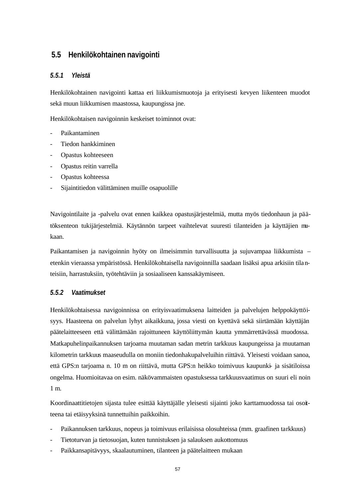### **5.5 Henkilökohtainen navigointi**

### *5.5.1 Yleistä*

Henkilökohtainen navigointi kattaa eri liikkumismuotoja ja erityisesti kevyen liikenteen muodot sekä muun liikkumisen maastossa, kaupungissa jne.

Henkilökohtaisen navigoinnin keskeiset toiminnot ovat:

- Paikantaminen
- Tiedon hankkiminen
- Opastus kohteeseen
- Opastus reitin varrella
- Opastus kohteessa
- Sijaintitiedon välittäminen muille osapuolille

Navigointilaite ja -palvelu ovat ennen kaikkea opastusjärjestelmiä, mutta myös tiedonhaun ja päätöksenteon tukijärjestelmiä. Käytännön tarpeet vaihtelevat suuresti tilanteiden ja käyttäjien mukaan.

Paikantamisen ja navigoinnin hyöty on ilmeisimmin turvallisuutta ja sujuvampaa liikkumista – etenkin vieraassa ympäristössä. Henkilökohtaisella navigoinnilla saadaan lisäksi apua arkisiin tilanteisiin, harrastuksiin, työtehtäviin ja sosiaaliseen kanssakäymiseen.

### *5.5.2 Vaatimukset*

Henkilökohtaisessa navigoinnissa on erityisvaatimuksena laitteiden ja palvelujen helppokäyttöisyys. Haasteena on palvelun lyhyt aikaikkuna, jossa viesti on kyettävä sekä siirtämään käyttäjän päätelaitteeseen että välittämään rajoittuneen käyttöliittymän kautta ymmärrettävässä muodossa. Matkapuhelinpaikannuksen tarjoama muutaman sadan metrin tarkkuus kaupungeissa ja muutaman kilometrin tarkkuus maaseudulla on moniin tiedonhakupalveluihin riittävä. Yleisesti voidaan sanoa, että GPS:n tarjoama n. 10 m on riittävä, mutta GPS:n heikko toimivuus kaupunki- ja sisätiloissa ongelma. Huomioitavaa on esim. näkövammaisten opastuksessa tarkkuusvaatimus on suuri eli noin 1 m.

Koordinaattitietojen sijasta tulee esittää käyttäjälle yleisesti sijainti joko karttamuodossa tai osoitteena tai etäisyyksinä tunnettuihin paikkoihin.

- Paikannuksen tarkkuus, nopeus ja toimivuus erilaisissa olosuhteissa (mm. graafinen tarkkuus)
- Tietoturvan ja tietosuojan, kuten tunnistuksen ja salauksen aukottomuus
- Paikkansapitävyys, skaalautuminen, tilanteen ja päätelaitteen mukaan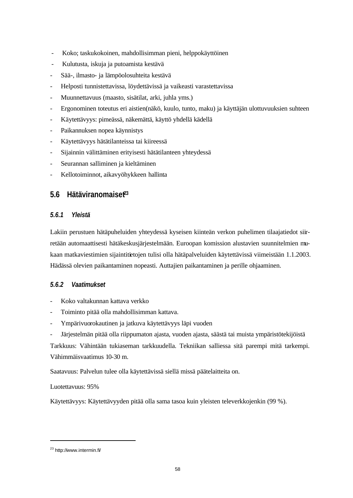- Koko; taskukokoinen, mahdollisimman pieni, helppokäyttöinen
- Kulutusta, iskuja ja putoamista kestävä
- Sää-, ilmasto- ja lämpöolosuhteita kestävä
- Helposti tunnistettavissa, löydettävissä ja vaikeasti varastettavissa
- Muunnettavuus (maasto, sisätilat, arki, juhla yms.)
- Ergonominen toteutus eri aistien(näkö, kuulo, tunto, maku) ja käyttäjän ulottuvuuksien suhteen
- Käytettävyys: pimeässä, näkemättä, käyttö yhdellä kädellä
- Paikannuksen nopea käynnistys
- Käytettävyys hätätilanteissa tai kiireessä
- Sijainnin välittäminen erityisesti hätätilanteen yhteydessä
- Seurannan salliminen ja kieltäminen
- Kellotoiminnot, aikavyöhykkeen hallinta

### **5.6 Hätäviranomaiset<sup>23</sup>**

### *5.6.1 Yleistä*

Lakiin perustuen hätäpuheluiden yhteydessä kyseisen kiinteän verkon puhelimen tilaajatiedot siirretään automaattisesti hätäkeskusjärjestelmään. Euroopan komission alustavien suunnitelmien mukaan matkaviestimien sijaintitietojen tulisi olla hätäpalveluiden käytettävissä viimeistään 1.1.2003. Hädässä olevien paikantaminen nopeasti. Auttajien paikantaminen ja perille ohjaaminen.

### *5.6.2 Vaatimukset*

- Koko valtakunnan kattava verkko
- Toiminto pitää olla mahdollisimman kattava.
- Ympärivuorokautinen ja jatkuva käytettävyys läpi vuoden
- Järjestelmän pitää olla riippumaton ajasta, vuoden ajasta, säästä tai muista ympäristötekijöistä

Tarkkuus: Vähintään tukiaseman tarkkuudella. Tekniikan salliessa sitä parempi mitä tarkempi. Vähimmäisvaatimus 10-30 m.

Saatavuus: Palvelun tulee olla käytettävissä siellä missä päätelaitteita on.

### Luotettavuus: 95%

Käytettävyys: Käytettävyyden pitää olla sama tasoa kuin yleisten televerkkojenkin (99 %).

<sup>23</sup> http://www.intermin.fi/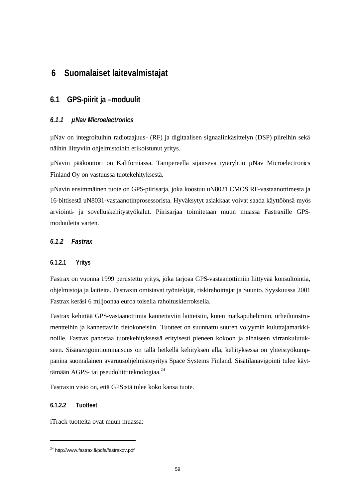# **6 Suomalaiset laitevalmistajat**

### **6.1 GPS-piirit ja –moduulit**

### *6.1.1 µNav Microelectronics*

µNav on integroituihin radiotaajuus- (RF) ja digitaalisen signaalinkäsittelyn (DSP) piireihin sekä näihin liittyviin ohjelmistoihin erikoistunut yritys.

µNavin pääkonttori on Kaliforniassa. Tampereella sijaitseva tytäryhtiö µNav Microelectronics Finland Oy on vastuussa tuotekehityksestä.

µNavin ensimmäinen tuote on GPS-piirisarja, joka koostuu uN8021 CMOS RF-vastaanottimesta ja 16-bittisestä uN8031-vastaanotinprosessorista. Hyväksytyt asiakkaat voivat saada käyttöönsä myös arviointi- ja sovelluskehitystyökalut. Piirisarjaa toimitetaan muun muassa Fastraxille GPSmoduuleita varten.

### *6.1.2 Fastrax*

### **6.1.2.1 Yritys**

Fastrax on vuonna 1999 perustettu yritys, joka tarjoaa GPS-vastaanottimiin liittyvää konsultointia, ohjelmistoja ja laitteita. Fastraxin omistavat työntekijät, riskirahoittajat ja Suunto. Syyskuussa 2001 Fastrax keräsi 6 miljoonaa euroa toisella rahoituskierroksella.

Fastrax kehittää GPS-vastaanottimia kannettaviin laitteisiin, kuten matkapuhelimiin, urheiluinstrumentteihin ja kannettaviin tietokoneisiin. Tuotteet on suunnattu suuren volyymin kuluttajamarkkinoille. Fastrax panostaa tuotekehityksessä erityisesti pieneen kokoon ja alhaiseen virrankulutukseen. Sisänavigointiominaisuus on tällä hetkellä kehityksen alla, kehityksessä on yhteistyökumppanina suomalainen avaruusohjelmistoyritys Space Systems Finland. Sisätilanavigointi tulee käyttämään AGPS- tai pseudoliittiteknologiaa.<sup>24</sup>

Fastraxin visio on, että GPS:stä tulee koko kansa tuote.

### **6.1.2.2 Tuotteet**

l

iTrack-tuotteita ovat muun muassa:

<sup>24</sup> http://www.fastrax.fi/pdfs/fastraxov.pdf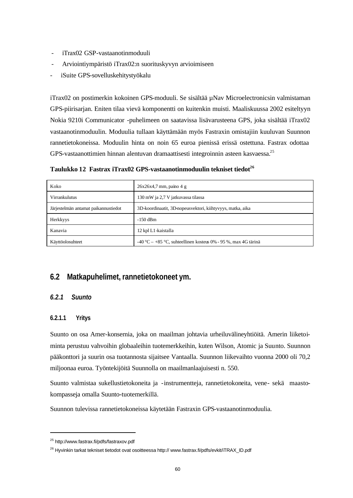- iTrax02 GSP-vastaanotinmoduuli
- Arviointiympäristö iTrax02:n suorituskyvyn arvioimiseen
- iSuite GPS-sovelluskehitystyökalu

iTrax02 on postimerkin kokoinen GPS-moduuli. Se sisältää µNav Microelectronicsin valmistaman GPS-piirisarjan. Eniten tilaa vievä komponentti on kuitenkin muisti. Maaliskuussa 2002 esiteltyyn Nokia 9210i Communicator -puhelimeen on saatavissa lisävarusteena GPS, joka sisältää iTrax02 vastaanotinmoduulin. Moduulia tullaan käyttämään myös Fastraxin omistajiin kuuluvan Suunnon rannetietokoneissa. Moduulin hinta on noin 65 euroa pienissä erissä ostettuna. Fastrax odottaa GPS-vastaanottimien hinnan alentuvan dramaattisesti integroinnin asteen kasvaessa.<sup>25</sup>

**Taulukko 12 Fastrax iTrax02 GPS-vastaanotinmoduulin tekniset tiedot<sup>26</sup>**

| Koko                                 | $26x26x4,7$ mm, paino 4 g                                      |
|--------------------------------------|----------------------------------------------------------------|
| Virrankulutus                        | 130 mW ja 2,7 V jatkuvassa tilassa                             |
| Järjestelmän antamat paikannustiedot | 3D-koordinaatit, 3D-nopeusvektori, kiihtyvyys, matka, aika     |
| Herkkyys                             | $-150$ dBm                                                     |
| Kanavia                              | 12 kpl L1-kaistalla                                            |
| Käyttöolosuhteet                     | -40 °C – +85 °C, suhteellinen kosteus 0% - 95 %, max 4G tärinä |

### **6.2 Matkapuhelimet, rannetietokoneet ym.**

### *6.2.1 Suunto*

### **6.2.1.1 Yritys**

l

Suunto on osa Amer-konsernia, joka on maailman johtavia urheiluvälineyhtiöitä. Amerin liiketoiminta perustuu vahvoihin globaaleihin tuotemerkkeihin, kuten Wilson, Atomic ja Suunto. Suunnon pääkonttori ja suurin osa tuotannosta sijaitsee Vantaalla. Suunnon liikevaihto vuonna 2000 oli 70,2 miljoonaa euroa. Työntekijöitä Suunnolla on maailmanlaajuisesti n. 550.

Suunto valmistaa sukellustietokoneita ja -instrumentteja, rannetietokoneita, vene- sekä maastokompasseja omalla Suunto-tuotemerkillä.

Suunnon tulevissa rannetietokoneissa käytetään Fastraxin GPS-vastaanotinmoduulia.

<sup>25</sup> http://www.fastrax.fi/pdfs/fastraxov.pdf

<sup>&</sup>lt;sup>26</sup> Hyvinkin tarkat tekniset tietodot ovat osoitteessa http:// www.fastrax.fi/pdfs/evkit/iTRAX\_ID.pdf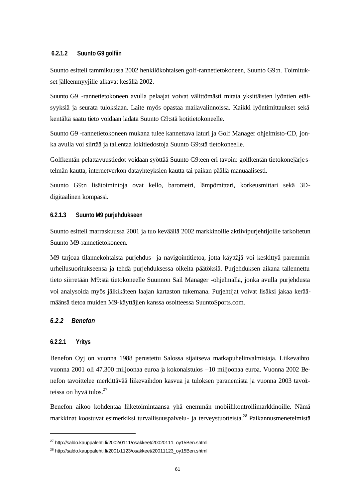#### **6.2.1.2 Suunto G9 golfiin**

Suunto esitteli tammikuussa 2002 henkilökohtaisen golf-rannetietokoneen, Suunto G9:n. Toimitukset jälleenmyyjille alkavat kesällä 2002.

Suunto G9 -rannetietokoneen avulla pelaajat voivat välittömästi mitata yksittäisten lyöntien etäisyyksiä ja seurata tuloksiaan. Laite myös opastaa mailavalinnoissa. Kaikki lyöntimittaukset sekä kentältä saatu tieto voidaan ladata Suunto G9:stä kotitietokoneelle.

Suunto G9 -rannetietokoneen mukana tulee kannettava laturi ja Golf Manager ohjelmisto-CD, jonka avulla voi siirtää ja tallentaa lokitiedostoja Suunto G9:stä tietokoneelle.

Golfkentän pelattavuustiedot voidaan syöttää Suunto G9:een eri tavoin: golfkentän tietokonejärje stelmän kautta, internetverkon datayhteyksien kautta tai paikan päällä manuaalisesti.

Suunto G9:n lisätoimintoja ovat kello, barometri, lämpömittari, korkeusmittari sekä 3Ddigitaalinen kompassi.

#### **6.2.1.3 Suunto M9 purjehdukseen**

Suunto esitteli marraskuussa 2001 ja tuo keväällä 2002 markkinoille aktiivipurjehtijoille tarkoitetun Suunto M9-rannetietokoneen.

M9 tarjoaa tilannekohtaista purjehdus- ja navigointitietoa, jotta käyttäjä voi keskittyä paremmin urheilusuoritukseensa ja tehdä purjehduksessa oikeita päätöksiä. Purjehduksen aikana tallennettu tieto siirretään M9:stä tietokoneelle Suunnon Sail Manager -ohjelmalla, jonka avulla purjehdusta voi analysoida myös jälkikäteen laajan kartaston tukemana. Purjehtijat voivat lisäksi jakaa keräämäänsä tietoa muiden M9-käyttäjien kanssa osoitteessa SuuntoSports.com.

### *6.2.2 Benefon*

#### **6.2.2.1 Yritys**

l

Benefon Oyj on vuonna 1988 perustettu Salossa sijaitseva matkapuhelinvalmistaja. Liikevaihto vuonna 2001 oli 47.300 miljoonaa euroa ja kokonaistulos –10 miljoonaa euroa. Vuonna 2002 Benefon tavoittelee merkittävää liikevaihdon kasvua ja tuloksen paranemista ja vuonna 2003 tavoitteissa on hyvä tulos. $27$ 

Benefon aikoo kohdentaa liiketoimintaansa yhä enemmän mobiilikontrollimarkkinoille. Nämä markkinat koostuvat esimerkiksi turvallisuuspalvelu- ja terveystuotteista.<sup>28</sup> Paikannusmenetelmistä

<sup>27</sup> http://saldo.kauppalehti.fi/2002/0111/osakkeet/20020111\_oy15Ben.shtml

<sup>28</sup> http://saldo.kauppalehti.fi/2001/1123/osakkeet/20011123\_oy15Ben.shtml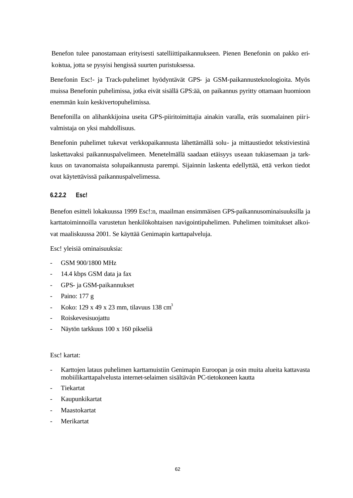Benefon tulee panostamaan erityisesti satelliittipaikannukseen. Pienen Benefonin on pakko erikoistua, jotta se pysyisi hengissä suurten puristuksessa.

Benefonin Esc!- ja Track-puhelimet hyödyntävät GPS- ja GSM-paikannusteknologioita. Myös muissa Benefonin puhelimissa, jotka eivät sisällä GPS:ää, on paikannus pyritty ottamaan huomioon enemmän kuin keskivertopuhelimissa.

Benefonilla on alihankkijoina useita GPS-piiritoimittajia ainakin varalla, eräs suomalainen piirivalmistaja on yksi mahdollisuus.

Benefonin puhelimet tukevat verkkopaikannusta lähettämällä solu- ja mittaustiedot tekstiviestinä laskettavaksi paikannuspalvelimeen. Menetelmällä saadaan etäisyys useaan tukiasemaan ja tarkkuus on tavanomaista solupaikannusta parempi. Sijainnin laskenta edellyttää, että verkon tiedot ovat käytettävissä paikannuspalvelimessa.

### **6.2.2.2 Esc!**

Benefon esitteli lokakuussa 1999 Esc!:n, maailman ensimmäisen GPS-paikannusominaisuuksilla ja karttatoiminnoilla varustetun henkilökohtaisen navigointipuhelimen. Puhelimen toimitukset alkoivat maaliskuussa 2001. Se käyttää Genimapin karttapalveluja.

Esc! yleisiä ominaisuuksia:

- GSM 900/1800 MHz
- 14.4 kbps GSM data ja fax
- GPS- ja GSM-paikannukset
- Paino: 177 g
- Koko: 129 x 49 x 23 mm, tilavuus 138 cm<sup>3</sup>
- Roiskevesisuojattu
- Näytön tarkkuus 100 x 160 pikseliä

### Esc! kartat:

- Karttojen lataus puhelimen karttamuistiin Genimapin Euroopan ja osin muita alueita kattavasta mobiilikarttapalvelusta internet-selaimen sisältävän PC-tietokoneen kautta
- **Tiekartat**
- Kaupunkikartat
- Maastokartat
- **Merikartat**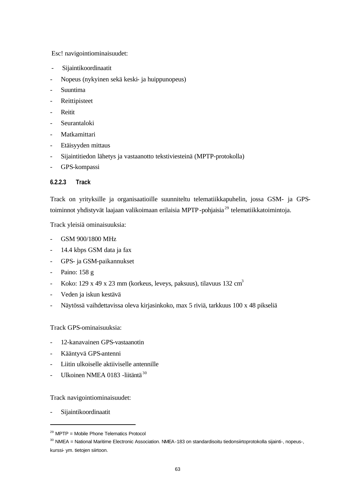Esc! navigointiominaisuudet:

- Sijaintikoordinaatit
- Nopeus (nykyinen sekä keski- ja huippunopeus)
- Suuntima
- **Reittipisteet**
- Reitit
- Seurantaloki
- Matkamittari
- Etäisyyden mittaus
- Sijaintitiedon lähetys ja vastaanotto tekstiviesteinä (MPTP-protokolla)
- GPS-kompassi

### **6.2.2.3 Track**

Track on yrityksille ja organisaatioille suunniteltu telematiikkapuhelin, jossa GSM- ja GPStoiminnot yhdistyvät laajaan valikoimaan erilaisia MPTP-pohjaisia<sup>29</sup> telematiikkatoimintoja.

Track yleisiä ominaisuuksia:

- GSM 900/1800 MHz
- 14.4 kbps GSM data ja fax
- GPS- ja GSM-paikannukset
- Paino: 158 g
- Koko: 129 x 49 x 23 mm (korkeus, leveys, paksuus), tilavuus 132 cm<sup>3</sup>
- Veden ja iskun kestävä
- Näytössä vaihdettavissa oleva kirjasinkoko, max 5 riviä, tarkkuus 100 x 48 pikseliä

Track GPS-ominaisuuksia:

- 12-kanavainen GPS-vastaanotin
- Kääntyvä GPS-antenni
- Liitin ulkoiselle aktiiviselle antennille
- Ulkoinen NMEA 0183 -liitäntä<sup>30</sup>

Track navigointiominaisuudet:

Sijaintikoordinaatit

 $29$  MPTP = Mobile Phone Telematics Protocol

<sup>30</sup> NMEA = National Maritime Electronic Association. NMEA-183 on standardisoitu tiedonsiirtoprotokolla sijainti-, nopeus-, kurssi- ym. tietojen siirtoon.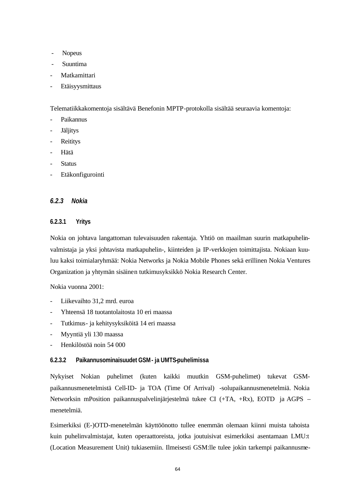- Nopeus
- Suuntima
- Matkamittari
- Etäisyysmittaus

Telematiikkakomentoja sisältävä Benefonin MPTP-protokolla sisältää seuraavia komentoja:

- Paikannus
- **Jäljitys**
- **Reititys**
- Hätä
- **Status**
- Etäkonfigurointi

### *6.2.3 Nokia*

### **6.2.3.1 Yritys**

Nokia on johtava langattoman tulevaisuuden rakentaja. Yhtiö on maailman suurin matkapuhelinvalmistaja ja yksi johtavista matkapuhelin-, kiinteiden ja IP-verkkojen toimittajista. Nokiaan kuuluu kaksi toimialaryhmää: Nokia Networks ja Nokia Mobile Phones sekä erillinen Nokia Ventures Organization ja yhtymän sisäinen tutkimusyksikkö Nokia Research Center.

Nokia vuonna 2001:

- Liikevaihto 31,2 mrd. euroa
- Yhteensä 18 tuotantolaitosta 10 eri maassa
- Tutkimus- ja kehitysyksiköitä 14 eri maassa
- Myyntiä yli 130 maassa
- Henkilöstöä noin 54 000

### **6.2.3.2 Paikannusominaisuudet GSM- ja UMTS-puhelimissa**

Nykyiset Nokian puhelimet (kuten kaikki muutkin GSM-puhelimet) tukevat GSMpaikannusmenetelmistä Cell-ID- ja TOA (Time Of Arrival) -solupaikannusmenetelmiä. Nokia Networksin mPosition paikannuspalvelinjärjestelmä tukee CI (+TA, +Rx), EOTD ja AGPS – menetelmiä.

Esimerkiksi (E-)OTD-menetelmän käyttöönotto tullee enemmän olemaan kiinni muista tahoista kuin puhelinvalmistajat, kuten operaattoreista, jotka joutuisivat esimerkiksi asentamaan LMU:t (Location Measurement Unit) tukiasemiin. Ilmeisesti GSM:lle tulee jokin tarkempi paikannusme-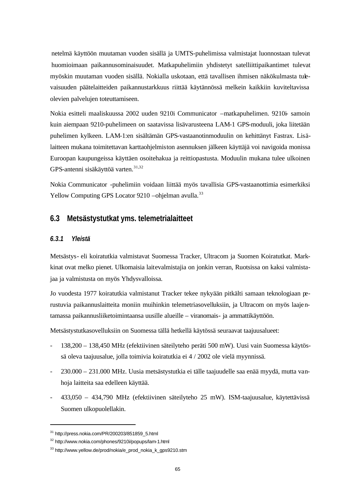netelmä käyttöön muutaman vuoden sisällä ja UMTS-puhelimissa valmistajat luonnostaan tulevat huomioimaan paikannusominaisuudet. Matkapuhelimiin yhdistetyt satelliittipaikantimet tulevat myöskin muutaman vuoden sisällä. Nokialla uskotaan, että tavallisen ihmisen näkökulmasta tulevaisuuden päätelaitteiden paikannustarkkuus riittää käytännössä melkein kaikkiin kuviteltavissa olevien palvelujen toteuttamiseen.

Nokia esitteli maaliskuussa 2002 uuden 9210i Communicator –matkapuhelimen. 9210i- samoin kuin aiempaan 9210-puhelimeen on saatavissa lisävarusteena LAM-1 GPS-moduuli, joka liitetään puhelimen kylkeen. LAM-1:en sisältämän GPS-vastaanotinmoduulin on kehittänyt Fastrax. Lisälaitteen mukana toimitettavan karttaohjelmiston asennuksen jälkeen käyttäjä voi navigoida monissa Euroopan kaupungeissa käyttäen osoitehakua ja reittiopastusta. Moduulin mukana tulee ulkoinen GPS-antenni sisäkäyttöä varten.<sup>31,32</sup>

Nokia Communicator -puhelimiin voidaan liittää myös tavallisia GPS-vastaanottimia esimerkiksi Yellow Computing GPS Locator 9210 –ohjelman avulla.<sup>33</sup>

### **6.3 Metsästystutkat yms. telemetrialaitteet**

### *6.3.1 Yleistä*

Metsästys- eli koiratutkia valmistavat Suomessa Tracker, Ultracom ja Suomen Koiratutkat. Markkinat ovat melko pienet. Ulkomaisia laitevalmistajia on jonkin verran, Ruotsissa on kaksi valmistajaa ja valmistusta on myös Yhdysvalloissa.

Jo vuodesta 1977 koiratutkia valmistanut Tracker tekee nykyään pitkälti samaan teknologiaan perustuvia paikannuslaitteita moniin muihinkin telemetriasovelluksiin, ja Ultracom on myös laajentamassa paikannusliiketoimintaansa uusille alueille – viranomais- ja ammattikäyttöön.

Metsästystutkasovelluksiin on Suomessa tällä hetkellä käytössä seuraavat taajuusalueet:

- 138,200 138,450 MHz (efektiivinen säteilyteho peräti 500 mW). Uusi vain Suomessa käytössä oleva taajuusalue, jolla toimivia koiratutkia ei 4 / 2002 ole vielä myynnissä.
- 230.000 231.000 MHz. Uusia metsästystutkia ei tälle taajuudelle saa enää myydä, mutta vanhoja laitteita saa edelleen käyttää.
- 433,050 434,790 MHz (efektiivinen säteilyteho 25 mW). ISM-taajuusalue, käytettävissä Suomen ulkopuolellakin.

<sup>31</sup> http://press.nokia.com/PR/200203/851859\_5.html

<sup>32</sup> http://www.nokia.com/phones/9210i/popups/lam-1.html

<sup>&</sup>lt;sup>33</sup> http://www.yellow.de/prod/nokia/e\_prod\_nokia\_k\_gps9210.stm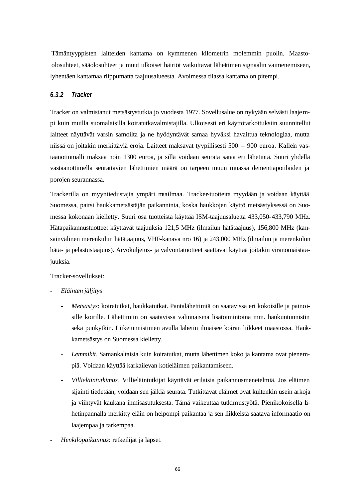Tämäntyyppisten laitteiden kantama on kymmenen kilometrin molemmin puolin. Maastoolosuhteet, sääolosuhteet ja muut ulkoiset häiriöt vaikuttavat lähettimen signaalin vaimenemiseen, lyhentäen kantamaa riippumatta taajuusalueesta. Avoimessa tilassa kantama on pitempi.

### *6.3.2 Tracker*

Tracker on valmistanut metsästystutkia jo vuodesta 1977. Sovellusalue on nykyään selvästi laajempi kuin muilla suomalaisilla koiratutkavalmistajilla. Ulkoisesti eri käyttötarkoituksiin suunnitellut laitteet näyttävät varsin samoilta ja ne hyödyntävät samaa hyväksi havaittua teknologiaa, mutta niissä on joitakin merkittäviä eroja. Laitteet maksavat tyypillisesti 500 – 900 euroa. Kallein vastaanotinmalli maksaa noin 1300 euroa, ja sillä voidaan seurata sataa eri lähetintä. Suuri yhdellä vastaanottimella seurattavien lähettimien määrä on tarpeen muun muassa dementiapotilaiden ja porojen seurannassa.

Trackerilla on myyntiedustajia ympäri maailmaa. Tracker-tuotteita myydään ja voidaan käyttää Suomessa, paitsi haukkametsästäjän paikanninta, koska haukkojen käyttö metsästyksessä on Suomessa kokonaan kielletty. Suuri osa tuotteista käyttää ISM-taajuusaluetta 433,050-433,790 MHz. Hätapaikannustuotteet käyttävät taajuuksia 121,5 MHz (ilmailun hätätaajuus), 156,800 MHz (kansainvälinen merenkulun hätätaajuus, VHF-kanava nro 16) ja 243,000 MHz (ilmailun ja merenkulun hätä- ja pelastustaajuus). Arvokuljetus- ja valvontatuotteet saattavat käyttää joitakin viranomaistaajuuksia.

Tracker-sovellukset:

- *Eläinten jäljitys*
	- *Metsästys*: koiratutkat, haukkatutkat. Pantalähettimiä on saatavissa eri kokoisille ja painoisille koirille. Lähettimiin on saatavissa valinnaisina lisätoimintoina mm. haukuntunnistin sekä puukytkin. Liiketunnistimen avulla lähetin ilmaisee koiran liikkeet maastossa. Haukkametsästys on Suomessa kielletty.
	- Lemmikit. Samankaltaisia kuin koiratutkat, mutta lähettimen koko ja kantama ovat pienempiä. Voidaan käyttää karkailevan kotieläimen paikantamiseen.
	- *Villieläintutkimus*. Villieläintutkijat käyttävät erilaisia paikannusmenetelmiä. Jos eläimen sijainti tiedetään, voidaan sen jälkiä seurata. Tutkittavat eläimet ovat kuitenkin usein arkoja ja viihtyvät kaukana ihmisasutuksesta. Tämä vaikeuttaa tutkimustyötä. Pienikokoisella lähetinpannalla merkitty eläin on helpompi paikantaa ja sen liikkeistä saatava informaatio on laajempaa ja tarkempaa.
- *Henkilöpaikannus*: retkeilijät ja lapset.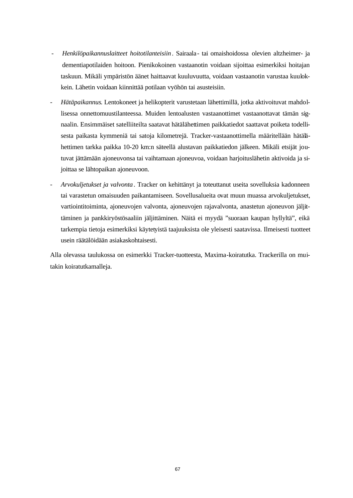- *Henkilöpaikannuslaitteet hoitotilanteisiin*. Sairaala- tai omaishoidossa olevien altzheimer- ja dementiapotilaiden hoitoon. Pienikokoinen vastaanotin voidaan sijoittaa esimerkiksi hoitajan taskuun. Mikäli ympäristön äänet haittaavat kuuluvuutta, voidaan vastaanotin varustaa kuulokkein. Lähetin voidaan kiinnittää potilaan vyöhön tai asusteisiin.
- *Hätäpaikannus*. Lentokoneet ja helikopterit varustetaan lähettimillä, jotka aktivoituvat mahdollisessa onnettomuustilanteessa. Muiden lentoalusten vastaanottimet vastaanottavat tämän signaalin. Ensimmäiset satelliiteilta saatavat hätälähettimen paikkatiedot saattavat poiketa todellisesta paikasta kymmeniä tai satoja kilometrejä. Tracker-vastaanottimella määritellään hätälähettimen tarkka paikka 10-20 km:n säteellä alustavan paikkatiedon jälkeen. Mikäli etsijät joutuvat jättämään ajoneuvonsa tai vaihtamaan ajoneuvoa, voidaan harjoituslähetin aktivoida ja sijoittaa se lähtopaikan ajoneuvoon.
- *Arvokuljetukset ja valvonta*. Tracker on kehittänyt ja toteuttanut useita sovelluksia kadonneen tai varastetun omaisuuden paikantamiseen. Sovellusalueita ovat muun muassa arvokuljetukset, vartiointitoiminta, ajoneuvojen valvonta, ajoneuvojen rajavalvonta, anastetun ajoneuvon jäljittäminen ja pankkiryöstösaaliin jäljittäminen. Näitä ei myydä "suoraan kaupan hyllyltä", eikä tarkempia tietoja esimerkiksi käytetyistä taajuuksista ole yleisesti saatavissa. Ilmeisesti tuotteet usein räätälöidään asiakaskohtaisesti.

Alla olevassa taulukossa on esimerkki Tracker-tuotteesta, Maxima-koiratutka. Trackerilla on muitakin koiratutkamalleja.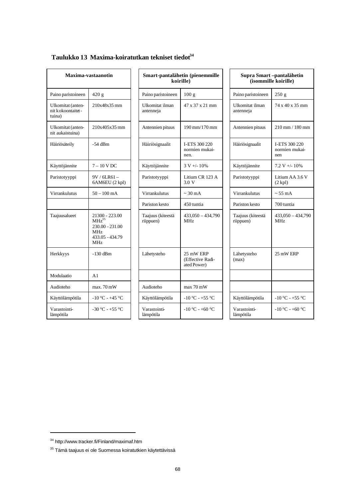| Maxima-vastaanotin                               |                                                                                                            |  | Smart-pantalähetin (pienemmi<br>koirille) |                                             |  |
|--------------------------------------------------|------------------------------------------------------------------------------------------------------------|--|-------------------------------------------|---------------------------------------------|--|
| Paino paristoineen                               | 420 g                                                                                                      |  | Paino paristoineen                        | 100 <sub>g</sub>                            |  |
| Ulkomitat (anten-<br>nit kokoontaitet-<br>tuina) | 210x48x35 mm                                                                                               |  | Ulkomitat ilman<br>antenneja              | 47 x 37 x 21 m                              |  |
| Ulkomitat (anten-<br>nit aukaistuina)            | 210x405x35 mm                                                                                              |  | Antennien pituus                          | 190 mm/170 m                                |  |
| Häiriösäteily                                    | $-54$ dBm                                                                                                  |  | Häiriösignaalit                           | I-ETS 300 220<br>normien mukai<br>nen.      |  |
| Käyttöjännite                                    | $7 - 10$ V DC                                                                                              |  | Käyttöjännite                             | $3 V + 10\%$                                |  |
| Paristotyyppi                                    | $9V / 6LR61 -$<br>6AM6EU (2 kpl)                                                                           |  | Paristotyyppi                             | Litium CR 123<br>3.0 V                      |  |
| Virrankulutus                                    | $50 - 100$ mA                                                                                              |  | Virrankulutus                             | $\sim$ 30 mA                                |  |
|                                                  |                                                                                                            |  | Pariston kesto                            | 450 tuntia                                  |  |
| Taajuusalueet                                    | 21300 - 223.00<br>$MHz^{35}$<br>$230.00 - 231.00$<br>MH <sub>z</sub><br>433.05 - 434.79<br>MH <sub>z</sub> |  | Taajuus (kiteestä<br>riippuen)            | $433,050 - 434.7$<br>MH <sub>z</sub>        |  |
| Herkkyys                                         | -130 dBm                                                                                                   |  | Lähetysteho                               | 25 mW ERP<br>(Effective Radi<br>ated Power) |  |
| Modulaatio                                       | A1                                                                                                         |  |                                           |                                             |  |
| Audioteho                                        | $max.70$ mW                                                                                                |  | Audioteho                                 | $max 70$ mW                                 |  |
| Käyttölämpötila                                  | $-10\,^{\circ}\text{C} - +45\,^{\circ}\text{C}$                                                            |  | Käyttölämpötila                           | $-10$ °C - +55 °C                           |  |
| Varastointi-<br>lämpötila                        | $-30 °C - +55 °C$                                                                                          |  | Varastointi-<br>lämpötila                 | $-10$ °C $-+60$ °C                          |  |

# **Taulukko 13 Maxima-koiratutkan tekniset tiedot<sup>34</sup>**

| Maxima-vastaanotin                                 |                                                                                    |                                | Smart-pantalähetin (pienemmille<br>koirille) |                                | Supra Smart-pantalähetin<br>(isommille koirille) |  |
|----------------------------------------------------|------------------------------------------------------------------------------------|--------------------------------|----------------------------------------------|--------------------------------|--------------------------------------------------|--|
| Paino paristoineen                                 | 420 g                                                                              | Paino paristoineen             | 100 <sub>g</sub>                             | Paino paristoineen             | 250 g                                            |  |
| Ulkomitat (anten-<br>nit k okoontaitet -<br>tuina) | 210x48x35 mm                                                                       | Ulkomitat ilman<br>antenneja   | 47 x 37 x 21 mm                              | Ulkomitat ilman<br>antenneja   | 74 x 40 x 35 mm                                  |  |
| Ulkomitat (anten-<br>nit aukaistuina)              | 210x405x35 mm                                                                      | Antennien pituus               | 190 mm/170 mm                                | Antennien pituus               | 210 mm / 180 mm                                  |  |
| Häiriösäteily                                      | $-54$ dBm                                                                          | Häiriösignaalit                | I-ETS 300 220<br>normien mukai-<br>nen.      | Häiriösignaalit                | I-ETS 300 220<br>normien mukai-<br>nen           |  |
| Käyttöjännite                                      | $7 - 10$ V DC                                                                      | Käyttöjännite                  | $3 V + (-10\%)$                              | Käyttöjännite                  | $7.2 V + - 10%$                                  |  |
| Paristotyyppi                                      | $9V / 6LR61 -$<br>6AM6EU (2 kpl)                                                   | Paristotyyppi                  | Litium CR 123 A<br>3.0 V                     | Paristotyyppi                  | Litium AA 3.6 V<br>$(2$ kpl $)$                  |  |
| Virrankulutus                                      | $50 - 100$ mA                                                                      | Virrankulutus                  | $\sim$ 30 mA                                 | Virrankulutus                  | $\sim$ 55 mA                                     |  |
|                                                    |                                                                                    | Pariston kesto                 | 450 tuntia                                   | Pariston kesto                 | 700 tuntia                                       |  |
| Taajuusalueet                                      | 21300 - 223.00<br>$MHz^{35}$<br>$230.00 - 231.00$<br>MHz<br>433.05 - 434.79<br>MHz | Taajuus (kiteestä<br>riippuen) | $433,050 - 434,790$<br>MH <sub>z</sub>       | Taajuus (kiteestä<br>riippuen) | $433,050 - 434,790$<br>MH <sub>z</sub>           |  |
| Herkkyys                                           | $-130$ dBm                                                                         | Lähetysteho                    | 25 mW ERP<br>(Effective Radi-<br>ated Power) | Lähetysteho<br>(max)           | 25 mW ERP                                        |  |
| Modulaatio                                         | A <sub>1</sub>                                                                     |                                |                                              |                                |                                                  |  |
| Audioteho                                          | $max.70$ mW                                                                        | Audioteho                      | $max 70$ mW                                  |                                |                                                  |  |
| Käyttölämpötila                                    | $-10\,^{\circ}\text{C} - +45\,^{\circ}\text{C}$                                    | Käyttölämpötila                | $-10$ °C - +55 °C                            | Käyttölämpötila                | $-10$ °C - +55 °C                                |  |
| Varastointi-<br>lämpötila                          | -30 °C - +55 °C                                                                    | Varastointi-<br>lämpötila      | -10 °C - +60 °C                              | Varastointi-<br>lämpötila      | -10 °C - +60 °C                                  |  |

| Supra Smart-pantalähetin<br>(isommille koirille) |                                        |  |  |
|--------------------------------------------------|----------------------------------------|--|--|
| Paino paristoineen                               | 250 g                                  |  |  |
| Ulkomitat ilman<br>antenneja                     | 74 x 40 x 35 mm                        |  |  |
| Antennien pituus                                 | 210 mm / 180 mm                        |  |  |
| Häiriösignaalit                                  | I-ETS 300 220<br>normien mukai-<br>nen |  |  |
| Käyttöjännite                                    | $7.2 V + 10%$                          |  |  |
| Paristotyyppi                                    | Litium AA 3.6 V<br>$(2$ kpl $)$        |  |  |
| Virrankulutus                                    | $\sim$ 55 mA                           |  |  |
| Pariston kesto                                   | 700 tuntia                             |  |  |
| Taajuus (kiteestä<br>riippuen)                   | $433,050 - 434,790$<br><b>MHz</b>      |  |  |
| Lähetysteho<br>(max)                             | 25 mW ERP                              |  |  |
|                                                  |                                        |  |  |
|                                                  |                                        |  |  |
| Käyttölämpötila                                  | $-10$ °C - +55 °C                      |  |  |
| Varastointi-<br>lämpötila                        | $-10$ °C - +60 °C                      |  |  |

<sup>34</sup> http://www.tracker.fi/Finland/maximaf.htm

 $^{35}$ Tämä taajuus ei ole Suomessa koiratutkien käytettävissä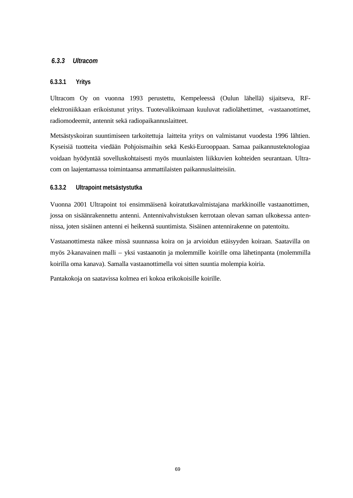### *6.3.3 Ultracom*

### **6.3.3.1 Yritys**

Ultracom Oy on vuonna 1993 perustettu, Kempeleessä (Oulun lähellä) sijaitseva, RFelektroniikkaan erikoistunut yritys. Tuotevalikoimaan kuuluvat radiolähettimet, -vastaanottimet, radiomodeemit, antennit sekä radiopaikannuslaitteet.

Metsästyskoiran suuntimiseen tarkoitettuja laitteita yritys on valmistanut vuodesta 1996 lähtien. Kyseisiä tuotteita viedään Pohjoismaihin sekä Keski-Eurooppaan. Samaa paikannusteknologiaa voidaan hyödyntää sovelluskohtaisesti myös muunlaisten liikkuvien kohteiden seurantaan. Ultracom on laajentamassa toimintaansa ammattilaisten paikannuslaitteisiin.

#### **6.3.3.2 Ultrapoint metsästystutka**

Vuonna 2001 Ultrapoint toi ensimmäisenä koiratutkavalmistajana markkinoille vastaanottimen, jossa on sisäänrakennettu antenni. Antennivahvistuksen kerrotaan olevan saman ulkoisessa antennissa, joten sisäinen antenni ei heikennä suuntimista. Sisäinen antennirakenne on patentoitu.

Vastaanottimesta näkee missä suunnassa koira on ja arvioidun etäisyyden koiraan. Saatavilla on myös 2-kanavainen malli – yksi vastaanotin ja molemmille koirille oma lähetinpanta (molemmilla koirilla oma kanava). Samalla vastaanottimella voi sitten suuntia molempia koiria.

Pantakokoja on saatavissa kolmea eri kokoa erikokoisille koirille.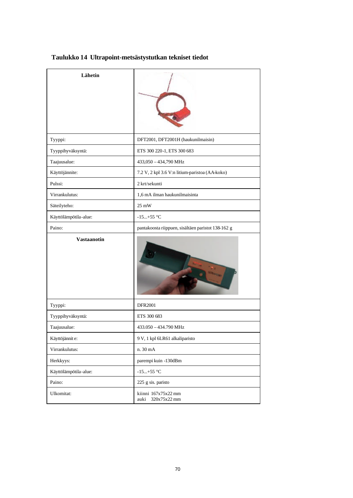| Lähetin               |                                                    |  |  |
|-----------------------|----------------------------------------------------|--|--|
| Tyyppi:               | DFT2001, DFT2001H (haukunilmaisin)                 |  |  |
| Tyyppihyväksyntä:     | ETS 300 220-1, ETS 300 683                         |  |  |
| Taajuusalue:          | 433,050 - 434,790 MHz                              |  |  |
| Käyttöjännite:        | 7.2 V, 2 kpl 3.6 V:n litium-paristoa (AA-koko)     |  |  |
| Pulssi:               | 2 krt/sekunti                                      |  |  |
| Virrankulutus:        | 1,6 mA ilman haukunilmaisinta                      |  |  |
| Säteilyteho:          | $25 \text{ mW}$                                    |  |  |
| Käyttölämpötila-alue: | $-15+55$ °C                                        |  |  |
| Paino:                | pantakoosta riippuen, sisältäen paristot 138-162 g |  |  |
| <b>Vastaanotin</b>    |                                                    |  |  |
| Tyyppi:               | <b>DFR2001</b>                                     |  |  |
| Tyyppihyväksyntä:     | ETS 300 683                                        |  |  |
| Taajuusalue:          | 433.050 - 434.790 MHz                              |  |  |
| Käyttöjännit e:       | 9 V, 1 kpl 6LR61 alkaliparisto                     |  |  |
| Virrankulutus:        | n. 30 mA                                           |  |  |
| Herkkyys:             | parempi kuin -130dBm                               |  |  |
| Käyttölämpötila-alue: | -15+55 $^{\circ}$ C                                |  |  |
| Paino:                | 225 g sis. paristo                                 |  |  |
| Ulkomitat:            | kiinni 167x75x22 mm<br>320x75x22 mm<br>auki        |  |  |

# **Taulukko 14 Ultrapoint-metsästystutkan tekniset tiedot**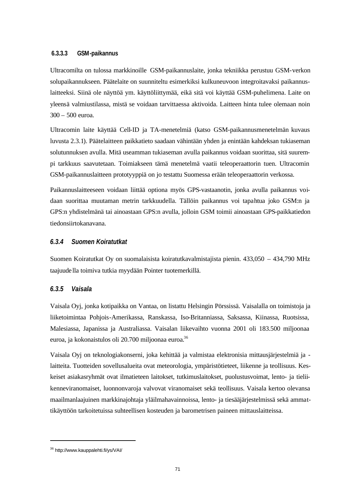#### **6.3.3.3 GSM-paikannus**

Ultracomilta on tulossa markkinoille GSM-paikannuslaite, jonka tekniikka perustuu GSM-verkon solupaikannukseen. Päätelaite on suunniteltu esimerkiksi kulkuneuvoon integroitavaksi paikannuslaitteeksi. Siinä ole näyttöä ym. käyttöliittymää, eikä sitä voi käyttää GSM-puhelimena. Laite on yleensä valmiustilassa, mistä se voidaan tarvittaessa aktivoida. Laitteen hinta tulee olemaan noin 300 – 500 euroa.

Ultracomin laite käyttää Cell-ID ja TA-menetelmiä (katso GSM-paikannusmenetelmän kuvaus luvusta 2.3.1). Päätelaitteen paikkatieto saadaan vähintään yhden ja enintään kahdeksan tukiaseman solutunnuksen avulla. Mitä useamman tukiaseman avulla paikannus voidaan suorittaa, sitä suurempi tarkkuus saavutetaan. Toimiakseen tämä menetelmä vaatii teleoperaattorin tuen. Ultracomin GSM-paikannuslaitteen prototyyppiä on jo testattu Suomessa erään teleoperaattorin verkossa.

Paikannuslaitteeseen voidaan liittää optiona myös GPS-vastaanotin, jonka avulla paikannus voidaan suorittaa muutaman metrin tarkkuudella. Tällöin paikannus voi tapahtua joko GSM:n ja GPS:n yhdistelmänä tai ainoastaan GPS:n avulla, jolloin GSM toimii ainoastaan GPS-paikkatiedon tiedonsiirtokanavana.

#### *6.3.4 Suomen Koiratutkat*

Suomen Koiratutkat Oy on suomalaisista koiratutkavalmistajista pienin. 433,050 – 434,790 MHz taajuudella toimiva tutkia myydään Pointer tuotemerkillä.

#### *6.3.5 Vaisala*

Vaisala Oyj, jonka kotipaikka on Vantaa, on listattu Helsingin Pörssissä. Vaisalalla on toimistoja ja liiketoimintaa Pohjois-Amerikassa, Ranskassa, Iso-Britanniassa, Saksassa, Kiinassa, Ruotsissa, Malesiassa, Japanissa ja Australiassa. Vaisalan liikevaihto vuonna 2001 oli 183.500 miljoonaa euroa, ja kokonaistulos oli 20.700 miljoonaa euroa.<sup>36</sup>

Vaisala Oyj on teknologiakonserni, joka kehittää ja valmistaa elektronisia mittausjärjestelmiä ja laitteita. Tuotteiden sovellusalueita ovat meteorologia, ympäristötieteet, liikenne ja teollisuus. Keskeiset asiakasryhmät ovat ilmatieteen laitokset, tutkimuslaitokset, puolustusvoimat, lento- ja tieliikenneviranomaiset, luonnonvaroja valvovat viranomaiset sekä teollisuus. Vaisala kertoo olevansa maailmanlaajuinen markkinajohtaja yläilmahavainnoissa, lento- ja tiesääjärjestelmissä sekä ammattikäyttöön tarkoitetuissa suhteellisen kosteuden ja barometrisen paineen mittauslaitteissa.

<sup>36</sup> http://www.kauppalehti.fi/ys/VAI/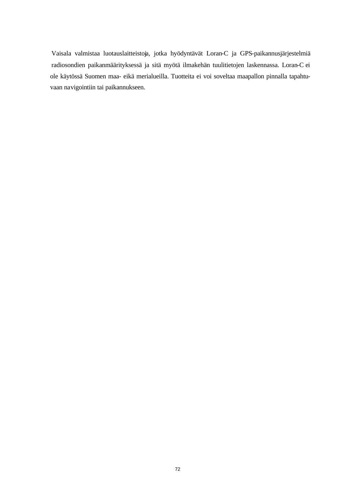Vaisala valmistaa luotauslaitteistoja, jotka hyödyntävät Loran-C ja GPS-paikannusjärjestelmiä radiosondien paikanmäärityksessä ja sitä myötä ilmakehän tuulitietojen laskennassa. Loran-C ei ole käytössä Suomen maa- eikä merialueilla. Tuotteita ei voi soveltaa maapallon pinnalla tapahtuvaan navigointiin tai paikannukseen.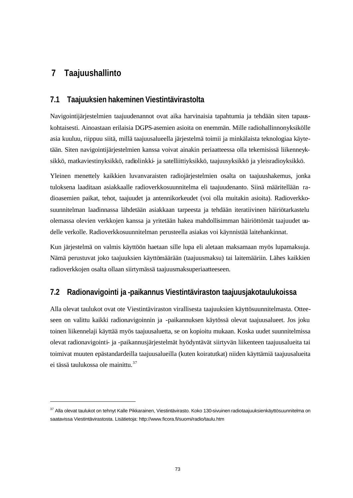# **7 Taajuushallinto**

l

### **7.1 Taajuuksien hakeminen Viestintävirastolta**

Navigointijärjestelmien taajuudenannot ovat aika harvinaisia tapahtumia ja tehdään siten tapauskohtaisesti. Ainoastaan erilaisia DGPS-asemien asioita on enemmän. Mille radiohallinnonyksikölle asia kuuluu, riippuu siitä, millä taajuusalueella järjestelmä toimii ja minkälaista teknologiaa käytetään. Siten navigointijärjestelmien kanssa voivat ainakin periaatteessa olla tekemisissä liikenneyksikkö, matkaviestinyksikkö, radiolinkki- ja satelliittiyksikkö, taajuusyksikkö ja yleisradioyksikkö.

Yleinen menettely kaikkien luvanvaraisten radiojärjestelmien osalta on taajuushakemus, jonka tuloksena laaditaan asiakkaalle radioverkkosuunnitelma eli taajuudenanto. Siinä määritellään radioasemien paikat, tehot, taajuudet ja antennikorkeudet (voi olla muitakin asioita). Radioverkkosuunnitelman laadinnassa lähdetään asiakkaan tarpeesta ja tehdään iteratiivinen häiriötarkastelu olemassa olevien verkkojen kanssa ja yritetään hakea mahdollisimman häiriöttömät taajuudet uudelle verkolle. Radioverkkosuunnitelman perusteella asiakas voi käynnistää laitehankinnat.

Kun järjestelmä on valmis käyttöön haetaan sille lupa eli aletaan maksamaan myös lupamaksuja. Nämä perustuvat joko taajuuksien käyttömäärään (taajuusmaksu) tai laitemääriin. Lähes kaikkien radioverkkojen osalta ollaan siirtymässä taajuusmaksuperiaatteeseen.

### **7.2 Radionavigointi ja -paikannus Viestintäviraston taajuusjakotaulukoissa**

Alla olevat taulukot ovat ote Viestintäviraston virallisesta taajuuksien käyttösuunnitelmasta. Otteeseen on valittu kaikki radionavigoinnin ja -paikannuksen käytössä olevat taajuusalueet. Jos joku toinen liikennelaji käyttää myös taajuusaluetta, se on kopioitu mukaan. Koska uudet suunnitelmissa olevat radionavigointi- ja -paikannusjärjestelmät hyödyntävät siirtyvän liikenteen taajuusalueita tai toimivat muuten epästandardeilla taajuusalueilla (kuten koiratutkat) niiden käyttämiä taajuusalueita ei tässä taulukossa ole mainittu.<sup>37</sup>

<sup>&</sup>lt;sup>37</sup> Alla olevat taulukot on tehnyt Kalle Pikkarainen, Viestintävirasto. Koko 130-sivuinen radiotaajuuksienkäyttösuunnitelma on saatavissa Viestintävirastosta. Lisätietoja: http://www.ficora.fi/suomi/radio/taulu.htm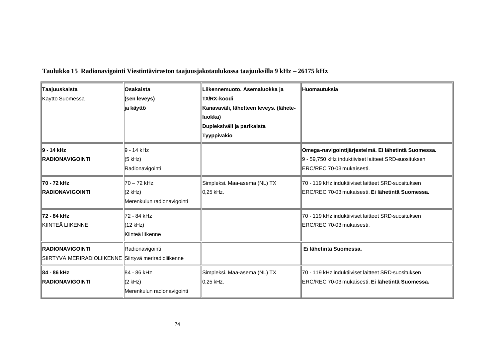| Taajuuskaista<br>Käyttö Suomessa                                                | <b>Osakaista</b><br>(sen leveys)<br>∥ja käyttö          | Liikennemuoto. Asemaluokka ja<br>∥TX/RX-koodi<br>Kanavaväli, lähetteen leveys. (lähete-<br>luokka)<br>Dupleksiväli ja parikaista<br>Tyyppivakio | ⊪Huomautuksia                                                                                                                                     |
|---------------------------------------------------------------------------------|---------------------------------------------------------|-------------------------------------------------------------------------------------------------------------------------------------------------|---------------------------------------------------------------------------------------------------------------------------------------------------|
| ∥9 - 14 kHz<br>RADIONAVIGOINTI                                                  | l9 - 14 kHz<br>$(5$ kHz)<br>Radionavigointi             |                                                                                                                                                 | Omega-navigointijärjestelmä. Ei lähetintä Suomessa.<br>9 - 59,750 kHz induktiiviset laitteet SRD-suosituksen<br><b>IERC/REC 70-03 mukaisesti.</b> |
| ¶70 - 72 kHz<br><b>IRADIONAVIGOINTI</b>                                         | ¶70 – 72 kHz<br>$(2$ kHz)<br>Merenkulun radionavigointi | Simpleksi. Maa-asema (NL) TX<br>∥0,25 kHz.                                                                                                      | 70 - 119 kHz induktiiviset laitteet SRD-suosituksen<br>ERC/REC 70-03 mukaisesti. Ei lähetintä Suomessa.                                           |
| ∥72 - 84 kHz<br>KIINTEÄ LIIKENNE                                                | ¶72 - 84 kHz<br>(12 kHz)<br><b>Kiinteä liikenne</b>     |                                                                                                                                                 | 70 - 119 kHz induktiiviset laitteet SRD-suosituksen<br><b>IERC/REC 70-03 mukaisesti.</b>                                                          |
| <b>RADIONAVIGOINTI</b><br>SIIRTYVÄ MERIRADIOLIIKENNE Siirtyvä meriradioliikenne | Radionavigointi                                         |                                                                                                                                                 | Ei lähetintä Suomessa.                                                                                                                            |
| ⊪84 - 86 kHz<br><b>IRADIONAVIGOINTI</b>                                         | ∥84 - 86 kHz<br>$(2$ kHz)<br>Merenkulun radionavigointi | Simpleksi. Maa-asema (NL) TX<br>10,25 kHz.                                                                                                      | Iz0 - 119 kHz induktiiviset laitteet SRD-suosituksen<br>ERC/REC 70-03 mukaisesti. Ei lähetintä Suomessa.                                          |

### **Taulukko 15 Radionavigointi Viestintäviraston taajuusjakotaulukossa taajuuksilla 9 kHz – 26175 kHz**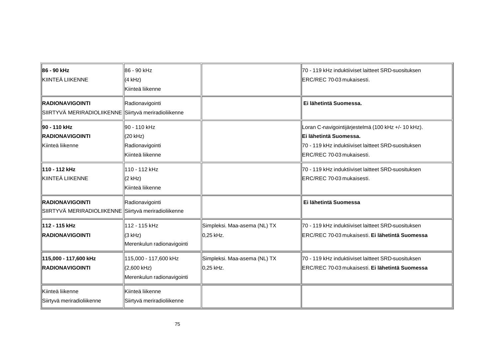| ⊪86 - 90 kHz<br>KIINTEÄ LIIKENNE                                                | ∦86 - 90 kHz<br>(4 kHz)<br>Kiinteä liikenne                          |                                            | 70 - 119 kHz induktiiviset laitteet SRD-suosituksen<br>ERC/REC 70-03 mukaisesti.                                                                                  |
|---------------------------------------------------------------------------------|----------------------------------------------------------------------|--------------------------------------------|-------------------------------------------------------------------------------------------------------------------------------------------------------------------|
| <b>RADIONAVIGOINTI</b><br>SIIRTYVÄ MERIRADIOLIIKENNE Siirtyvä meriradioliikenne | Radionavigointi                                                      |                                            | Ei lähetintä Suomessa.                                                                                                                                            |
| ∥90 - 110 kHz<br><b>RADIONAVIGOINTI</b><br>Kiinteä liikenne                     | ¶90 - 110 kHz<br>(20 kHz)<br>Radionavigointi<br>Kiinteä liikenne     |                                            | Loran C-navigointijärjestelmä (100 kHz +/- 10 kHz).<br>Ei lähetintä Suomessa.<br>70 - 119 kHz induktiiviset laitteet SRD-suosituksen<br>ERC/REC 70-03 mukaisesti. |
| 110 - 112 kHz<br><b>IkIINTEÄ LIIKENNE</b>                                       | 110 - 112 kHz<br>$(2$ kHz)<br>Kiinteä liikenne                       |                                            | 70 - 119 kHz induktiiviset laitteet SRD-suosituksen<br>ERC/REC 70-03 mukaisesti.                                                                                  |
| RADIONAVIGOINTI<br>SIIRTYVÄ MERIRADIOLIIKENNE Siirtyvä meriradioliikenne        | Radionavigointi                                                      |                                            | Ei lähetintä Suomessa                                                                                                                                             |
| 112 - 115 kHz<br><b>IRADIONAVIGOINTI</b>                                        | ¶112 - 115 kHz<br>(3 kHz)<br>Merenkulun radionavigointi              | Simpleksi. Maa-asema (NL) TX<br>∥0,25 kHz. | 70 - 119 kHz induktiiviset laitteet SRD-suosituksen<br>ERC/REC 70-03 mukaisesti. Ei lähetintä Suomessa                                                            |
| 115,000 - 117,600 kHz<br>RADIONAVIGOINTI                                        | 115,000 - 117,600 kHz<br>$(2,600$ kHz)<br>Merenkulun radionavigointi | Simpleksi. Maa-asema (NL) TX<br>∥0,25 kHz. | 70 - 119 kHz induktiiviset laitteet SRD-suosituksen<br>ERC/REC 70-03 mukaisesti. Ei lähetintä Suomessa                                                            |
| Kiinteä liikenne<br>Siirtyvä meriradioliikenne                                  | Kiinteä liikenne<br>Siirtyvä meriradioliikenne                       |                                            |                                                                                                                                                                   |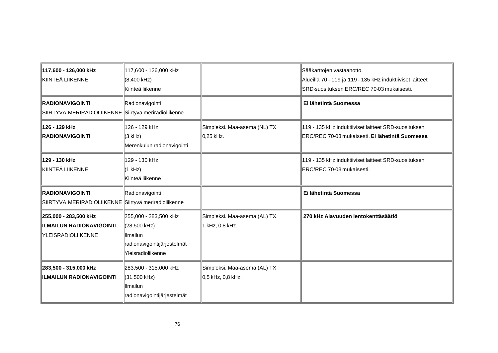| 117,600 - 126,000 kHz<br><b>KIINTEÄ LIIKENNE</b>                                       | ∥117,600 - 126,000 kHz<br>$(8,400$ kHz)<br>Kiinteä liikenne                                              |                                                    | Sääkarttojen vastaanotto.<br>Alueilla 70 - 119 ja 119 - 135 kHz induktiiviset laitteet<br>SRD-suosituksen ERC/REC 70-03 mukaisesti. |
|----------------------------------------------------------------------------------------|----------------------------------------------------------------------------------------------------------|----------------------------------------------------|-------------------------------------------------------------------------------------------------------------------------------------|
| <b>RADIONAVIGOINTI</b><br>SIIRTYVÄ MERIRADIOLIIKENNE Siirtyvä meriradioliikenne        | Radionavigointi                                                                                          |                                                    | Ei lähetintä Suomessa                                                                                                               |
| ∥126 - 129 kHz<br>RADIONAVIGOINTI                                                      | 126 - 129 kHz<br>(3 kHz)<br>Merenkulun radionavigointi                                                   | Simpleksi. Maa-asema (NL) TX<br>∥0,25 kHz.         | 119 - 135 kHz induktiiviset laitteet SRD-suosituksen<br>ERC/REC 70-03 mukaisesti. Ei lähetintä Suomessa                             |
| ∥129 - 130 kHz<br>KIINTEÄ LIIKENNE                                                     | 129 - 130 kHz<br>(1 kHz)<br>Kiinteä liikenne                                                             |                                                    | 119 - 135 kHz induktiiviset laitteet SRD-suosituksen<br>ERC/REC 70-03 mukaisesti.                                                   |
| <b>RADIONAVIGOINTI</b><br>SIIRTYVÄ MERIRADIOLIIKENNE Siirtyvä meriradioliikenne        | Radionavigointi                                                                                          |                                                    | Ei lähetintä Suomessa                                                                                                               |
| 255,000 - 283,500 kHz<br><b>ILMAILUN RADIONAVIGOINTI</b><br><b>TYLEISRADIOLIIKENNE</b> | 255,000 - 283,500 kHz<br>∭(28,500 kHz)<br>llimailun<br>radionavigointijärjestelmät<br>Yleisradioliikenne | Simpleksi. Maa-asema (AL) TX<br>1 kHz, 0,8 kHz.    | 270 kHz Alavuuden lentokenttäsäätiö                                                                                                 |
| 283,500 - 315,000 kHz<br><b>ILMAILUN RADIONAVIGOINTI</b>                               | 283,500 - 315,000 kHz<br>∭(31,500 kHz)<br><b>Ilmailun</b><br>radionavigointijärjestelmät                 | Simpleksi. Maa-asema (AL) TX<br>10,5 kHz, 0,8 kHz. |                                                                                                                                     |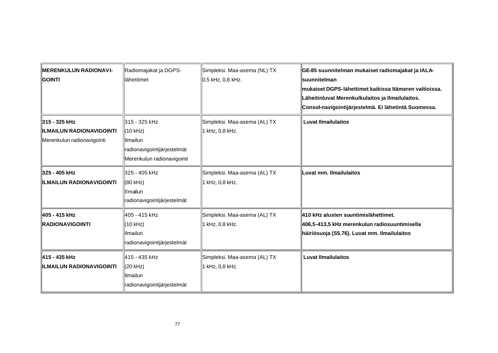| <b>MERENKULUN RADIONAVI-</b><br><b>GOINTI</b>                            | Radiomajakat ja DGPS-<br>⊪ähettimet                                                                 | Simpleksi. Maa-asema (NL) TX<br>0,5 kHz, 0,8 kHz. | GE-85 suunnitelman mukaiset radiomajakat ja IALA-<br>∥suunnitelman<br>mukaiset DGPS-lähettimet kaikissa Itämeren valtioissa.<br>Läheitinluvat Merenkulkulaitos ja Ilmailulaitos.<br>Consol-navigointijärjestelmä. Ei lähetintä Suomessa. |
|--------------------------------------------------------------------------|-----------------------------------------------------------------------------------------------------|---------------------------------------------------|------------------------------------------------------------------------------------------------------------------------------------------------------------------------------------------------------------------------------------------|
| 315 - 325 kHz<br>IILMAILUN RADIONAVIGOINTI<br>Merenkulun radionavigointi | ∥315 - 325 kHz<br>(10 kHz)<br>Ilmailun<br>radionavigointijärjestelmät<br>Merenkulun radionavigointi | Simpleksi. Maa-asema (AL) TX<br>1 kHz, 0,8 kHz.   | <b>Luvat Ilmailulaitos</b>                                                                                                                                                                                                               |
| 325 - 405 kHz<br><b>ILMAILUN RADIONAVIGOINTI</b>                         | ∥325 - 405 kHz<br>∭(80 kHz)<br>llmailun<br>radionavigointijärjestelmät                              | Simpleksi. Maa-asema (AL) TX<br>1 kHz, 0,8 kHz.   | Luvat mm. Ilmailulaitos                                                                                                                                                                                                                  |
| ∥405 - 415 kHz<br><b>RADIONAVIGOINTI</b>                                 | ∥405 - 415 kHz<br>∥(10 kHz)<br><b>Illmailun</b><br>radionavigointijärjestelmät                      | Simpleksi. Maa-asema (AL) TX<br>1 kHz, 0,8 kHz.   | 410 kHz alusten suuntimislähettimet.<br>406,5-413,5 kHz merenkulun radiosuuntimisella<br>häiriösuoja (S5.76). Luvat mm. Ilmailulaitos                                                                                                    |
| ∥415 - 435 kHz<br><b>ILMAILUN RADIONAVIGOINTI</b>                        | ∥415 - 435 kHz<br>∭(20 kHz)<br><b>Illmailun</b><br>radionavigointijärjestelmät                      | Simpleksi. Maa-asema (AL) TX<br>1 kHz, 0,8 kHz.   | <b>Luvat Ilmailulaitos</b>                                                                                                                                                                                                               |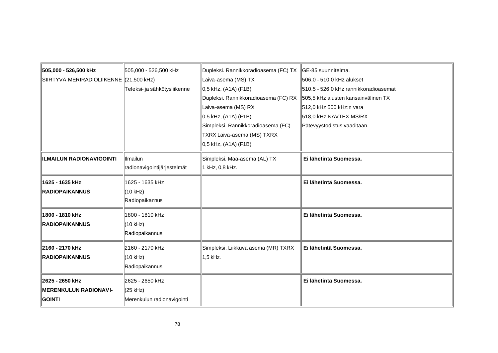| 505,000 - 526,500 kHz                   | 505,000 - 526,500 kHz        | Dupleksi. Rannikkoradioasema (FC) TX | GE-85 suunnitelma.                    |
|-----------------------------------------|------------------------------|--------------------------------------|---------------------------------------|
| SIIRTYVÄ MERIRADIOLIIKENNE (21,500 kHz) |                              | Laiva-asema (MS) TX                  | 506,0 - 510,0 kHz alukset             |
|                                         | Teleksi- ja sähkötysliikenne | 0,5 kHz, (A1A) (F1B)                 | 510,5 - 526,0 kHz rannikkoradioasemat |
|                                         |                              | Dupleksi. Rannikkoradioasema (FC) RX | 505,5 kHz alusten kansainvälinen TX   |
|                                         |                              | Laiva-asema (MS) RX                  | 512,0 kHz 500 kHz:n vara              |
|                                         |                              | 0,5 kHz, (A1A) (F1B)                 | 518,0 kHz NAVTEX MS/RX                |
|                                         |                              | Simpleksi. Rannikkoradioasema (FC)   | Pätevyystodistus vaaditaan.           |
|                                         |                              | TXRX Laiva-asema (MS) TXRX           |                                       |
|                                         |                              | 0,5 kHz, (A1A) (F1B)                 |                                       |
| <b>ILMAILUN RADIONAVIGOINTI</b>         | Ilmailun                     | Simpleksi. Maa-asema (AL) TX         | Ei lähetintä Suomessa.                |
|                                         | radionavigointijärjestelmät  | 1 kHz, 0,8 kHz.                      |                                       |
| 1625 - 1635 kHz                         | ∥1625 - 1635 kHz             |                                      | Ei lähetintä Suomessa.                |
| <b>IRADIOPAIKANNUS</b>                  | ∭(10 kHz)                    |                                      |                                       |
|                                         | Radiopaikannus               |                                      |                                       |
| 1800 - 1810 kHz                         | ∥1800 - 1810 kHz             |                                      | Ei lähetintä Suomessa.                |
| <b>RADIOPAIKANNUS</b>                   | ∭(10 kHz)                    |                                      |                                       |
|                                         | Radiopaikannus               |                                      |                                       |
| 2160 - 2170 kHz                         | 2160 - 2170 kHz              | Simpleksi. Liikkuva asema (MR) TXRX  | Ei lähetintä Suomessa.                |
| <b>RADIOPAIKANNUS</b>                   | ∭(10 kHz)                    | 1,5 kHz.                             |                                       |
|                                         | Radiopaikannus               |                                      |                                       |
| 2625 - 2650 kHz                         | 2625 - 2650 kHz              |                                      | Ei lähetintä Suomessa.                |
| <b>MERENKULUN RADIONAVI-</b>            | K25 kHz)                     |                                      |                                       |
| <b>COINTI</b>                           | Merenkulun radionavigointi   |                                      |                                       |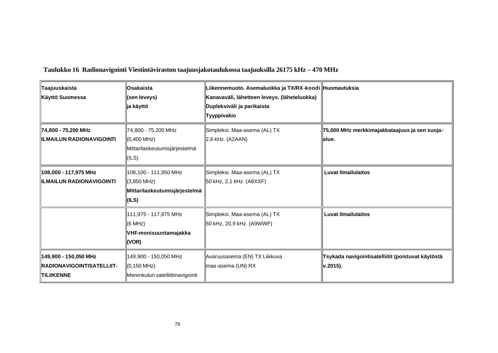| ∥Taajuuskaista<br>Käyttö Suomessa                                                | Osakaista<br>(sen leveys)<br>ja käyttö                                           | Liikennemuoto. Asemaluokka ja TX/RX-koodi Huomautuksia<br>Kanavaväli, lähetteen leveys. (läheteluokka)<br>∥Dupleksiväli ja parikaista<br><b>Tyyppivakio</b> |                                                               |
|----------------------------------------------------------------------------------|----------------------------------------------------------------------------------|-------------------------------------------------------------------------------------------------------------------------------------------------------------|---------------------------------------------------------------|
| 74,800 - 75,200 MHz<br><b>IILMAILUN RADIONAVIGOINTI</b>                          | 74,800 - 75,200 MHz<br>(0,400 MHz)<br>Mittarilaskeutumisjärjestelmä<br>(ILS)     | Simpleksi. Maa-asema (AL) TX<br>2,6 kHz. (A2AAN)                                                                                                            | 75,000 MHz merkkimajakkataajuus ja sen suoja-<br>∥alue.       |
| ∥108,000 - 117,975 MHz<br><b>ILMAILUN RADIONAVIGOINTI</b>                        | 108,100 - 111,950 MHz<br>$(3,850$ MHz)<br>Mittarilaskeutumisjärjestelmä<br>(ILS) | Simpleksi. Maa-asema (AL) TX<br>∥50 kHz, 2,1 kHz. (A8XXF)                                                                                                   | Luvat Ilmailulaitos                                           |
|                                                                                  | 111,975 - 117,975 MHz<br>(6 MHz)<br>VHF-monisuuntamajakka<br>(VOR)               | Simpleksi. Maa-asema (AL) TX<br>∥50 kHz, 20,9 kHz. (A9WWF)                                                                                                  | <b>Luvat Ilmailulaitos</b>                                    |
| ∥149,900 - 150,050 MHz<br><b>IRADIONAVIGOINTISATELLIIT-</b><br><b>TILIIKENNE</b> | 149,900 - 150,050 MHz<br>$(0, 150$ MHz)<br>Merenkulun satelliittinavigointi      | Avaruusasema (EN) TX Liikkuva<br>∥maa-asema (UN) RX                                                                                                         | Tsykada navigointisatelliitit (poistuvat käytöstä<br>v.2015). |

**Taulukko 16 Radionavigointi Viestintäviraston taajuusjakotaulukossa taajuuksilla 26175 kHz – 470 MHz**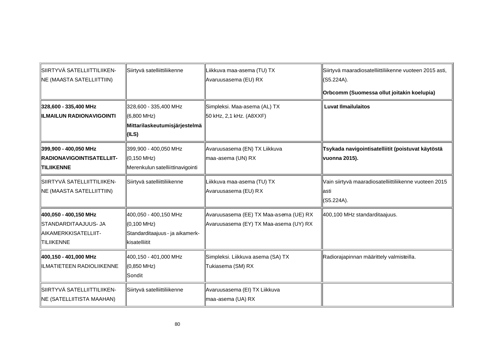| SIIRTYVÄ SATELLIITTILIIKEN-<br><b>NE (MAASTA SATELLIITTIIN)</b>                      | Siirtyvä satelliittiliikenne                                                                      | Liikkuva maa-asema (TU) TX<br>Avaruusasema (EU) RX                               | Siirtyvä maaradiosatelliittiliikenne vuoteen 2015 asti,<br>(S5.224A).<br>Orbcomm (Suomessa ollut joitakin koelupia) |
|--------------------------------------------------------------------------------------|---------------------------------------------------------------------------------------------------|----------------------------------------------------------------------------------|---------------------------------------------------------------------------------------------------------------------|
| 328,600 - 335,400 MHz<br><b>ILMAILUN RADIONAVIGOINTI</b>                             | 328,600 - 335,400 MHz<br>∭(6,800 MHz)<br>Mittarilaskeutumisjärjestelmä<br>∥(ILS)                  | Simpleksi. Maa-asema (AL) TX<br>50 kHz, 2,1 kHz. (A8XXF)                         | <b>Luvat Ilmailulaitos</b>                                                                                          |
| 399,900 - 400,050 MHz<br><b>IRADIONAVIGOINTISATELLIIT-</b><br><b>TILIIKENNE</b>      | 399,900 - 400,050 MHz<br>∭(0,150 MHz)<br>Merenkulun satelliittinavigointi                         | Avaruusasema (EN) TX Liikkuva<br>maa-asema (UN) RX                               | Tsykada navigointisatelliitit (poistuvat käytöstä<br>vuonna 2015).                                                  |
| SIIRTYVÄ SATELLIITTILIIKEN-<br><b>NE (MAASTA SATELLIITTIIN)</b>                      | Siirtyvä satelliittiliikenne                                                                      | Liikkuva maa-asema (TU) TX<br>Avaruusasema (EU) RX                               | Vain siirtyvä maaradiosatelliittiliikenne vuoteen 2015<br>∥asti<br>(S5.224A).                                       |
| 400,050 - 400,150 MHz<br>ISTANDARDITAAJUUS- JA<br>AIKAMERKKISATELLIIT-<br>TILIIKENNE | 400,050 - 400,150 MHz<br>∭(0,100 MHz)<br>Standarditaajuus - ja aikamerk-<br><b>Ikisatelliitit</b> | Avaruusasema (EE) TX Maa-asema (UE) RX<br>Avaruusasema (EY) TX Maa-asema (UY) RX | 400,100 MHz standarditaajuus.                                                                                       |
| 400,150 - 401,000 MHz<br>ILMATIETEEN RADIOLIIKENNE                                   | 400,150 - 401,000 MHz<br>∭(0,850 MHz)<br>llSondit                                                 | Simpleksi. Liikkuva asema (SA) TX<br>Tukiasema (SM) RX                           | Radiorajapinnan määrittely valmisteilla.                                                                            |
| SIIRTYVÄ SATELLIITTILIIKEN-<br><b>NE (SATELLIITISTA MAAHAN)</b>                      | Siirtyvä satelliittiliikenne                                                                      | Avaruusasema (EI) TX Liikkuva<br>maa-asema (UA) RX                               |                                                                                                                     |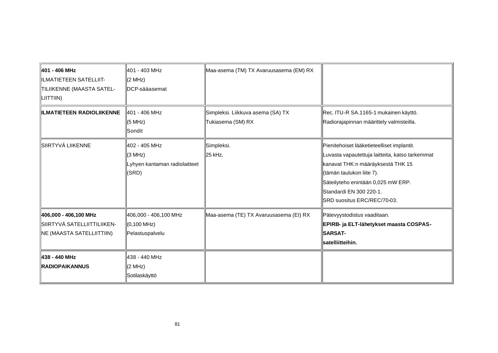| 401 - 406 MHz<br>ILMATIETEEN SATELLIIT-<br>TILIIKENNE (MAASTA SATEL-<br>$\ $ LIITTIIN) | ∥401 - 403 MHz<br>(2 MHz)<br>DCP-sääasemat                         | Maa-asema (TM) TX Avaruusasema (EM) RX                 |                                                                                                                                                                                                                                                                 |
|----------------------------------------------------------------------------------------|--------------------------------------------------------------------|--------------------------------------------------------|-----------------------------------------------------------------------------------------------------------------------------------------------------------------------------------------------------------------------------------------------------------------|
| <b>IILMATIETEEN RADIOLIIKENNE</b>                                                      | ∥401 - 406 MHz<br>(5 MHz)<br>∥Sondit                               | Simpleksi. Liikkuva asema (SA) TX<br>Tukiasema (SM) RX | Rec. ITU-R SA.1165-1 mukainen käyttö.<br>Radiorajapinnan määrittely valmisteilla.                                                                                                                                                                               |
| SIIRTYVÄ LIIKENNE                                                                      | 402 - 405 MHz<br>(3 MHz)<br>Lyhyen kantaman radiolaitteet<br>(SRD) | Simpleksi.<br>∥25 kHz,                                 | Pienitehoiset lääketieteelliset implantit.<br>Luvasta vapautettuja laitteita, katso tarkemmat<br>kanavat THK:n määräyksestä THK 15<br>(tämän taulukon liite 7).<br>Säteilyteho enintään 0,025 mW ERP.<br>Standardi EN 300 220-1.<br>SRD suositus ERC/REC/70-03. |
| 406,000 - 406,100 MHz<br>SIIRTYVÄ SATELLIITTILIIKEN-<br>NE (MAASTA SATELLIITTIIN)      | 406,000 - 406,100 MHz<br>∭(0,100 MHz)<br>Pelastuspalvelu           | Maa-asema (TE) TX Avaruusasema (EI) RX                 | Pätevyystodistus vaaditaan.<br>EPIRB- ja ELT-lähetykset maasta COSPAS-<br><b>SARSAT-</b><br>satelliitteihin.                                                                                                                                                    |
| 438 - 440 MHz<br><b>IRADIOPAIKANNUS</b>                                                | ∥438 - 440 MHz<br>(2 MHz)<br>∥Sotilaskäyttö                        |                                                        |                                                                                                                                                                                                                                                                 |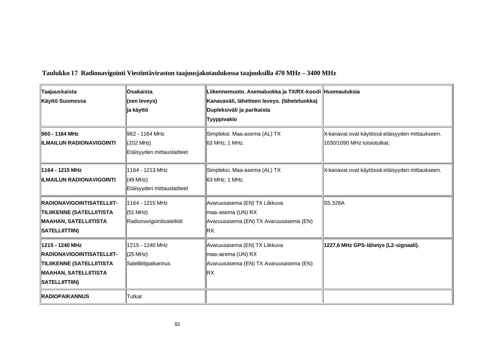| Taajuuskaista<br>Käyttö Suomessa                                                                                              | ∥Osakaista<br>(sen leveys)<br>∥ja käyttö                               | Liikennemuoto. Asemaluokka ja TX/RX-koodi ∥Huomautuksia<br>Kanavaväli, lähetteen leveys. (läheteluokka)<br>Dupleksiväli ja parikaista<br>Tyyppivakio |                                                                                |
|-------------------------------------------------------------------------------------------------------------------------------|------------------------------------------------------------------------|------------------------------------------------------------------------------------------------------------------------------------------------------|--------------------------------------------------------------------------------|
| ⊪960 - 1164 MHz<br><b>ILMAILUN RADIONAVIGOINTI</b>                                                                            | II962 - 1164 MHz<br>(202 MHz)<br>Etäisyyden mittauslaitteet            | Simpleksi. Maa-asema (AL) TX<br>∥63 MHz, 1 MHz.                                                                                                      | X-kanavat ovat käytössä etäisyyden mittaukseen.<br>1030/1090 MHz toisiotutkat. |
| ∥1164 - 1215 MHz<br>IILMAILUN RADIONAVIGOINTI                                                                                 | ⊪1164 - 1213 MHz<br>∭(49 MHz)<br>Etäisyyden mittauslaitteet            | Simpleksi. Maa-asema (AL) TX<br>∥63 MHz, 1 MHz.                                                                                                      | X-kanavat ovat käytössä etäisyyden mittaukseen.                                |
| <b>RADIONAVIGOINTISATELLIIT-</b><br>TILIIKENNE (SATELLIITISTA<br>MAAHAN, SATELLIITISTA<br>SATELLIITTIIN)                      | ⊪1164 - 1215 MHz<br>$\parallel$ (51 MHz)<br>Radionavigointisatelliitit | Avaruusasema (EN) TX Liikkuva<br>maa-asema (UN) RX<br>Avaruusasema (EN) TX Avaruusasema (EN)<br>RX                                                   | S5.328A                                                                        |
| ∥1215 - 1240 MHz<br><b>IRADIONAVIGOINTISATELLIIT-</b><br>TILIIKENNE (SATELLIITISTA<br>MAAHAN, SATELLIITISTA<br>SATELLIITTIIN) | ⊪1215 - 1240 MHz<br>∭(25 MHz)<br>Satelliittipaikannus                  | Avaruusasema (EN) TX Liikkuva<br>maa-asema (UN) RX<br>Avaruusasema (EN) TX Avaruusasema (EN)<br>RX.                                                  | 1227,6 MHz GPS-lähetys (L2-signaali).                                          |
| <b>RADIOPAIKANNUS</b>                                                                                                         | llTutkat                                                               |                                                                                                                                                      |                                                                                |

**Taulukko 17 Radionavigointi Viestintäviraston taajuusjakotaulukossa taajuuksilla 470 MHz – 3400 MHz**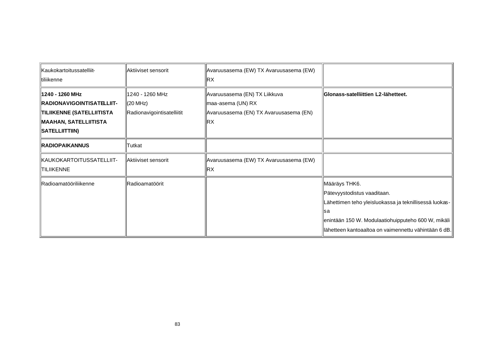| Kaukokartoitussatelliit-<br>∥tiliikenne                                                                                      | Aktiiviset sensorit                                         | Avaruusasema (EW) TX Avaruusasema (EW)<br>RХ                                                       |                                                                                                                                                                                                                               |
|------------------------------------------------------------------------------------------------------------------------------|-------------------------------------------------------------|----------------------------------------------------------------------------------------------------|-------------------------------------------------------------------------------------------------------------------------------------------------------------------------------------------------------------------------------|
| ∥1240 - 1260 MHz<br><b>RADIONAVIGOINTISATELLIIT-</b><br>TILIIKENNE (SATELLIITISTA<br>MAAHAN, SATELLIITISTA<br>SATELLIITTIIN) | ∥1240 - 1260 MHz<br>∭(20 MHz)<br>Radionavigointisatelliitit | Avaruusasema (EN) TX Liikkuva<br>maa-asema (UN) RX<br>Avaruusasema (EN) TX Avaruusasema (EN)<br>RХ | Glonass-satelliittien L2-lähetteet.                                                                                                                                                                                           |
| <b>RADIOPAIKANNUS</b>                                                                                                        | ∥Tutkat                                                     |                                                                                                    |                                                                                                                                                                                                                               |
| KAUKOKARTOITUSSATELLIIT-<br><b>TILIIKENNE</b>                                                                                | <b>IAktiiviset sensorit</b>                                 | Avaruusasema (EW) TX Avaruusasema (EW)<br>RX.                                                      |                                                                                                                                                                                                                               |
| <b>Radioamatööriliikenne</b>                                                                                                 | ∥Radioamatöörit                                             |                                                                                                    | ∥Määräys THK6.<br>Pätevyystodistus vaaditaan.<br>Lähettimen teho yleisluokassa ja teknillisessä luokas-<br>llsa<br>enintään 150 W. Modulaatiohuipputeho 600 W, mikäli<br>lähetteen kantoaaltoa on vaimennettu vähintään 6 dB. |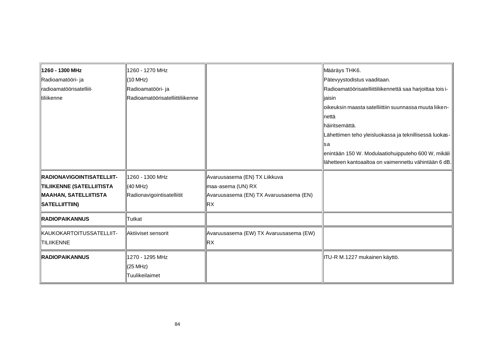| 1260 - 1300 MHz                  | 1260 - 1270 MHz                  |                                        | Määräys THK6.                                              |
|----------------------------------|----------------------------------|----------------------------------------|------------------------------------------------------------|
| ∥Radioamatööri- ja               | (10 MHz)                         |                                        | Pätevyystodistus vaaditaan.                                |
| ∥radioamatöörisatelliit-         | Radioamatööri- ja                |                                        | Radioamatöörisatelliittiliikennettä saa harjoittaa tois i- |
| <b>Itiliikenne</b>               | Radioamatöörisatelliittiliikenne |                                        | ∥jaisin                                                    |
|                                  |                                  |                                        | oikeuksin maasta satelliittiin suunnassa muuta liiken-     |
|                                  |                                  |                                        | ⊪että                                                      |
|                                  |                                  |                                        | ∥häiritsemättä.                                            |
|                                  |                                  |                                        | Lähettimen teho yleisluokassa ja teknillisessä luokas-     |
|                                  |                                  |                                        | lsa                                                        |
|                                  |                                  |                                        | enintään 150 W. Modulaatiohuipputeho 600 W, mikäli         |
|                                  |                                  |                                        | llähetteen kantoaaltoa on vaimennettu vähintään 6 dB.      |
| <b>RADIONAVIGOINTISATELLIIT-</b> | 1260 - 1300 MHz                  | Avaruusasema (EN) TX Liikkuva          |                                                            |
| <b>TILIIKENNE (SATELLIITISTA</b> | (40 MHz)                         | maa-asema (UN) RX                      |                                                            |
| MAAHAN, SATELLIITISTA            | Radionavigointisatelliitit       | Avaruusasema (EN) TX Avaruusasema (EN) |                                                            |
| SATELLIITTIIN)                   |                                  | RX                                     |                                                            |
| <b>RADIOPAIKANNUS</b>            | Tutkat                           |                                        |                                                            |
| KAUKOKARTOITUSSATELLIIT-         | Aktiiviset sensorit              | Avaruusasema (EW) TX Avaruusasema (EW) |                                                            |
| <b>TILIIKENNE</b>                |                                  | ∥RX                                    |                                                            |
| <b>RADIOPAIKANNUS</b>            | 1270 - 1295 MHz                  |                                        | ∥ITU-R M.1227 mukainen käyttö.                             |
|                                  | (25 MHz)                         |                                        |                                                            |
|                                  | Tuulikeilaimet                   |                                        |                                                            |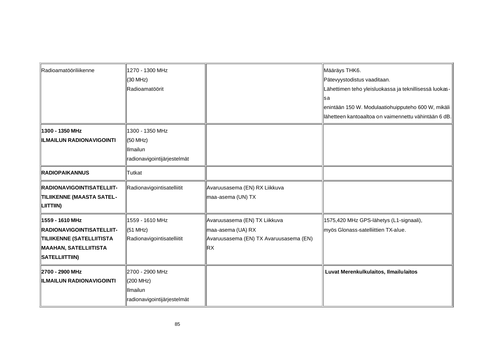| Radioamatööriliikenne                                                                                                        | 1270 - 1300 MHz<br>K30 MHz)<br>Radioamatöörit                                  |                                                                                                     | Määräys THK6.<br>Pätevyystodistus vaaditaan.<br>Lähettimen teho yleisluokassa ja teknillisessä luokas-<br>⊪sa<br>enintään 150 W. Modulaatiohuipputeho 600 W, mikäli<br>lähetteen kantoaaltoa on vaimennettu vähintään 6 dB. |
|------------------------------------------------------------------------------------------------------------------------------|--------------------------------------------------------------------------------|-----------------------------------------------------------------------------------------------------|-----------------------------------------------------------------------------------------------------------------------------------------------------------------------------------------------------------------------------|
| 1300 - 1350 MHz<br><b>ILMAILUN RADIONAVIGOINTI</b>                                                                           | 1300 - 1350 MHz<br>(50 MHz)<br><b>Ilmailun</b><br>radionavigointijärjestelmät  |                                                                                                     |                                                                                                                                                                                                                             |
| <b>RADIOPAIKANNUS</b>                                                                                                        | Tutkat                                                                         |                                                                                                     |                                                                                                                                                                                                                             |
| <b>IRADIONAVIGOINTISATELLIIT-</b><br>TILIIKENNE (MAASTA SATEL-<br>$\ $ LIITTIIN)                                             | Radionavigointisatelliitit                                                     | Avaruusasema (EN) RX Liikkuva<br>maa-asema (UN) TX                                                  |                                                                                                                                                                                                                             |
| ⊪1559 - 1610 MHz<br><b>RADIONAVIGOINTISATELLIIT-</b><br>TILIIKENNE (SATELLIITISTA<br>MAAHAN, SATELLIITISTA<br>SATELLIITTIIN) | 1559 - 1610 MHz<br>(51 MHz)<br>Radionavigointisatelliitit                      | Avaruusasema (EN) TX Liikkuva<br>maa-asema (UA) RX<br>Avaruusasema (EN) TX Avaruusasema (EN)<br>∥RX | 1575,420 MHz GPS-lähetys (L1-signaali),<br>myös Glonass-satelliittien TX-alue.                                                                                                                                              |
| 2700 - 2900 MHz<br><b>ILMAILUN RADIONAVIGOINTI</b>                                                                           | 2700 - 2900 MHz<br>(200 MHz)<br><b>Ilmailun</b><br>radionavigointijärjestelmät |                                                                                                     | Luvat Merenkulkulaitos, Ilmailulaitos                                                                                                                                                                                       |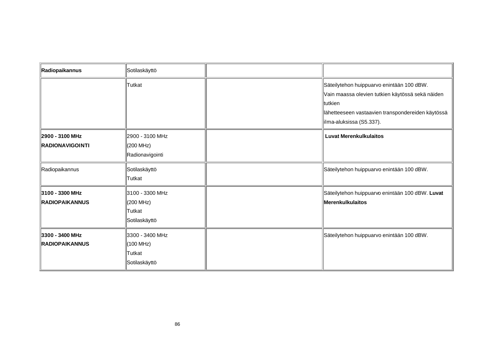| Radiopaikannus                            | Sotilaskäyttö                                            |                                                                                                                                                                                             |
|-------------------------------------------|----------------------------------------------------------|---------------------------------------------------------------------------------------------------------------------------------------------------------------------------------------------|
|                                           | Tutkat                                                   | Säteilytehon huippuarvo enintään 100 dBW.<br>Vain maassa olevien tutkien käytössä sekä näiden<br>∥tutkien<br>lähetteeseen vastaavien transpondereiden käytössä<br>∥ilma-aluksissa (S5.337). |
| 2900 - 3100 MHz<br><b>RADIONAVIGOINTI</b> | 2900 - 3100 MHz<br>(200 MHz)<br>Radionavigointi          | <b>Luvat Merenkulkulaitos</b>                                                                                                                                                               |
| Radiopaikannus                            | Sotilaskäyttö<br>Tutkat                                  | Säteilytehon huippuarvo enintään 100 dBW.                                                                                                                                                   |
| 3100 - 3300 MHz<br><b>IRADIOPAIKANNUS</b> | 3100 - 3300 MHz<br>(200 MHz)<br>lTutkat<br>Sotilaskäyttö | Säteilytehon huippuarvo enintään 100 dBW. Luvat<br>Merenkulkulaitos                                                                                                                         |
| 3300 - 3400 MHz<br><b>RADIOPAIKANNUS</b>  | 3300 - 3400 MHz<br>(100 MHz)<br>∥Tutkat<br>Sotilaskäyttö | Säteilytehon huippuarvo enintään 100 dBW.                                                                                                                                                   |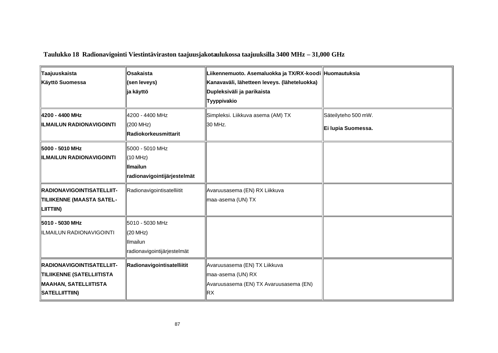**Taulukko 18 Radionavigointi Viestintäviraston taajuusjakotaulukossa taajuuksilla 3400 MHz – 31,000 GHz**

| ∥Taajuuskaista<br>Käyttö Suomessa                                                                        | ∥Osakaista<br>(sen leveys)<br>∥ja käyttö                                | Liikennemuoto. Asemaluokka ja TX/RX-koodi ∥Huomautuksia<br>Kanavaväli, lähetteen leveys. (läheteluokka)<br>Dupleksiväli ja parikaista<br>Tyyppivakio |                                           |
|----------------------------------------------------------------------------------------------------------|-------------------------------------------------------------------------|------------------------------------------------------------------------------------------------------------------------------------------------------|-------------------------------------------|
| 4200 - 4400 MHz<br><b>ILMAILUN RADIONAVIGOINTI</b>                                                       | ∥4200 - 4400 MHz<br>(200 MHz)<br><b>IRadiokorkeusmittarit</b>           | Simpleksi. Liikkuva asema (AM) TX<br>30 MHz.                                                                                                         | Säteilyteho 500 mW.<br>Ei lupia Suomessa. |
| 5000 - 5010 MHz<br><b>ILMAILUN RADIONAVIGOINTI</b>                                                       | 5000 - 5010 MHz<br>(10 MHz)<br>∥Ilmailun<br>radionavigointijärjestelmät |                                                                                                                                                      |                                           |
| <b>IRADIONAVIGOINTISATELLIIT-</b><br>TILIIKENNE (MAASTA SATEL-<br>LIITTIIN)                              | Radionavigointisatelliitit                                              | Avaruusasema (EN) RX Liikkuva<br>maa-asema (UN) TX                                                                                                   |                                           |
| 5010 - 5030 MHz<br>IILMAILUN RADIONAVIGOINTI                                                             | 5010 - 5030 MHz<br>∥(20 MHz)<br>Ilmailun<br>radionavigointijärjestelmät |                                                                                                                                                      |                                           |
| <b>RADIONAVIGOINTISATELLIIT-</b><br>TILIIKENNE (SATELLIITISTA<br>MAAHAN, SATELLIITISTA<br>SATELLIITTIIN) | Radionavigointisatelliitit                                              | Avaruusasema (EN) TX Liikkuva<br>maa-asema (UN) RX<br>Avaruusasema (EN) TX Avaruusasema (EN)<br>∥RΧ                                                  |                                           |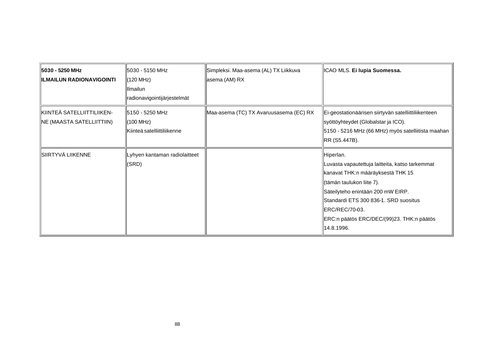| 5030 - 5250 MHz<br><b>ILMAILUN RADIONAVIGOINTI</b>        | ∥5030 - 5150 MHz<br>(120 MHz)<br><b>I</b> lmailun<br>radionavigointijärjestelmät | Simpleksi. Maa-asema (AL) TX Liikkuva<br>∥asema (AM) RX | ICAO MLS. Ei lupia Suomessa.                                                                                                                                                                                                                                                                       |
|-----------------------------------------------------------|----------------------------------------------------------------------------------|---------------------------------------------------------|----------------------------------------------------------------------------------------------------------------------------------------------------------------------------------------------------------------------------------------------------------------------------------------------------|
| KIINTEÄ SATELLIITTILIIKEN-<br>  NE (MAASTA SATELLIITTIIN) | ∥5150 - 5250 MHz<br>∥(100 MHz)<br>Kiinteä satelliittiliikenne                    | Maa-asema (TC) TX Avaruusasema (EC) RX                  | Ei-geostationäärisen siirtyvän satelliittiliikenteen<br>syöttöyhteydet (Globalstar ja ICO).<br>5150 - 5216 MHz (66 MHz) myös satelliitista maahan<br>RR (S5.447B).                                                                                                                                 |
| ∥SIIRTYVÄ LIIKENNE                                        | Lyhyen kantaman radiolaitteet<br>(SRD)                                           |                                                         | Hiperlan.<br>Luvasta vapautettuja laitteita, katso tarkemmat<br>kanavat THK:n määräyksestä THK 15<br>(tämän taulukon liite 7).<br>Säteilyteho enintään 200 mW EIRP.<br><b>I</b> Standardi ETS 300 836-1. SRD suositus<br>ERC/REC/70-03.<br>ERC:n päätös ERC/DEC/(99)23. THK:n päätös<br>14.8.1996. |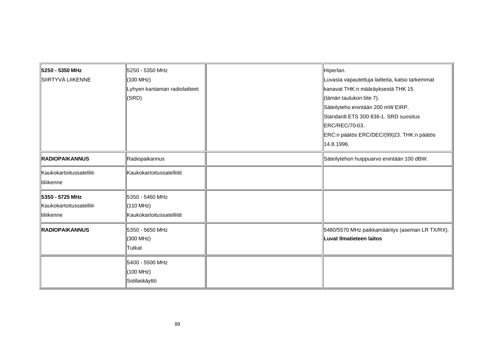| 5250 - 5350 MHz                 | 5250 - 5350 MHz               | Hiperlan.                                       |
|---------------------------------|-------------------------------|-------------------------------------------------|
| SIIRTYVÄ LIIKENNE               | (100 MHz)                     | Luvasta vapautettuja laitteita, katso tarkemmat |
|                                 | Lyhyen kantaman radiolaitteet | kanavat THK:n määräyksestä THK 15               |
|                                 | (SRD)                         | ∥(tämän taulukon liite 7).                      |
|                                 |                               | Säteilyteho enintään 200 mW EIRP.               |
|                                 |                               | Standardi ETS 300 836-1. SRD suositus           |
|                                 |                               | ERC/REC/70-03.                                  |
|                                 |                               | ERC:n päätös ERC/DEC/(99)23. THK:n päätös       |
|                                 |                               | 14.8.1996.                                      |
| <b>RADIOPAIKANNUS</b>           | Radiopaikannus                | Säteilytehon huippuarvo enintään 100 dBW.       |
| <b>Kaukokartoitussatelliit-</b> | Kaukokartoitussatelliitit     |                                                 |
| ∥tiliikenne                     |                               |                                                 |
| 5350 - 5725 MHz                 | 5350 - 5460 MHz               |                                                 |
| Kaukokartoitussatelliit-        | (110 MHz)                     |                                                 |
| tiliikenne                      | Kaukokartoitussatelliitit     |                                                 |
| <b>RADIOPAIKANNUS</b>           | 5350 - 5650 MHz               | 5480/5570 MHz paikkamääritys (aseman LR TX/RX). |
|                                 | (300 MHz)                     | Luvat Ilmatieteen laitos                        |
|                                 | Tutkat                        |                                                 |
|                                 | 15400 - 5500 MHz              |                                                 |
|                                 | (100 MHz)                     |                                                 |
|                                 | Sotilaskäyttö                 |                                                 |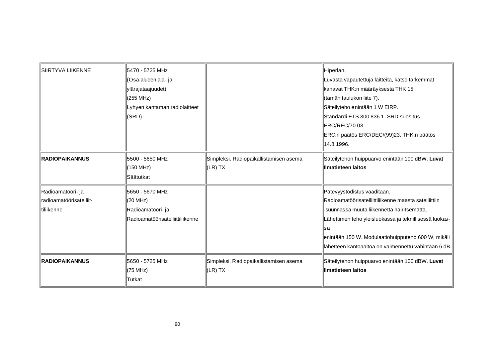| SIIRTYVÄ LIIKENNE                                           | 5470 - 5725 MHz<br>(Osa-alueen ala- ja<br>ylärajataajuudet)<br>(255 MHz)<br>Lyhyen kantaman radiolaitteet<br>(SRD) |                                                       | Hiperlan.<br>Luvasta vapautettuja laitteita, katso tarkemmat<br>kanavat THK:n määräyksestä THK 15<br>(tämän taulukon liite 7).<br>Säteilyteho enintään 1 W EIRP.<br>Standardi ETS 300 836-1. SRD suositus<br>ERC/REC/70-03.<br>ERC:n päätös ERC/DEC/(99)23. THK:n päätös<br>14.8.1996.                              |
|-------------------------------------------------------------|--------------------------------------------------------------------------------------------------------------------|-------------------------------------------------------|---------------------------------------------------------------------------------------------------------------------------------------------------------------------------------------------------------------------------------------------------------------------------------------------------------------------|
| <b>RADIOPAIKANNUS</b>                                       | 5500 - 5650 MHz<br>(150 MHz)<br>Säätutkat                                                                          | Simpleksi. Radiopaikallistamisen asema<br>$ $ (LR) TX | Säteilytehon huippuarvo enintään 100 dBW. Luvat<br>Illmatieteen laitos                                                                                                                                                                                                                                              |
| Radioamatööri- ja<br>radioamatöörisatelliit-<br>ltiliikenne | 5650 - 5670 MHz<br>(20 MHz)<br>Radioamatööri- ja<br>Radioamatöörisatelliittiliikenne                               |                                                       | Pätevyystodistus vaaditaan.<br>Radioamatöörisatelliittiliikenne maasta satelliittiin<br>-suunnassa muuta liikennettä häiritsemättä.<br>Lähettimen teho yleisluokassa ja teknillisessä luokas-<br>⊪sa<br>enintään 150 W. Modulaatiohuipputeho 600 W, mikäli<br>llähetteen kantoaaltoa on vaimennettu vähintään 6 dB. |
| <b>RADIOPAIKANNUS</b>                                       | 5650 - 5725 MHz<br>(75 MHz)<br><b>Tutkat</b>                                                                       | Simpleksi. Radiopaikallistamisen asema<br>(LR) TX     | Säteilytehon huippuarvo enintään 100 dBW. Luvat<br>Illmatieteen laitos                                                                                                                                                                                                                                              |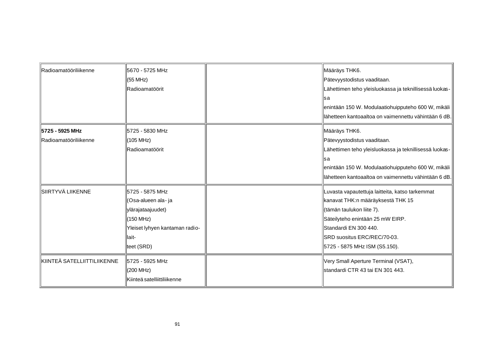| Radioamatööriliikenne                    | 5670 - 5725 MHz<br>(55 MHz)<br>Radioamatöörit                                                                                       | Määräys THK6.<br>Pätevyystodistus vaaditaan.<br>Lähettimen teho yleisluokassa ja teknillisessä luokas-<br>∥sa<br>enintään 150 W. Modulaatiohuipputeho 600 W, mikäli<br>lähetteen kantoaaltoa on vaimennettu vähintään 6 dB.                    |
|------------------------------------------|-------------------------------------------------------------------------------------------------------------------------------------|------------------------------------------------------------------------------------------------------------------------------------------------------------------------------------------------------------------------------------------------|
| 5725 - 5925 MHz<br>Radioamatööriliikenne | ll5725 - 5830 MHz<br>(105 MHz)<br>Radioamatöörit                                                                                    | Määräys THK6.<br>Pätevyystodistus vaaditaan.<br>Lähettimen teho yleisluokassa ja teknillisessä luokas-<br>∥sa<br>enintään 150 W. Modulaatiohuipputeho 600 W, mikäli<br>lähetteen kantoaaltoa on vaimennettu vähintään 6 dB.                    |
| SIIRTYVÄ LIIKENNE                        | 15725 - 5875 MHz<br>(Osa-alueen ala- ja<br>ylärajataajuudet)<br>(150 MHz)<br>Yleiset lyhyen kantaman radio-<br>llait-<br>teet (SRD) | Luvasta vapautettuja laitteita, katso tarkemmat<br>kanavat THK:n määräyksestä THK 15<br>(tämän taulukon liite 7).<br>Säteilyteho enintään 25 mW EIRP.<br>Standardi EN 300 440.<br>SRD suositus ERC/REC/70-03.<br>5725 - 5875 MHz ISM (S5.150). |
| KIINTEÄ SATELLIITTILIIKENNE              | 5725 - 5925 MHz<br>(200 MHz)<br>Kiinteä satelliittiliikenne                                                                         | Very Small Aperture Terminal (VSAT),<br>Istandardi CTR 43 tai EN 301 443.                                                                                                                                                                      |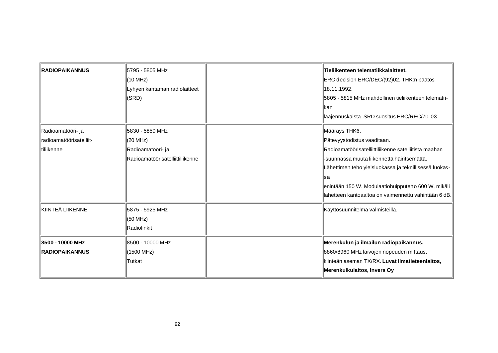| <b>RADIOPAIKANNUS</b>                                         | ll5795 - 5805 MHz<br>(10 MHz)<br>Lyhyen kantaman radiolaitteet<br>(SRD)              | Tieliikenteen telematiikkalaitteet.<br>ERC decision ERC/DEC/(92)02. THK:n päätös<br>∥18.11.1992.<br>5805 - 5815 MHz mahdollinen tieliikenteen telematii-<br>llkan<br>laajennuskaista. SRD suositus ERC/REC/70-03.                                                                                                                   |
|---------------------------------------------------------------|--------------------------------------------------------------------------------------|-------------------------------------------------------------------------------------------------------------------------------------------------------------------------------------------------------------------------------------------------------------------------------------------------------------------------------------|
| Radioamatööri- ja<br>llradioamatöörisatelliit-<br>⊪tiliikenne | 5830 - 5850 MHz<br>(20 MHz)<br>Radioamatööri- ja<br>Radioamatöörisatelliittiliikenne | Määräys THK6.<br>Pätevyystodistus vaaditaan.<br>Radioamatöörisatelliittiliikenne satelliitista maahan<br>-suunnassa muuta liikennettä häiritsemättä.<br>Lähettimen teho yleisluokassa ja teknillisessä luokas-<br>∥sa<br>enintään 150 W. Modulaatiohuipputeho 600 W, mikäli<br>lähetteen kantoaaltoa on vaimennettu vähintään 6 dB. |
| ∥KIINTEÄ LIIKENNE                                             | 5875 - 5925 MHz<br>(50 MHz)<br>Radiolinkit                                           | Käyttösuunnitelma valmisteilla.                                                                                                                                                                                                                                                                                                     |
| 8500 - 10000 MHz<br><b>IRADIOPAIKANNUS</b>                    | I8500 - 10000 MHz<br>(1500 MHz)<br>Tutkat                                            | Merenkulun ja ilmailun radiopaikannus.<br>8860/8960 MHz laivojen nopeuden mittaus,<br>kiinteän aseman TX/RX. Luvat Ilmatieteenlaitos,<br>Merenkulkulaitos, Invers Oy                                                                                                                                                                |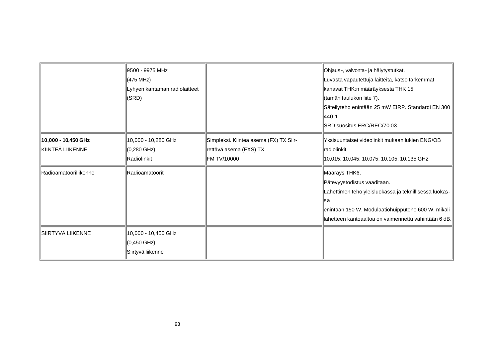|                                           | ∥9500 - 9975 MHz<br>(475 MHz)<br>Lyhyen kantaman radiolaitteet<br>(SRD) |                                                                                        | Ohjaus-, valvonta- ja hälytystutkat.<br>Luvasta vapautettuja laitteita, katso tarkemmat<br>kanavat THK:n määräyksestä THK 15<br>(tämän taulukon liite 7).<br>Säteilyteho enintään 25 mW EIRP. Standardi EN 300<br>‖440-1.<br>SRD suositus ERC/REC/70-03. |
|-------------------------------------------|-------------------------------------------------------------------------|----------------------------------------------------------------------------------------|----------------------------------------------------------------------------------------------------------------------------------------------------------------------------------------------------------------------------------------------------------|
| ∥10,000 - 10,450 GHz<br>∥KIINTEÄ LIIKENNE | 10,000 - 10,280 GHz<br>$(0,280 \text{ GHz})$<br>Radiolinkit             | Simpleksi. Kiinteä asema (FX) TX Siir-<br>rettävä asema (FXS) TX<br><b>FM TV/10000</b> | Yksisuuntaiset videolinkit mukaan lukien ENG/OB<br>∥radiolinkit.<br>10,015; 10,045; 10,075; 10,105; 10,135 GHz.                                                                                                                                          |
| Radioamatööriliikenne                     | Radioamatöörit                                                          |                                                                                        | ∥Määräys THK6.<br>Pätevyystodistus vaaditaan.<br>Lähettimen teho yleisluokassa ja teknillisessä luokas-<br>llsa<br>enintään 150 W. Modulaatiohuipputeho 600 W, mikäli<br>lähetteen kantoaaltoa on vaimennettu vähintään 6 dB.                            |
| SIIRTYVÄ LIIKENNE                         | 10,000 - 10,450 GHz<br>∥(0,450 GHz)<br>Siirtyvä liikenne                |                                                                                        |                                                                                                                                                                                                                                                          |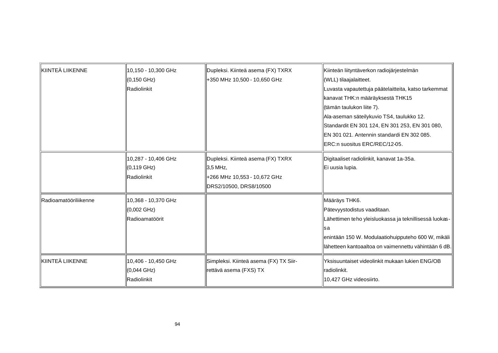| <b>IkIINTEÄ LIIKENNE</b> | 10,150 - 10,300 GHz<br>$(0, 150 \text{ GHz})$<br>Radiolinkit   | Dupleksi. Kiinteä asema (FX) TXRX<br>+350 MHz 10,500 - 10,650 GHz                                       | Kiinteän liityntäverkon radiojärjestelmän<br>WLL) tilaajalaitteet.<br>Luvasta vapautettuja päätelaitteita, katso tarkemmat<br>kanavat THK:n määräyksestä THK15<br>∥(tämän taulukon liite 7).<br>Ala-aseman säteilykuvio TS4, taulukko 12.<br>Standardit EN 301 124, EN 301 253, EN 301 080,<br>EN 301 021. Antennin standardi EN 302 085.<br>ERC:n suositus ERC/REC/12-05. |
|--------------------------|----------------------------------------------------------------|---------------------------------------------------------------------------------------------------------|----------------------------------------------------------------------------------------------------------------------------------------------------------------------------------------------------------------------------------------------------------------------------------------------------------------------------------------------------------------------------|
|                          | 10,287 - 10,406 GHz<br>$(0, 119 \text{ GHz})$<br>Radiolinkit   | Dupleksi. Kiinteä asema (FX) TXRX<br>3,5 MHz,<br>+266 MHz 10,553 - 10,672 GHz<br>DRS2/10500, DRS8/10500 | Digitaaliset radiolinkit, kanavat 1a-35a.<br>Ei uusia lupia.                                                                                                                                                                                                                                                                                                               |
| Radioamatööriliikenne    | 10,368 - 10,370 GHz<br>$(0,002 \text{ GHz})$<br>Radioamatöörit |                                                                                                         | Määräys THK6.<br>Pätevyystodistus vaaditaan.<br>Lähettimen teho yleisluokassa ja teknillisessä luokas-<br>lsa<br>enintään 150 W. Modulaatiohuipputeho 600 W, mikäli<br>lähetteen kantoaaltoa on vaimennettu vähintään 6 dB.                                                                                                                                                |
| <b>IkIINTEÄ LIIKENNE</b> | 10,406 - 10,450 GHz<br>(0,044 GHz)<br>Radiolinkit              | Simpleksi. Kiinteä asema (FX) TX Siir-<br>rettävä asema (FXS) TX                                        | IlYksisuuntaiset videolinkit mukaan lukien ENG/OB<br>∥radiolinkit.<br>10,427 GHz videosiirto.                                                                                                                                                                                                                                                                              |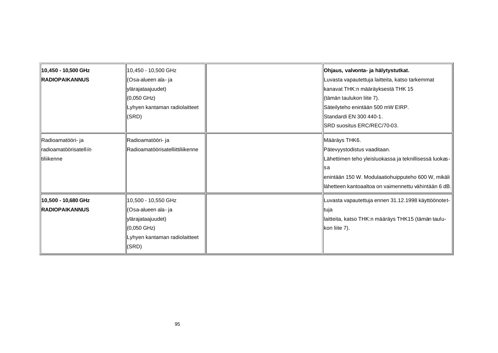| 10,450 - 10,500 GHz<br><b>RADIOPAIKANNUS</b>                | 10,450 - 10,500 GHz<br>(Osa-alueen ala- ja<br>ylärajataajuudet)<br>$(0,050 \text{ GHz})$<br>Lyhyen kantaman radiolaitteet<br>(SRD) | ∥Ohjaus, valvonta- ja hälytystutkat.<br>Luvasta vapautettuja laitteita, katso tarkemmat<br>kanavat THK:n määräyksestä THK 15<br>tämän taulukon liite 7).<br>Säteilyteho enintään 500 mW EIRP.<br><b>I</b> IStandardi EN 300 440-1.<br>SRD suositus ERC/REC/70-03. |
|-------------------------------------------------------------|------------------------------------------------------------------------------------------------------------------------------------|-------------------------------------------------------------------------------------------------------------------------------------------------------------------------------------------------------------------------------------------------------------------|
| Radioamatööri- ja<br>radioamatöörisatelliit-<br>⊪tiliikenne | Radioamatööri- ja<br>Radioamatöörisatelliittiliikenne                                                                              | ∥Määräys THK6.<br>Pätevyystodistus vaaditaan.<br>Lähettimen teho yleisluokassa ja teknillisessä luokas-<br>⊪sa<br>enintään 150 W. Modulaatiohuipputeho 600 W, mikäli<br>lähetteen kantoaaltoa on vaimennettu vähintään 6 dB.                                      |
| ∥10,500 - 10,680 GHz<br><b>IRADIOPAIKANNUS</b>              | ∥10,500 - 10,550 GHz<br>(Osa-alueen ala- ja<br>ylärajataajuudet)<br>∥(0,050 GHz)<br>Lyhyen kantaman radiolaitteet<br>(SRD)         | Luvasta vapautettuja ennen 31.12.1998 käyttöönotet-<br>∥tuja<br>laitteita, katso THK:n määräys THK15 (tämän taulu-<br>kon liite 7).                                                                                                                               |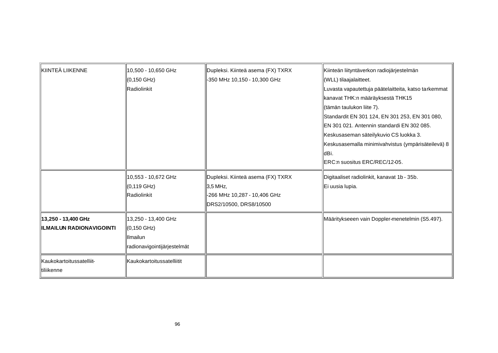| KIINTEÄ LIIKENNE                                       | 10,500 - 10,650 GHz<br>$(0, 150 \text{ GHz})$<br>Radiolinkit                  | Dupleksi. Kiinteä asema (FX) TXRX<br>-350 MHz 10,150 - 10,300 GHz                                       | Kiinteän liityntäverkon radiojärjestelmän<br>WLL) tilaajalaitteet.<br>Luvasta vapautettuja päätelaitteita, katso tarkemmat<br>kanavat THK:n määräyksestä THK15<br>(tämän taulukon liite 7).<br>Standardit EN 301 124, EN 301 253, EN 301 080,<br>IEN 301 021. Antennin standardi EN 302 085.<br>Keskusaseman säteilykuvio CS luokka 3.<br>Keskusasemalla minimivahvistus (ympärisäteilevä) 8<br>⊪dBi.<br>ERC:n suositus ERC/REC/12-05. |
|--------------------------------------------------------|-------------------------------------------------------------------------------|---------------------------------------------------------------------------------------------------------|----------------------------------------------------------------------------------------------------------------------------------------------------------------------------------------------------------------------------------------------------------------------------------------------------------------------------------------------------------------------------------------------------------------------------------------|
|                                                        | 10,553 - 10,672 GHz<br>(0,119 GHz)<br>Radiolinkit                             | Dupleksi. Kiinteä asema (FX) TXRX<br>3,5 MHz,<br>-266 MHz 10,287 - 10,406 GHz<br>DRS2/10500, DRS8/10500 | Digitaaliset radiolinkit, kanavat 1b - 35b.<br>Ei uusia lupia.                                                                                                                                                                                                                                                                                                                                                                         |
| 13,250 - 13,400 GHz<br><b>ILMAILUN RADIONAVIGOINTI</b> | 13,250 - 13,400 GHz<br>(0,150 GHz)<br>Ilmailun<br>radionavigointijärjestelmät |                                                                                                         | Määritykseeen vain Doppler-menetelmin (S5.497).                                                                                                                                                                                                                                                                                                                                                                                        |
| Kaukokartoitussatelliit-<br>∥tiliikenne                | Kaukokartoitussatelliitit                                                     |                                                                                                         |                                                                                                                                                                                                                                                                                                                                                                                                                                        |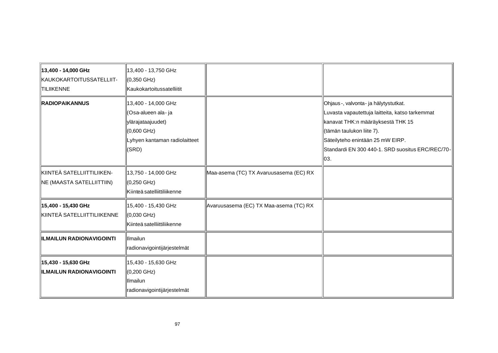| 13,400 - 14,000 GHz<br>KAUKOKARTOITUSSATELLIIT-<br><b>TILIIKENNE</b> | 13,400 - 13,750 GHz<br>1(0,350 GHz)<br>Kaukokartoitussatelliitit                                                                   |                                        |                                                                                                                                                                                                                                                           |
|----------------------------------------------------------------------|------------------------------------------------------------------------------------------------------------------------------------|----------------------------------------|-----------------------------------------------------------------------------------------------------------------------------------------------------------------------------------------------------------------------------------------------------------|
| <b>RADIOPAIKANNUS</b>                                                | 13,400 - 14,000 GHz<br>(Osa-alueen ala- ja<br>ylärajataajuudet)<br>$(0,600 \text{ GHz})$<br>Lyhyen kantaman radiolaitteet<br>(SRD) |                                        | Ohjaus-, valvonta- ja hälytystutkat.<br>Luvasta vapautettuja laitteita, katso tarkemmat<br>kanavat THK:n määräyksestä THK 15<br>(tämän taulukon liite 7).<br>Säteilyteho enintään 25 mW EIRP.<br>Standardi EN 300 440-1. SRD suositus ERC/REC/70-<br>∥03. |
| KIINTEÄ SATELLIITTILIIKEN-<br>NE (MAASTA SATELLIITTIIN)              | ∥13,750 - 14,000 GHz<br>∭(0,250 GHz)<br>Kiinteä satelliittiliikenne                                                                | Maa-asema (TC) TX Avaruusasema (EC) RX |                                                                                                                                                                                                                                                           |
| 15,400 - 15,430 GHz<br>KIINTEÄ SATELLIITTILIIKENNE                   | 15,400 - 15,430 GHz<br>∭(0,030 GHz)<br>Kiinteä satelliittiliikenne                                                                 | Avaruusasema (EC) TX Maa-asema (TC) RX |                                                                                                                                                                                                                                                           |
| <b>ILMAILUN RADIONAVIGOINTI</b>                                      | <b>Ilmailun</b><br>radionavigointijärjestelmät                                                                                     |                                        |                                                                                                                                                                                                                                                           |
| 15,430 - 15,630 GHz<br><b>ILMAILUN RADIONAVIGOINTI</b>               | 15,430 - 15,630 GHz<br>(0,200 GHz)<br>llmailun<br>radionavigointijärjestelmät                                                      |                                        |                                                                                                                                                                                                                                                           |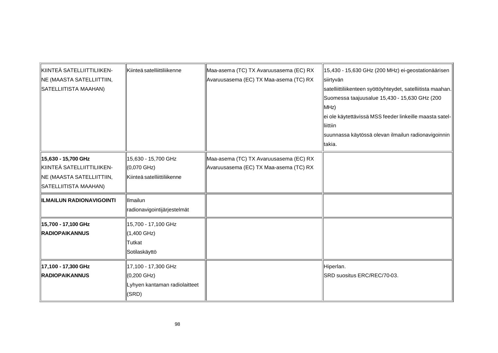| KIINTEÄ SATELLIITTILIIKEN-       | Kiinteä satelliittiliikenne   | Maa-asema (TC) TX Avaruusasema (EC) RX | 15,430 - 15,630 GHz (200 MHz) ei-geostationäärisen          |
|----------------------------------|-------------------------------|----------------------------------------|-------------------------------------------------------------|
| <b>NE (MAASTA SATELLIITTIIN,</b> |                               | Avaruusasema (EC) TX Maa-asema (TC) RX | ∥siirtyvän                                                  |
| SATELLIITISTA MAAHAN)            |                               |                                        | satelliittiliikenteen syöttöyhteydet, satelliitista maahan. |
|                                  |                               |                                        | Suomessa taajuusalue 15,430 - 15,630 GHz (200               |
|                                  |                               |                                        | $\parallel$ MHz)                                            |
|                                  |                               |                                        | ei ole käytettävissä MSS feeder linkeille maasta satel-     |
|                                  |                               |                                        | lliittiin                                                   |
|                                  |                               |                                        | suunnassa käytössä olevan ilmailun radionavigoinnin         |
|                                  |                               |                                        | ltakia.                                                     |
| ∥15,630 - 15,700 GHz             | 15,630 - 15,700 GHz           | Maa-asema (TC) TX Avaruusasema (EC) RX |                                                             |
| KIINTEÄ SATELLIITTILIIKEN-       | ∭(0,070 GHz)                  | Avaruusasema (EC) TX Maa-asema (TC) RX |                                                             |
| NE (MAASTA SATELLIITTIIN,        | Kiinteä satelliittiliikenne   |                                        |                                                             |
| SATELLIITISTA MAAHAN)            |                               |                                        |                                                             |
| <b>ILMAILUN RADIONAVIGOINTI</b>  | Ilmailun                      |                                        |                                                             |
|                                  | radionavigointijärjestelmät   |                                        |                                                             |
| 15,700 - 17,100 GHz              | ∥15,700 - 17,100 GHz          |                                        |                                                             |
| <b>RADIOPAIKANNUS</b>            | $(1,400 \text{ GHz})$         |                                        |                                                             |
|                                  | <b>Tutkat</b>                 |                                        |                                                             |
|                                  | ∥Sotilaskäyttö                |                                        |                                                             |
| 17,100 - 17,300 GHz              | ∥17,100 - 17,300 GHz          |                                        | Hiperlan.                                                   |
| <b>RADIOPAIKANNUS</b>            | ∭(0,200 GHz)                  |                                        | SRD suositus ERC/REC/70-03.                                 |
|                                  | Lyhyen kantaman radiolaitteet |                                        |                                                             |
|                                  | (SRD)                         |                                        |                                                             |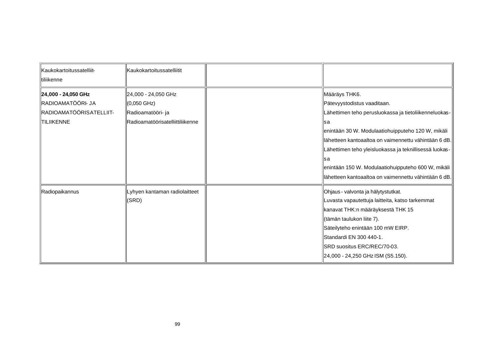| <b>Kaukokartoitussatelliit-</b><br>⊪tiliikenne                                            | Kaukokartoitussatelliitit                                                                    |                                                                                                                                                                                                                                                                                                                                                                                                            |
|-------------------------------------------------------------------------------------------|----------------------------------------------------------------------------------------------|------------------------------------------------------------------------------------------------------------------------------------------------------------------------------------------------------------------------------------------------------------------------------------------------------------------------------------------------------------------------------------------------------------|
| 24,000 - 24,050 GHz<br>RADIOAMATÖÖRI- JA<br>RADIOAMATÖÖRISATELLIIT-<br><b>ITILIIKENNE</b> | 24,000 - 24,050 GHz<br>∥(0,050 GHz)<br>Radioamatööri- ja<br>Radioamatöörisatelliittiliikenne | Määräys THK6.<br>Pätevyystodistus vaaditaan.<br>Lähettimen teho perusluokassa ja tietoliikenneluokas-<br>llsa<br>enintään 30 W. Modulaatiohuipputeho 120 W, mikäli<br>lähetteen kantoaaltoa on vaimennettu vähintään 6 dB.<br>Lähettimen teho yleisluokassa ja teknillisessä luokas-<br>llsa<br>enintään 150 W. Modulaatiohuipputeho 600 W, mikäli<br>lähetteen kantoaaltoa on vaimennettu vähintään 6 dB. |
| Radiopaikannus                                                                            | Lyhyen kantaman radiolaitteet<br>(SRD)                                                       | Ohjaus - valvonta ja hälytystutkat.<br>Luvasta vapautettuja laitteita, katso tarkemmat<br>kanavat THK:n määräyksestä THK 15<br>tämän taulukon liite 7).<br>Säteilyteho enintään 100 mW EIRP.<br>Standardi EN 300 440-1.<br>SRD suositus ERC/REC/70-03.<br>24,000 - 24,250 GHz ISM (S5.150).                                                                                                                |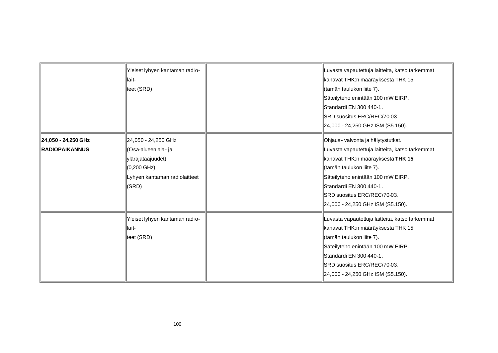|                                              | Yleiset lyhyen kantaman radio-<br>llait-<br>teet (SRD)                                                                             | Luvasta vapautettuja laitteita, katso tarkemmat<br>kanavat THK:n määräyksestä THK 15<br>(tämän taulukon liite 7).<br>Säteilyteho enintään 100 mW EIRP.<br>Standardi EN 300 440-1.<br>SRD suositus ERC/REC/70-03.<br>24,000 - 24,250 GHz ISM (S5.150).                                        |
|----------------------------------------------|------------------------------------------------------------------------------------------------------------------------------------|----------------------------------------------------------------------------------------------------------------------------------------------------------------------------------------------------------------------------------------------------------------------------------------------|
| 24,050 - 24,250 GHz<br><b>RADIOPAIKANNUS</b> | 24,050 - 24,250 GHz<br>(Osa-alueen ala- ja<br>ylärajataajuudet)<br>$(0,200 \text{ GHz})$<br>Lyhyen kantaman radiolaitteet<br>(SRD) | Ohjaus - valvonta ja hälytystutkat.<br>Luvasta vapautettuja laitteita, katso tarkemmat<br>kanavat THK:n määräyksestä THK 15<br>(tämän taulukon liite 7).<br>Säteilyteho enintään 100 mW EIRP.<br>Standardi EN 300 440-1.<br>SRD suositus ERC/REC/70-03.<br>24,000 - 24,250 GHz ISM (S5.150). |
|                                              | Yleiset lyhyen kantaman radio-<br>lait-<br>teet (SRD)                                                                              | Luvasta vapautettuja laitteita, katso tarkemmat<br>kanavat THK:n määräyksestä THK 15<br>(tämän taulukon liite 7).<br>Säteilyteho enintään 100 mW EIRP.<br>Standardi EN 300 440-1.<br>SRD suositus ERC/REC/70-03.<br>24,000 - 24,250 GHz ISM (S5.150).                                        |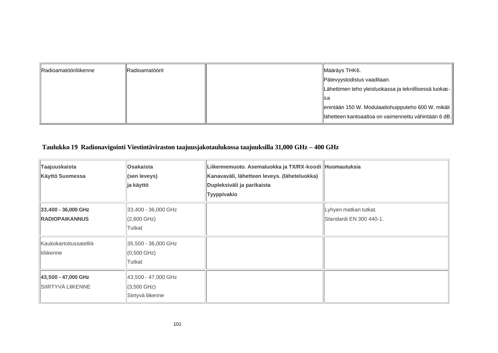| <b>IRadioamatööriliikenne</b> | Radioamatöörit | ∥Määräys THK6.                                         |
|-------------------------------|----------------|--------------------------------------------------------|
|                               |                | Pätevyystodistus vaaditaan.                            |
|                               |                | Lähettimen teho yleisluokassa ja teknillisessä luokas- |
|                               |                | lls a                                                  |
|                               |                | enintään 150 W. Modulaatiohuipputeho 600 W, mikäli     |
|                               |                | llähetteen kantoaaltoa on vaimennettu vähintään 6 dB.  |

## **Taulukko 19 Radionavigointi Viestintäviraston taajuusjakotaulukossa taajuuksilla 31,000 GHz – 400 GHz**

| Taajuuskaista<br>Käyttö Suomessa             | Osakaista<br>(sen leveys)<br>ja käyttö                            | Liikennemuoto. Asemaluokka ja TX/RX-koodi Huomautuksia<br>Kanavaväli, lähetteen leveys. (läheteluokka)<br>Dupleksiväli ja parikaista<br>Tyyppivakio |                                                  |
|----------------------------------------------|-------------------------------------------------------------------|-----------------------------------------------------------------------------------------------------------------------------------------------------|--------------------------------------------------|
| 33,400 - 36,000 GHz<br><b>RADIOPAIKANNUS</b> | 33,400 - 36,000 GHz<br>$(2,600 \text{ GHz})$<br>Tutkat            |                                                                                                                                                     | Lyhyen matkan tutkat.<br>Standardi EN 300 440-1. |
| Kaukokartoitussatelliit-<br>tiliikenne       | 35,500 - 36,000 GHz<br>$(0,500 \text{ GHz})$<br>Tutkat            |                                                                                                                                                     |                                                  |
| 43,500 - 47,000 GHz<br>SIIRTYVÄ LIIKENNE     | 43,500 - 47,000 GHz<br>$(3,500 \text{ GHz})$<br>Siirtyvä liikenne |                                                                                                                                                     |                                                  |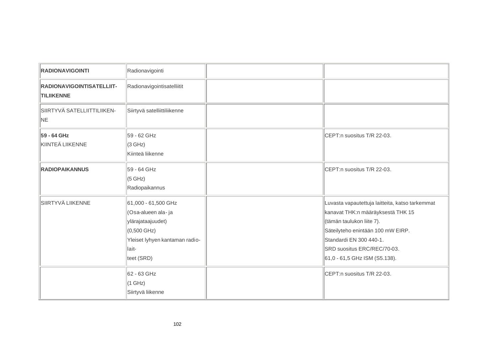| <b>RADIONAVIGOINTI</b>                                | Radionavigointi                                                                                                                                  |                                                                                                                                                                                                                                                   |
|-------------------------------------------------------|--------------------------------------------------------------------------------------------------------------------------------------------------|---------------------------------------------------------------------------------------------------------------------------------------------------------------------------------------------------------------------------------------------------|
| <b>RADIONAVIGOINTISATELLIIT-</b><br><b>TILIIKENNE</b> | Radionavigointisatelliitit                                                                                                                       |                                                                                                                                                                                                                                                   |
| SIIRTYVÄ SATELLIITTILIIKEN-<br>NE                     | Siirtyvä satelliittiliikenne                                                                                                                     |                                                                                                                                                                                                                                                   |
| 59 - 64 GHz<br>KIINTEÄ LIIKENNE                       | 59 - 62 GHz<br>(3 GHz)<br>Kiinteä liikenne                                                                                                       | CEPT:n suositus T/R 22-03.                                                                                                                                                                                                                        |
| <b>RADIOPAIKANNUS</b>                                 | 59 - 64 GHz<br>(5 GHz)<br>Radiopaikannus                                                                                                         | CEPT:n suositus T/R 22-03.                                                                                                                                                                                                                        |
| SIIRTYVÄ LIIKENNE                                     | 61,000 - 61,500 GHz<br>(Osa-alueen ala-ja<br>ylärajataajuudet)<br>$(0,500 \text{ GHz})$<br>Yleiset lyhyen kantaman radio-<br>lait-<br>teet (SRD) | Luvasta vapautettuja laitteita, katso tarkemmat<br>kanavat THK:n määräyksestä THK 15<br>(tämän taulukon liite 7).<br>Säteilyteho enintään 100 mW EIRP.<br>Standardi EN 300 440-1.<br>SRD suositus ERC/REC/70-03.<br>61,0 - 61,5 GHz ISM (S5.138). |
|                                                       | 62 - 63 GHz<br>(1 GHz)<br>Siirtyvä liikenne                                                                                                      | CEPT:n suositus T/R 22-03.                                                                                                                                                                                                                        |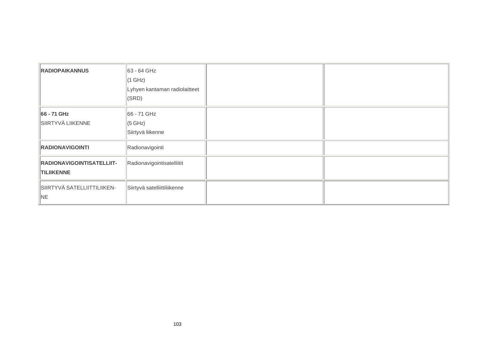| <b>RADIOPAIKANNUS</b>                          | 63 - 64 GHz<br>(1 GHz)<br>Lyhyen kantaman radiolaitteet<br>$\vert$ (SRD) |
|------------------------------------------------|--------------------------------------------------------------------------|
| 66 - 71 GHz<br>SIIRTYVÄ LIIKENNE               | 66 - 71 GHz<br>$\parallel$ (5 GHz)<br>Siirtyvä liikenne                  |
| <b>RADIONAVIGOINTI</b>                         | Radionavigointi                                                          |
| RADIONAVIGOINTISATELLIIT-<br><b>TILIIKENNE</b> | Radionavigointisatelliitit                                               |
| SIIRTYVÄ SATELLIITTILIIKEN-<br>NE              | Siirtyvä satelliittiliikenne                                             |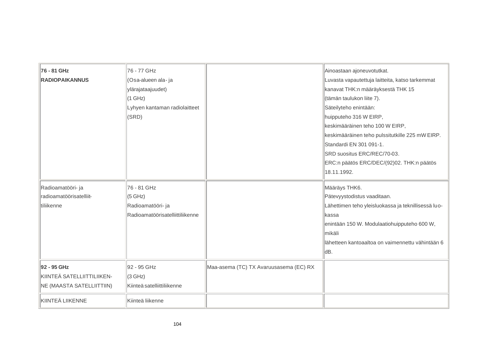| 76 - 81 GHz                | 76 - 77 GHz                      |                                        | Ainoastaan ajoneuvotutkat.                          |
|----------------------------|----------------------------------|----------------------------------------|-----------------------------------------------------|
| <b>RADIOPAIKANNUS</b>      | (Osa-alueen ala- ja              |                                        | Luvasta vapautettuja laitteita, katso tarkemmat     |
|                            | ylärajataajuudet)                |                                        | kanavat THK:n määräyksestä THK 15                   |
|                            | $(1$ GHz)                        |                                        | (tämän taulukon liite 7).                           |
|                            | Lyhyen kantaman radiolaitteet    |                                        | Säteilyteho enintään:                               |
|                            | (SRD)                            |                                        | huipputeho 316 W EIRP,                              |
|                            |                                  |                                        | keskimääräinen teho 100 W EIRP,                     |
|                            |                                  |                                        | keskimääräinen teho pulssitutkille 225 mW EIRP.     |
|                            |                                  |                                        | Standardi EN 301 091-1.                             |
|                            |                                  |                                        | SRD suositus ERC/REC/70-03.                         |
|                            |                                  |                                        | ERC:n päätös ERC/DEC/(92)02. THK:n päätös           |
|                            |                                  |                                        | 18.11.1992.                                         |
| Radioamatööri- ja          | 76 - 81 GHz                      |                                        | Määräys THK6.                                       |
| Iradioamatöörisatelliit-   | (5 GHz)                          |                                        | Pätevyystodistus vaaditaan.                         |
| tiliikenne                 | Radioamatööri- ja                |                                        | Lähettimen teho yleisluokassa ja teknillisessä luo- |
|                            | Radioamatöörisatelliittiliikenne |                                        | lkassa                                              |
|                            |                                  |                                        | enintään 150 W. Modulaatiohuipputeho 600 W,         |
|                            |                                  |                                        | mikäli                                              |
|                            |                                  |                                        | llähetteen kantoaaltoa on vaimennettu vähintään 6   |
|                            |                                  |                                        | dB.                                                 |
| 92 - 95 GHz                | 92 - 95 GHz                      | Maa-asema (TC) TX Avaruusasema (EC) RX |                                                     |
| KIINTEÄ SATELLIITTILIIKEN- | (3 GHz)                          |                                        |                                                     |
| NE (MAASTA SATELLIITTIIN)  | Kiinteä satelliittiliikenne      |                                        |                                                     |
| KIINTEÄ LIIKENNE           | Kiinteä liikenne                 |                                        |                                                     |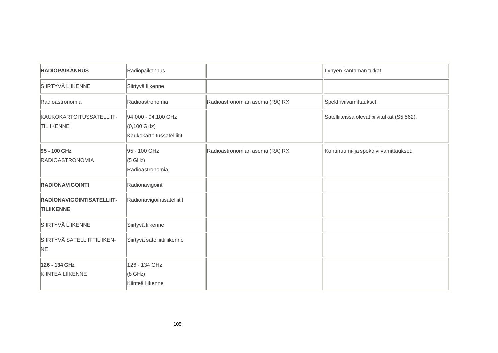| <b>RADIOPAIKANNUS</b>                                 | Radiopaikannus                                                  |                                | Lyhyen kantaman tutkat.                     |
|-------------------------------------------------------|-----------------------------------------------------------------|--------------------------------|---------------------------------------------|
| SIIRTYVÄ LIIKENNE                                     | Siirtyvä liikenne                                               |                                |                                             |
| Radioastronomia                                       | Radioastronomia                                                 | Radioastronomian asema (RA) RX | Spektriviivamittaukset.                     |
| KAUKOKARTOITUSSATELLIIT-<br><b>TILIIKENNE</b>         | 94,000 - 94,100 GHz<br>(0,100 GHz)<br>Kaukokartoitussatelliitit |                                | Satelliiteissa olevat pilvitutkat (S5.562). |
| 95 - 100 GHz<br><b>RADIOASTRONOMIA</b>                | 95 - 100 GHz<br>(5 GHz)<br>Radioastronomia                      | Radioastronomian asema (RA) RX | Kontinuumi- ja spektriviivamittaukset.      |
| <b>RADIONAVIGOINTI</b>                                | Radionavigointi                                                 |                                |                                             |
| <b>RADIONAVIGOINTISATELLIIT-</b><br><b>TILIIKENNE</b> | Radionavigointisatelliitit                                      |                                |                                             |
| SIIRTYVÄ LIIKENNE                                     | Siirtyvä liikenne                                               |                                |                                             |
| SIIRTYVÄ SATELLIITTILIIKEN-<br>NE                     | Siirtyvä satelliittiliikenne                                    |                                |                                             |
| 126 - 134 GHz<br>KIINTEÄ LIIKENNE                     | 126 - 134 GHz<br>$(8$ GHz)<br>Kiinteä liikenne                  |                                |                                             |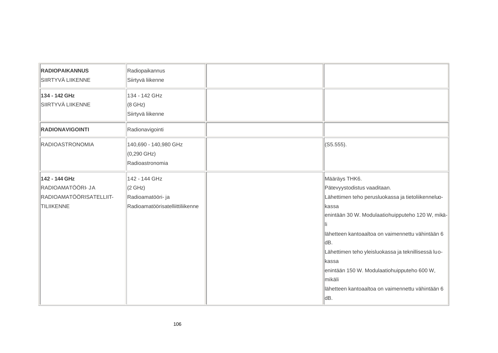| <b>RADIOPAIKANNUS</b>   | Radiopaikannus                   |                                                     |
|-------------------------|----------------------------------|-----------------------------------------------------|
| SIIRTYVÄ LIIKENNE       | Siirtyvä liikenne                |                                                     |
| 134 - 142 GHz           | 134 - 142 GHz                    |                                                     |
| SIIRTYVÄ LIIKENNE       | $(8$ GHz)                        |                                                     |
|                         | Siirtyvä liikenne                |                                                     |
| <b>RADIONAVIGOINTI</b>  | Radionavigointi                  |                                                     |
| <b>RADIOASTRONOMIA</b>  | 140,690 - 140,980 GHz            | $(C5.555)$ .                                        |
|                         | $(0,290 \text{ GHz})$            |                                                     |
|                         | Radioastronomia                  |                                                     |
| 142 - 144 GHz           | 142 - 144 GHz                    | Määräys THK6.                                       |
| RADIOAMATÖÖRI- JA       | (2 GHz)                          | Pätevyystodistus vaaditaan.                         |
| RADIOAMATÖÖRISATELLIIT- | Radioamatööri- ja                | Lähettimen teho perusluokassa ja tietoliikenneluo-  |
| <b>TILIIKENNE</b>       | Radioamatöörisatelliittiliikenne | kassa                                               |
|                         |                                  | enintään 30 W. Modulaatiohuipputeho 120 W, mikä-    |
|                         |                                  |                                                     |
|                         |                                  | lähetteen kantoaaltoa on vaimennettu vähintään 6    |
|                         |                                  | dB.                                                 |
|                         |                                  | Lähettimen teho yleisluokassa ja teknillisessä luo- |
|                         |                                  | kassa                                               |
|                         |                                  | enintään 150 W. Modulaatiohuipputeho 600 W,         |
|                         |                                  | mikäli                                              |
|                         |                                  | lähetteen kantoaaltoa on vaimennettu vähintään 6    |
|                         |                                  | ldB.                                                |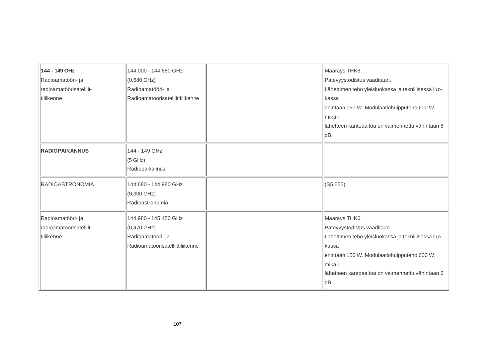| 144 - 149 GHz           | 144,000 - 144,680 GHz            | Määräys THK6.                                       |
|-------------------------|----------------------------------|-----------------------------------------------------|
| Radioamatööri- ja       | (0,680 GHz)                      | Pätevyystodistus vaaditaan.                         |
| radioamatöörisatelliit- | Radioamatööri- ja                | Lähettimen teho yleisluokassa ja teknillisessä luo- |
| tiliikenne              | Radioamatöörisatelliittiliikenne | lkassa                                              |
|                         |                                  | enintään 150 W. Modulaatiohuipputeho 600 W,         |
|                         |                                  | mikäli                                              |
|                         |                                  | lähetteen kantoaaltoa on vaimennettu vähintään 6    |
|                         |                                  | dB.                                                 |
| <b>RADIOPAIKANNUS</b>   | 144 - 149 GHz                    |                                                     |
|                         | (5 GHz)                          |                                                     |
|                         | Radiopaikannus                   |                                                     |
| <b>RADIOASTRONOMIA</b>  | 144,680 - 144,980 GHz            | (S5.555).                                           |
|                         | $(0,300 \text{ GHz})$            |                                                     |
|                         | Radioastronomia                  |                                                     |
| Radioamatööri- ja       | 144,980 - 145,450 GHz            | Määräys THK6.                                       |
| radioamatöörisatelliit- | $(0,470 \text{ GHz})$            | Pätevyystodistus vaaditaan.                         |
| ltiliikenne             | Radioamatööri- ja                | Lähettimen teho yleisluokassa ja teknillisessä luo- |
|                         | Radioamatöörisatelliittiliikenne | kassa                                               |
|                         |                                  | enintään 150 W. Modulaatiohuipputeho 600 W,         |
|                         |                                  | lmikäli                                             |
|                         |                                  | lähetteen kantoaaltoa on vaimennettu vähintään 6    |
|                         |                                  | dB.                                                 |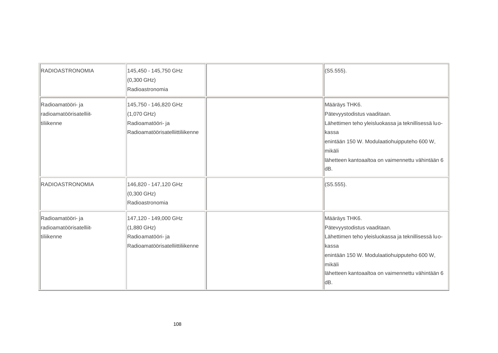| <b>RADIOASTRONOMIA</b>                                     | 145,450 - 145,750 GHz<br>$(0,300 \text{ GHz})$<br>Radioastronomia                               | $(S5.555)$ .                                                                                                                                                                                                                        |
|------------------------------------------------------------|-------------------------------------------------------------------------------------------------|-------------------------------------------------------------------------------------------------------------------------------------------------------------------------------------------------------------------------------------|
| Radioamatööri- ja<br>radioamatöörisatelliit-<br>tiliikenne | 145,750 - 146,820 GHz<br>$(1,070$ GHz)<br>Radioamatööri- ja<br>Radioamatöörisatelliittiliikenne | Määräys THK6.<br>Pätevyystodistus vaaditaan.<br>Lähettimen teho yleisluokassa ja teknillisessä luo-<br>kassa<br>enintään 150 W. Modulaatiohuipputeho 600 W,<br>mikäli<br>lähetteen kantoaaltoa on vaimennettu vähintään 6<br>dB.    |
| <b>RADIOASTRONOMIA</b>                                     | 146,820 - 147,120 GHz<br>$(0,300 \text{ GHz})$<br>Radioastronomia                               | $(C5.555)$ .                                                                                                                                                                                                                        |
| Radioamatööri- ja<br>radioamatöörisatelliit-<br>tiliikenne | 147,120 - 149,000 GHz<br>$(1,880$ GHz)<br>Radioamatööri- ja<br>Radioamatöörisatelliittiliikenne | Määräys THK6.<br>Pätevyystodistus vaaditaan.<br>Lähettimen teho yleisluokassa ja teknillisessä luo-<br>lkassa<br>enintään 150 W. Modulaatiohuipputeho 600 W,<br>lmikäli<br>llähetteen kantoaaltoa on vaimennettu vähintään 6<br>dB. |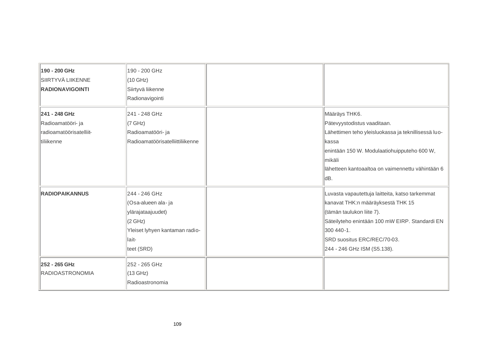| 190 - 200 GHz           | 190 - 200 GHz                    |                                                     |
|-------------------------|----------------------------------|-----------------------------------------------------|
| SIIRTYVÄ LIIKENNE       | $(10$ GHz)                       |                                                     |
| <b>RADIONAVIGOINTI</b>  | Siirtyvä liikenne                |                                                     |
|                         | Radionavigointi                  |                                                     |
| 241 - 248 GHz           | 241 - 248 GHz                    | Määräys THK6.                                       |
| Radioamatööri- ja       | (7 GHz)                          | Pätevyystodistus vaaditaan.                         |
| radioamatöörisatelliit- | Radioamatööri- ja                | Lähettimen teho yleisluokassa ja teknillisessä luo- |
| tiliikenne              | Radioamatöörisatelliittiliikenne | lkassa                                              |
|                         |                                  | enintään 150 W. Modulaatiohuipputeho 600 W,         |
|                         |                                  | lmikäli                                             |
|                         |                                  | lähetteen kantoaaltoa on vaimennettu vähintään 6    |
|                         |                                  | ldB.                                                |
| <b>RADIOPAIKANNUS</b>   | 244 - 246 GHz                    | Luvasta vapautettuja laitteita, katso tarkemmat     |
|                         | (Osa-alueen ala-ja               | kanavat THK:n määräyksestä THK 15                   |
|                         | ylärajataajuudet)                | (tämän taulukon liite 7).                           |
|                         | (2 GHz)                          | Säteilyteho enintään 100 mW EIRP. Standardi EN      |
|                         | Yleiset lyhyen kantaman radio-   | 300 440 - 1.                                        |
|                         | lait-                            | SRD suositus ERC/REC/70-03.                         |
|                         | teet (SRD)                       | 244 - 246 GHz ISM (S5.138).                         |
| 252 - 265 GHz           | 252 - 265 GHz                    |                                                     |
| <b>RADIOASTRONOMIA</b>  | $(13$ GHz)                       |                                                     |
|                         | Radioastronomia                  |                                                     |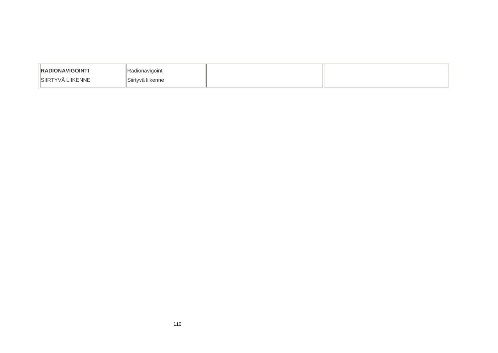| <b>IRADIONAVIGOINTI</b> | 'IRadionavigointi   |  |
|-------------------------|---------------------|--|
| IISIIRTYVÄ LIIKENNE     | llSiirtvvä liikenne |  |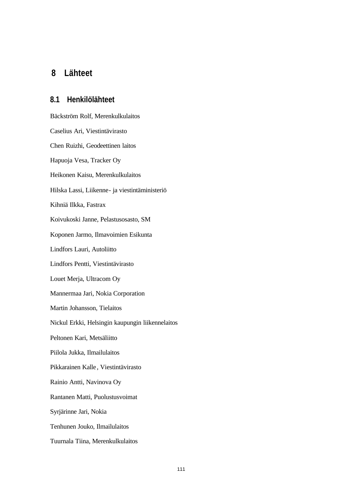## **8 Lähteet**

#### **8.1 Henkilölähteet**

Bäckström Rolf, Merenkulkulaitos Caselius Ari, Viestintävirasto Chen Ruizhi, Geodeettinen laitos Hapuoja Vesa, Tracker Oy Heikonen Kaisu, Merenkulkulaitos Hilska Lassi, Liikenne- ja viestintäministeriö Kihniä Ilkka, Fastrax Koivukoski Janne, Pelastusosasto, SM Koponen Jarmo, Ilmavoimien Esikunta Lindfors Lauri, Autoliitto Lindfors Pentti, Viestintävirasto Louet Merja, Ultracom Oy Mannermaa Jari, Nokia Corporation Martin Johansson, Tielaitos Nickul Erkki, Helsingin kaupungin liikennelaitos Peltonen Kari, Metsäliitto Piilola Jukka, Ilmailulaitos Pikkarainen Kalle , Viestintävirasto Rainio Antti, Navinova Oy Rantanen Matti, Puolustusvoimat Syrjärinne Jari, Nokia Tenhunen Jouko, Ilmailulaitos Tuurnala Tiina, Merenkulkulaitos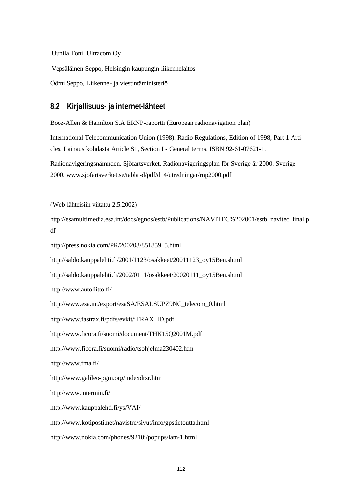Uunila Toni, Ultracom Oy

Vepsäläinen Seppo, Helsingin kaupungin liikennelaitos

Öörni Seppo, Liikenne- ja viestintäministeriö

### **8.2 Kirjallisuus- ja internet-lähteet**

Booz-Allen & Hamilton S.A ERNP-raportti (European radionavigation plan)

International Telecommunication Union (1998). Radio Regulations, Edition of 1998, Part 1 Articles. Lainaus kohdasta Article S1, Section I - General terms. ISBN 92-61-07621-1.

Radionavigeringsnämnden. Sjöfartsverket. Radionavigeringsplan för Sverige år 2000. Sverige 2000. www.sjofartsverket.se/tabla -d/pdf/d14/utredningar/rnp2000.pdf

(Web-lähteisiin viitattu 2.5.2002)

http://esamultimedia.esa.int/docs/egnos/estb/Publications/NAVITEC%202001/estb\_navitec\_final.p df

http://press.nokia.com/PR/200203/851859\_5.html

http://saldo.kauppalehti.fi/2001/1123/osakkeet/20011123\_oy15Ben.shtml

http://saldo.kauppalehti.fi/2002/0111/osakkeet/20020111\_oy15Ben.shtml

http://www.autoliitto.fi/

http://www.esa.int/export/esaSA/ESALSUPZ9NC\_telecom\_0.html

http://www.fastrax.fi/pdfs/evkit/iTRAX\_ID.pdf

http://www.ficora.fi/suomi/document/THK15Q2001M.pdf

http://www.ficora.fi/suomi/radio/tsohjelma230402.htm

http://www.fma.fi/

http://www.galileo-pgm.org/indexdrsr.htm

http://www.intermin.fi/

http://www.kauppalehti.fi/ys/VAI/

http://www.kotiposti.net/navistre/sivut/info/gpstietoutta.html

http://www.nokia.com/phones/9210i/popups/lam-1.html